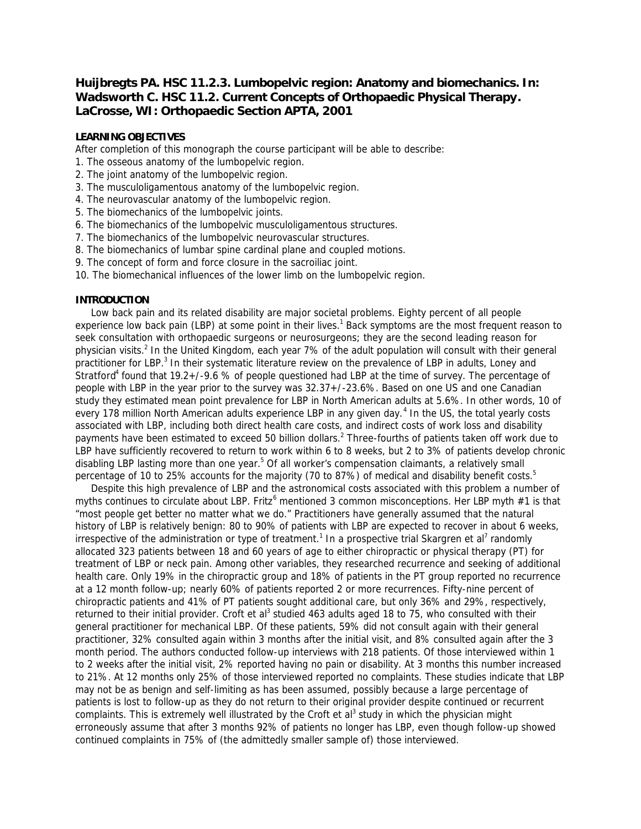# **Huijbregts PA. HSC 11.2.3. Lumbopelvic region: Anatomy and biomechanics. In: Wadsworth C. HSC 11.2.** *Current Concepts of Orthopaedic Physical Therapy***. LaCrosse, WI: Orthopaedic Section APTA, 2001**

# **LEARNING OBJECTIVES**

After completion of this monograph the course participant will be able to describe:

- 1. The osseous anatomy of the lumbopelvic region.
- 2. The joint anatomy of the lumbopelvic region.
- 3. The musculoligamentous anatomy of the lumbopelvic region.
- 4. The neurovascular anatomy of the lumbopelvic region.
- 5. The biomechanics of the lumbopelvic joints.
- 6. The biomechanics of the lumbopelvic musculoligamentous structures.
- 7. The biomechanics of the lumbopelvic neurovascular structures.
- 8. The biomechanics of lumbar spine cardinal plane and coupled motions.
- 9. The concept of form and force closure in the sacroiliac joint.
- 10. The biomechanical influences of the lower limb on the lumbopelvic region.

# **INTRODUCTION**

 Low back pain and its related disability are major societal problems. Eighty percent of all people experience low back pain (LBP) at some point in their lives.<sup>1</sup> Back symptoms are the most frequent reason to seek consultation with orthopaedic surgeons or neurosurgeons; they are the second leading reason for physician visits.<sup>2</sup> In the United Kingdom, each year 7% of the adult population will consult with their general practitioner for LBP.<sup>3</sup> In their systematic literature review on the prevalence of LBP in adults, Loney and Stratford<sup>4</sup> found that 19.2+/-9.6 % of people questioned had LBP at the time of survey. The percentage of people with LBP in the year prior to the survey was 32.37+/-23.6%. Based on one US and one Canadian study they estimated mean point prevalence for LBP in North American adults at 5.6%. In other words, 10 of every 178 million North American adults experience LBP in any given day.<sup>4</sup> In the US, the total yearly costs associated with LBP, including both direct health care costs, and indirect costs of work loss and disability payments have been estimated to exceed 50 billion dollars.<sup>2</sup> Three-fourths of patients taken off work due to LBP have sufficiently recovered to return to work within 6 to 8 weeks, but 2 to 3% of patients develop chronic disabling LBP lasting more than one year.<sup>5</sup> Of all worker's compensation claimants, a relatively small percentage of 10 to 25% accounts for the majority (70 to 87%) of medical and disability benefit costs.<sup>5</sup>

 Despite this high prevalence of LBP and the astronomical costs associated with this problem a number of myths continues to circulate about LBP. Fritz<sup>6</sup> mentioned 3 common misconceptions. Her *LBP myth #1* is that "most people get better no matter what we do." Practitioners have generally assumed that the natural history of LBP is relatively benign: 80 to 90% of patients with LBP are expected to recover in about 6 weeks, irrespective of the administration or type of treatment.<sup>1</sup> In a prospective trial Skargren et al<sup>7</sup> randomly allocated 323 patients between 18 and 60 years of age to either chiropractic or physical therapy (PT) for treatment of LBP or neck pain. Among other variables, they researched recurrence and seeking of additional health care. Only 19% in the chiropractic group and 18% of patients in the PT group reported no recurrence at a 12 month follow-up; nearly 60% of patients reported 2 or more recurrences. Fifty-nine percent of chiropractic patients and 41% of PT patients sought additional care, but only 36% and 29%, respectively, returned to their initial provider. Croft et al<sup>3</sup> studied 463 adults aged 18 to 75, who consulted with their general practitioner for mechanical LBP. Of these patients, 59% did not consult again with their general practitioner, 32% consulted again within 3 months after the initial visit, and 8% consulted again after the 3 month period. The authors conducted follow-up interviews with 218 patients. Of those interviewed within 1 to 2 weeks after the initial visit, 2% reported having no pain or disability. At 3 months this number increased to 21%. At 12 months only 25% of those interviewed reported no complaints. These studies indicate that LBP may not be as benign and self-limiting as has been assumed, possibly because a large percentage of patients is lost to follow-up as they do not return to their original provider despite continued or recurrent complaints. This is extremely well illustrated by the Croft et al<sup>3</sup> study in which the physician might erroneously assume that after 3 months 92% of patients no longer has LBP, even though follow-up showed continued complaints in 75% of (the admittedly smaller sample of) those interviewed.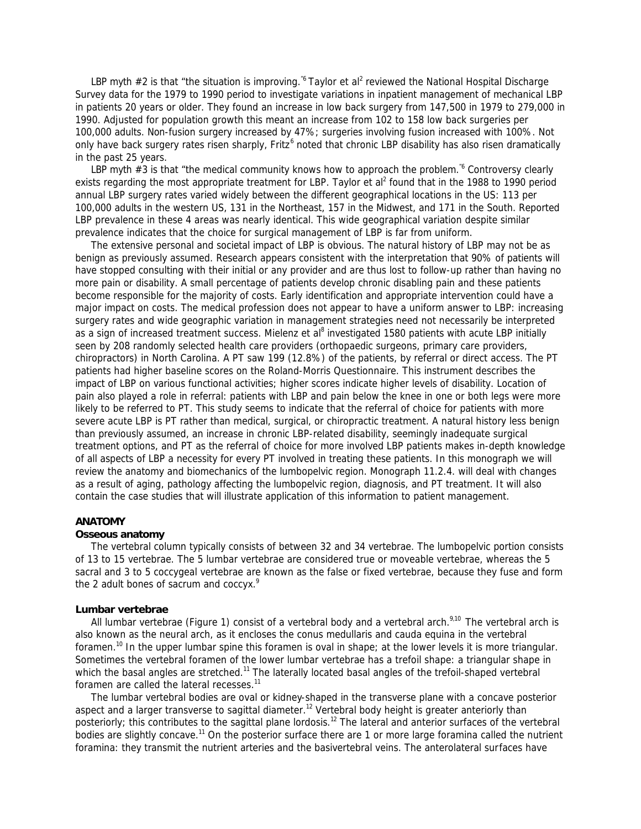LBP myth #2 is that "the situation is improving.<sup>"6</sup> Taylor et al<sup>2</sup> reviewed the National Hospital Discharge Survey data for the 1979 to 1990 period to investigate variations in inpatient management of mechanical LBP in patients 20 years or older. They found an increase in low back surgery from 147,500 in 1979 to 279,000 in 1990. Adjusted for population growth this meant an increase from 102 to 158 low back surgeries per 100,000 adults. Non-fusion surgery increased by 47%; surgeries involving fusion increased with 100%. Not only have back surgery rates risen sharply, Fritz<sup>6</sup> noted that chronic LBP disability has also risen dramatically in the past 25 years.

LBP myth #3 is that "the medical community knows how to approach the problem.<sup>"6</sup> Controversy clearly exists regarding the most appropriate treatment for LBP. Taylor et al<sup>2</sup> found that in the 1988 to 1990 period annual LBP surgery rates varied widely between the different geographical locations in the US: 113 per 100,000 adults in the western US, 131 in the Northeast, 157 in the Midwest, and 171 in the South. Reported LBP prevalence in these 4 areas was nearly identical. This wide geographical variation despite similar prevalence indicates that the choice for surgical management of LBP is far from uniform.

 The extensive personal and societal impact of LBP is obvious. The natural history of LBP may not be as benign as previously assumed. Research appears consistent with the interpretation that 90% of patients will have stopped consulting with their initial or any provider and are thus lost to follow-up rather than having no more pain or disability. A small percentage of patients develop chronic disabling pain and these patients become responsible for the majority of costs. Early identification and appropriate intervention could have a major impact on costs. The medical profession does not appear to have a uniform answer to LBP: increasing surgery rates and wide geographic variation in management strategies need not necessarily be interpreted as a sign of increased treatment success. Mielenz et al<sup>8</sup> investigated 1580 patients with acute LBP initially seen by 208 randomly selected health care providers (orthopaedic surgeons, primary care providers, chiropractors) in North Carolina. A PT saw 199 (12.8%) of the patients, by referral or direct access. The PT patients had higher baseline scores on the Roland-Morris Questionnaire. This instrument describes the impact of LBP on various functional activities; higher scores indicate higher levels of disability. Location of pain also played a role in referral: patients with LBP and pain below the knee in one or both legs were more likely to be referred to PT. This study seems to indicate that the referral of choice for patients with more severe acute LBP is PT rather than medical, surgical, or chiropractic treatment. A natural history less benign than previously assumed, an increase in chronic LBP-related disability, seemingly inadequate surgical treatment options, and PT as the referral of choice for more involved LBP patients makes in-depth knowledge of all aspects of LBP a necessity for every PT involved in treating these patients. In this monograph we will review the anatomy and biomechanics of the lumbopelvic region. Monograph 11.2.4. will deal with changes as a result of aging, pathology affecting the lumbopelvic region, diagnosis, and PT treatment. It will also contain the case studies that will illustrate application of this information to patient management.

# **ANATOMY**

### **Osseous anatomy**

 The vertebral column typically consists of between 32 and 34 vertebrae. The lumbopelvic portion consists of 13 to 15 vertebrae. The 5 lumbar vertebrae are considered true or moveable vertebrae, whereas the 5 sacral and 3 to 5 coccygeal vertebrae are known as the false or fixed vertebrae, because they fuse and form the 2 adult bones of sacrum and coccyx.<sup>9</sup>

#### **Lumbar vertebrae**

All lumbar vertebrae (Figure 1) consist of a vertebral body and a vertebral arch.<sup>9,10</sup> The vertebral arch is also known as the neural arch, as it encloses the conus medullaris and cauda equina in the vertebral foramen.<sup>10</sup> In the upper lumbar spine this foramen is oval in shape; at the lower levels it is more triangular. Sometimes the vertebral foramen of the lower lumbar vertebrae has a trefoil shape: a triangular shape in which the basal angles are stretched.<sup>11</sup> The laterally located basal angles of the trefoil-shaped vertebral foramen are called the lateral recesses.<sup>11</sup>

 The lumbar vertebral bodies are oval or kidney-shaped in the transverse plane with a concave posterior aspect and a larger transverse to sagittal diameter.<sup>12</sup> Vertebral body height is greater anteriorly than posteriorly; this contributes to the sagittal plane lordosis.<sup>12</sup> The lateral and anterior surfaces of the vertebral bodies are slightly concave.<sup>11</sup> On the posterior surface there are 1 or more large foramina called the nutrient foramina: they transmit the nutrient arteries and the basivertebral veins. The anterolateral surfaces have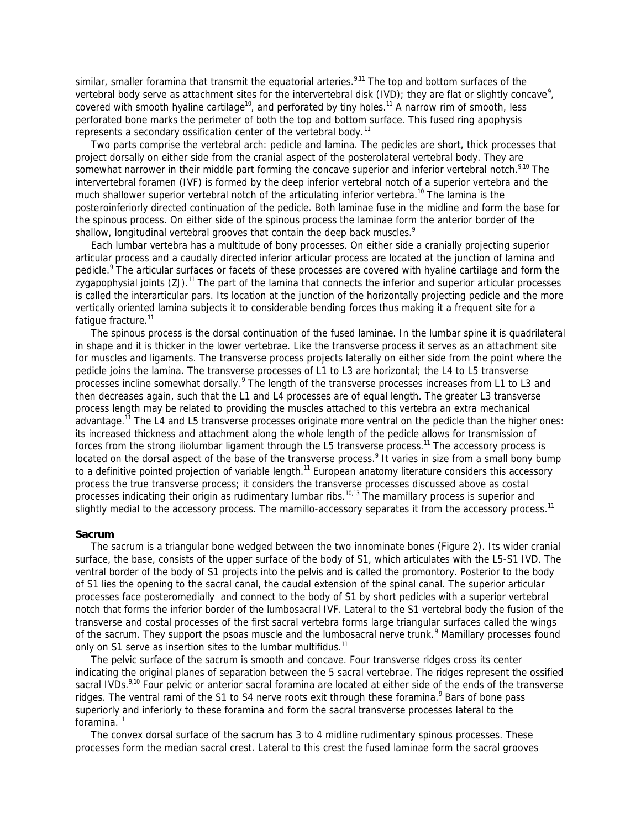similar, smaller foramina that transmit the equatorial arteries.<sup>9,11</sup> The top and bottom surfaces of the vertebral body serve as attachment sites for the intervertebral disk (IVD); they are flat or slightly concave<sup>9</sup>, covered with smooth hyaline cartilage<sup>10</sup>, and perforated by tiny holes.<sup>11</sup> A narrow rim of smooth, less perforated bone marks the perimeter of both the top and bottom surface. This fused ring apophysis represents a secondary ossification center of the vertebral body.<sup>11</sup>

 Two parts comprise the vertebral arch: pedicle and lamina. The pedicles are short, thick processes that project dorsally on either side from the cranial aspect of the posterolateral vertebral body. They are somewhat narrower in their middle part forming the concave superior and inferior vertebral notch.<sup>9,10</sup> The intervertebral foramen (IVF) is formed by the deep inferior vertebral notch of a superior vertebra and the much shallower superior vertebral notch of the articulating inferior vertebra.<sup>10</sup> The lamina is the posteroinferiorly directed continuation of the pedicle. Both laminae fuse in the midline and form the base for the spinous process. On either side of the spinous process the laminae form the anterior border of the shallow, longitudinal vertebral grooves that contain the deep back muscles.<sup>9</sup>

 Each lumbar vertebra has a multitude of bony processes. On either side a cranially projecting superior articular process and a caudally directed inferior articular process are located at the junction of lamina and pedicle.<sup>9</sup> The articular surfaces or facets of these processes are covered with hyaline cartilage and form the zygapophysial joints  $(ZJ)$ .<sup>11</sup> The part of the lamina that connects the inferior and superior articular processes is called the interarticular pars. Its location at the junction of the horizontally projecting pedicle and the more vertically oriented lamina subjects it to considerable bending forces thus making it a frequent site for a fatique fracture.<sup>11</sup>

 The spinous process is the dorsal continuation of the fused laminae. In the lumbar spine it is quadrilateral in shape and it is thicker in the lower vertebrae. Like the transverse process it serves as an attachment site for muscles and ligaments. The transverse process projects laterally on either side from the point where the pedicle joins the lamina. The transverse processes of L1 to L3 are horizontal; the L4 to L5 transverse processes incline somewhat dorsally.<sup>9</sup> The length of the transverse processes increases from L1 to L3 and then decreases again, such that the L1 and L4 processes are of equal length. The greater L3 transverse process length may be related to providing the muscles attached to this vertebra an extra mechanical advantage.<sup>11</sup> The L4 and L5 transverse processes originate more ventral on the pedicle than the higher ones: its increased thickness and attachment along the whole length of the pedicle allows for transmission of forces from the strong iliolumbar ligament through the L5 transverse process.<sup>11</sup> The accessory process is located on the dorsal aspect of the base of the transverse process.<sup>9</sup> It varies in size from a small bony bump to a definitive pointed projection of variable length.<sup>11</sup> European anatomy literature considers this accessory process the true transverse process; it considers the transverse processes discussed above as costal processes indicating their origin as rudimentary lumbar ribs.<sup>10,13</sup> The mamillary process is superior and slightly medial to the accessory process. The mamillo-accessory separates it from the accessory process.<sup>11</sup>

### **Sacrum**

 The sacrum is a triangular bone wedged between the two innominate bones (Figure 2). Its wider cranial surface, the base, consists of the upper surface of the body of S1, which articulates with the L5-S1 IVD. The ventral border of the body of S1 projects into the pelvis and is called the promontory. Posterior to the body of S1 lies the opening to the sacral canal, the caudal extension of the spinal canal. The superior articular processes face posteromedially and connect to the body of S1 by short pedicles with a superior vertebral notch that forms the inferior border of the lumbosacral IVF. Lateral to the S1 vertebral body the fusion of the transverse and costal processes of the first sacral vertebra forms large triangular surfaces called the wings of the sacrum. They support the psoas muscle and the lumbosacral nerve trunk.<sup>9</sup> Mamillary processes found only on S1 serve as insertion sites to the lumbar multifidus.<sup>11</sup>

 The pelvic surface of the sacrum is smooth and concave. Four transverse ridges cross its center indicating the original planes of separation between the 5 sacral vertebrae. The ridges represent the ossified sacral IVDs.<sup>9,10</sup> Four pelvic or anterior sacral foramina are located at either side of the ends of the transverse ridges. The ventral rami of the S1 to S4 nerve roots exit through these foramina.<sup>9</sup> Bars of bone pass superiorly and inferiorly to these foramina and form the sacral transverse processes lateral to the foramina.<sup>11</sup>

 The convex dorsal surface of the sacrum has 3 to 4 midline rudimentary spinous processes. These processes form the median sacral crest. Lateral to this crest the fused laminae form the sacral grooves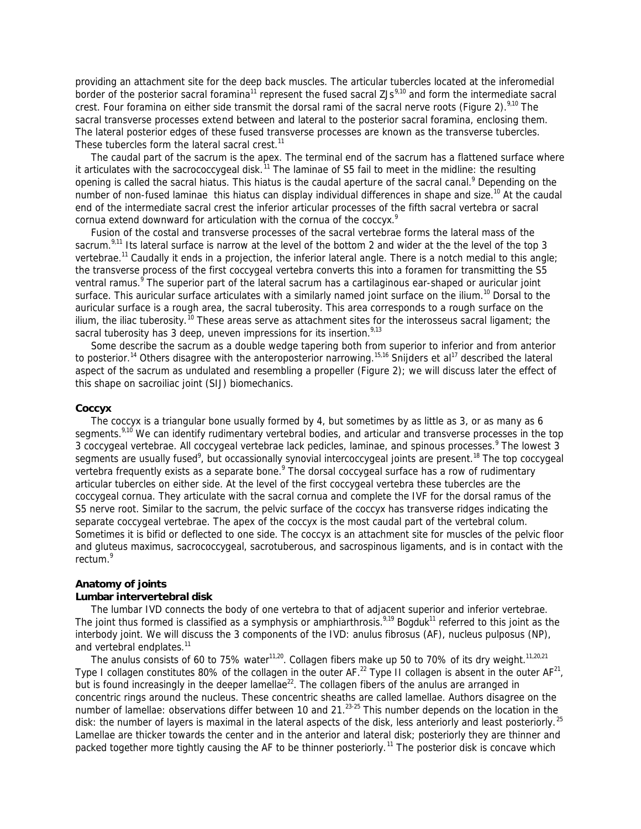providing an attachment site for the deep back muscles. The articular tubercles located at the inferomedial border of the posterior sacral foramina<sup>11</sup> represent the fused sacral ZJs<sup>9,10</sup> and form the intermediate sacral crest. Four foramina on either side transmit the dorsal rami of the sacral nerve roots (Figure 2). $9,10$  The sacral transverse processes extend between and lateral to the posterior sacral foramina, enclosing them. The lateral posterior edges of these fused transverse processes are known as the transverse tubercles. These tubercles form the lateral sacral crest.<sup>11</sup>

 The caudal part of the sacrum is the apex. The terminal end of the sacrum has a flattened surface where it articulates with the sacrococcygeal disk.<sup>11</sup> The laminae of S5 fail to meet in the midline: the resulting opening is called the sacral hiatus. This hiatus is the caudal aperture of the sacral canal.<sup>9</sup> Depending on the number of non-fused laminae this hiatus can display individual differences in shape and size.<sup>10</sup> At the caudal end of the intermediate sacral crest the inferior articular processes of the fifth sacral vertebra or sacral cornua extend downward for articulation with the cornua of the coccyx.<sup>9</sup>

 Fusion of the costal and transverse processes of the sacral vertebrae forms the lateral mass of the sacrum.<sup>9,11</sup> Its lateral surface is narrow at the level of the bottom 2 and wider at the the level of the top 3 vertebrae.<sup>11</sup> Caudally it ends in a projection, the inferior lateral angle. There is a notch medial to this angle; the transverse process of the first coccygeal vertebra converts this into a foramen for transmitting the S5 ventral ramus.<sup>9</sup> The superior part of the lateral sacrum has a cartilaginous ear-shaped or auricular joint surface. This auricular surface articulates with a similarly named joint surface on the ilium.<sup>10</sup> Dorsal to the auricular surface is a rough area, the sacral tuberosity. This area corresponds to a rough surface on the ilium, the iliac tuberosity.<sup>10</sup> These areas serve as attachment sites for the interosseus sacral ligament; the sacral tuberosity has 3 deep, uneven impressions for its insertion.<sup>9,13</sup>

Some describe the sacrum as a double wedge tapering both from superior to inferior and from anterior to posterior.<sup>14</sup> Others disagree with the anteroposterior narrowing.<sup>15,16</sup> Snijders et al<sup>17</sup> described the lateral aspect of the sacrum as undulated and resembling a propeller (Figure 2); we will discuss later the effect of this shape on sacroiliac joint (SIJ) biomechanics.

# **Coccyx**

 The coccyx is a triangular bone usually formed by 4, but sometimes by as little as 3, or as many as 6 segments.<sup>9,10</sup> We can identify rudimentary vertebral bodies, and articular and transverse processes in the top 3 coccygeal vertebrae. All coccygeal vertebrae lack pedicles, laminae, and spinous processes.<sup>9</sup> The lowest 3 segments are usually fused<sup>9</sup>, but occassionally synovial intercoccygeal joints are present.<sup>18</sup> The top coccygeal vertebra frequently exists as a separate bone.<sup>9</sup> The dorsal coccygeal surface has a row of rudimentary articular tubercles on either side. At the level of the first coccygeal vertebra these tubercles are the coccygeal cornua. They articulate with the sacral cornua and complete the IVF for the dorsal ramus of the S5 nerve root. Similar to the sacrum, the pelvic surface of the coccyx has transverse ridges indicating the separate coccygeal vertebrae. The apex of the coccyx is the most caudal part of the vertebral colum. Sometimes it is bifid or deflected to one side. The coccyx is an attachment site for muscles of the pelvic floor and gluteus maximus, sacrococcygeal, sacrotuberous, and sacrospinous ligaments, and is in contact with the rectum.<sup>9</sup>

# **Anatomy of joints Lumbar intervertebral disk**

 The lumbar IVD connects the body of one vertebra to that of adjacent superior and inferior vertebrae. The joint thus formed is classified as a symphysis or amphiarthrosis.<sup>9,19</sup> Bogduk<sup>11</sup> referred to this joint as the interbody joint. We will discuss the 3 components of the IVD: anulus fibrosus (AF), nucleus pulposus (NP), and vertebral endplates.<sup>11</sup>

The anulus consists of 60 to 75% water<sup>11,20</sup>. Collagen fibers make up 50 to 70% of its dry weight.<sup>11,20,21</sup> Type I collagen constitutes 80% of the collagen in the outer AF.<sup>22</sup> Type II collagen is absent in the outer AF<sup>21</sup>, but is found increasingly in the deeper lamellae<sup>22</sup>. The collagen fibers of the anulus are arranged in concentric rings around the nucleus. These concentric sheaths are called lamellae. Authors disagree on the number of lamellae: observations differ between 10 and 21.<sup>23-25</sup> This number depends on the location in the disk: the number of layers is maximal in the lateral aspects of the disk, less anteriorly and least posteriorly.<sup>25</sup> Lamellae are thicker towards the center and in the anterior and lateral disk; posteriorly they are thinner and packed together more tightly causing the AF to be thinner posteriorly.<sup>11</sup> The posterior disk is concave which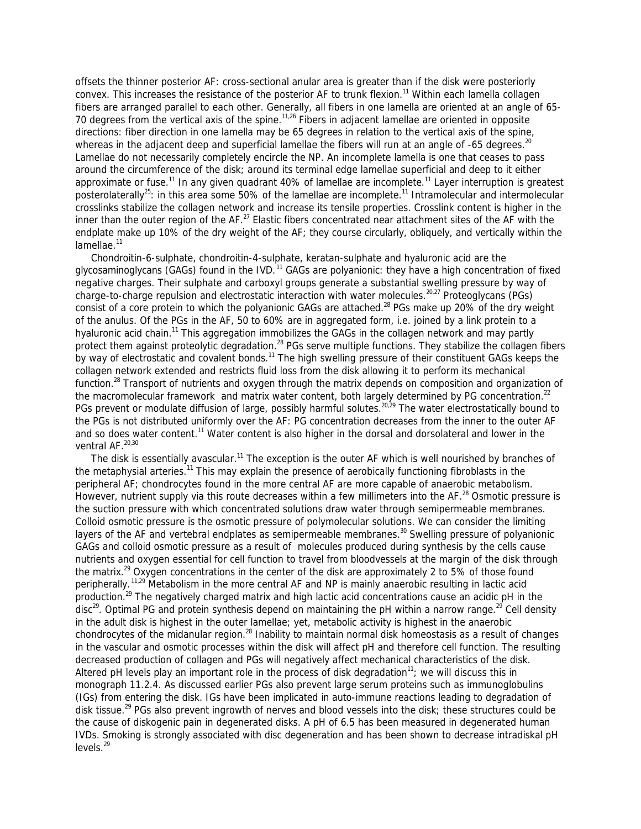offsets the thinner posterior AF: cross-sectional anular area is greater than if the disk were posteriorly convex. This increases the resistance of the posterior AF to trunk flexion.<sup>11</sup> Within each lamella collagen fibers are arranged parallel to each other. Generally, all fibers in one lamella are oriented at an angle of 65- 70 degrees from the vertical axis of the spine.<sup>11,26</sup> Fibers in adjacent lamellae are oriented in opposite directions: fiber direction in one lamella may be 65 degrees in relation to the vertical axis of the spine, whereas in the adjacent deep and superficial lamellae the fibers will run at an angle of -65 degrees.<sup>20</sup> Lamellae do not necessarily completely encircle the NP. An incomplete lamella is one that ceases to pass around the circumference of the disk; around its terminal edge lamellae superficial and deep to it either approximate or fuse.<sup>11</sup> In any given quadrant 40% of lamellae are incomplete.<sup>11</sup> Layer interruption is greatest posterolaterally<sup>25</sup>: in this area some 50% of the lamellae are incomplete.<sup>11</sup> Intramolecular and intermolecular crosslinks stabilize the collagen network and increase its tensile properties. Crosslink content is higher in the inner than the outer region of the AF.<sup>27</sup> Elastic fibers concentrated near attachment sites of the AF with the endplate make up 10% of the dry weight of the AF; they course circularly, obliquely, and vertically within the lamellae.<sup>11</sup>

 Chondroitin-6-sulphate, chondroitin-4-sulphate, keratan-sulphate and hyaluronic acid are the glycosaminoglycans (GAGs) found in the IVD.<sup>11</sup> GAGs are polyanionic: they have a high concentration of fixed negative charges. Their sulphate and carboxyl groups generate a substantial swelling pressure by way of charge-to-charge repulsion and electrostatic interaction with water molecules.<sup>20,27</sup> Proteoglycans (PGs) consist of a core protein to which the polyanionic GAGs are attached.<sup>28</sup> PGs make up 20% of the dry weight of the anulus. Of the PGs in the AF, 50 to 60% are in aggregated form, i.e. joined by a link protein to a hyaluronic acid chain.<sup>11</sup> This aggregation immobilizes the GAGs in the collagen network and may partly protect them against proteolytic degradation.<sup>28</sup> PGs serve multiple functions. They stabilize the collagen fibers by way of electrostatic and covalent bonds.<sup>11</sup> The high swelling pressure of their constituent GAGs keeps the collagen network extended and restricts fluid loss from the disk allowing it to perform its mechanical function.<sup>28</sup> Transport of nutrients and oxygen through the matrix depends on composition and organization of the macromolecular framework and matrix water content, both largely determined by PG concentration.<sup>22</sup> PGs prevent or modulate diffusion of large, possibly harmful solutes.<sup>20,29</sup> The water electrostatically bound to the PGs is not distributed uniformly over the AF: PG concentration decreases from the inner to the outer AF and so does water content.<sup>11</sup> Water content is also higher in the dorsal and dorsolateral and lower in the ventral AF.<sup>20,30</sup>

The disk is essentially avascular.<sup>11</sup> The exception is the outer AF which is well nourished by branches of the metaphysial arteries.<sup>11</sup> This may explain the presence of aerobically functioning fibroblasts in the peripheral AF; chondrocytes found in the more central AF are more capable of anaerobic metabolism. However, nutrient supply via this route decreases within a few millimeters into the AF.<sup>28</sup> Osmotic pressure is the suction pressure with which concentrated solutions draw water through semipermeable membranes. Colloid osmotic pressure is the osmotic pressure of polymolecular solutions. We can consider the limiting layers of the AF and vertebral endplates as semipermeable membranes.<sup>30</sup> Swelling pressure of polyanionic GAGs and colloid osmotic pressure as a result of molecules produced during synthesis by the cells cause nutrients and oxygen essential for cell function to travel from bloodvessels at the margin of the disk through the matrix.<sup>29</sup> Oxygen concentrations in the center of the disk are approximately 2 to 5% of those found peripherally.11,29 Metabolism in the more central AF and NP is mainly anaerobic resulting in lactic acid production.<sup>29</sup> The negatively charged matrix and high lactic acid concentrations cause an acidic pH in the disc<sup>29</sup>. Optimal PG and protein synthesis depend on maintaining the pH within a narrow range.<sup>29</sup> Cell density in the adult disk is highest in the outer lamellae; yet, metabolic activity is highest in the anaerobic chondrocytes of the midanular region.<sup>28</sup> Inability to maintain normal disk homeostasis as a result of changes in the vascular and osmotic processes within the disk will affect pH and therefore cell function. The resulting decreased production of collagen and PGs will negatively affect mechanical characteristics of the disk. Altered pH levels play an important role in the process of disk degradation $11$ ; we will discuss this in monograph 11.2.4. As discussed earlier PGs also prevent large serum proteins such as immunoglobulins (IGs) from entering the disk. IGs have been implicated in auto-immune reactions leading to degradation of disk tissue.<sup>29</sup> PGs also prevent ingrowth of nerves and blood vessels into the disk; these structures could be the cause of diskogenic pain in degenerated disks. A pH of 6.5 has been measured in degenerated human IVDs. Smoking is strongly associated with disc degeneration and has been shown to decrease intradiskal pH  $levels<sup>29</sup>$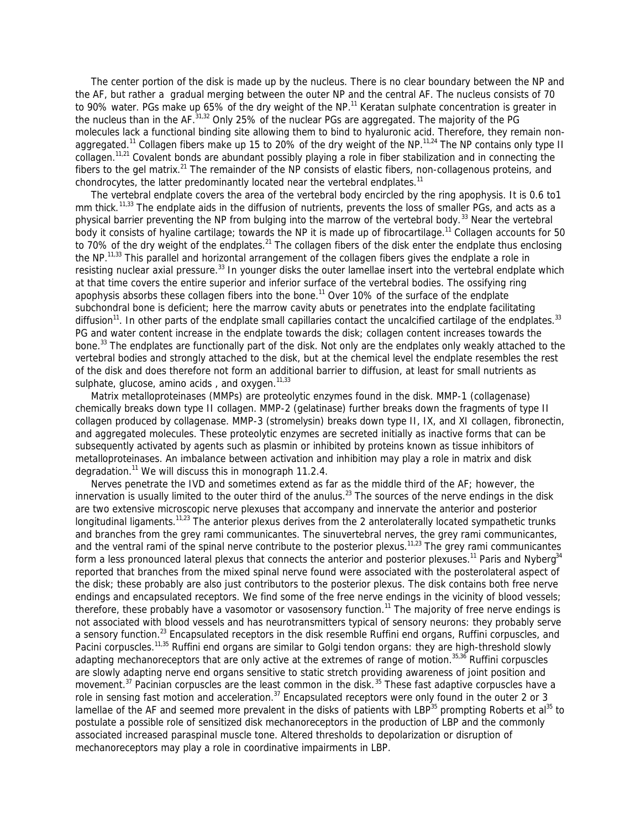The center portion of the disk is made up by the nucleus. There is no clear boundary between the NP and the AF, but rather a gradual merging between the outer NP and the central AF. The nucleus consists of 70 to 90% water. PGs make up 65% of the dry weight of the NP.<sup>11</sup> Keratan sulphate concentration is greater in the nucleus than in the AF.<sup>31,32</sup> Only 25% of the nuclear PGs are aggregated. The majority of the PG molecules lack a functional binding site allowing them to bind to hyaluronic acid. Therefore, they remain nonaggregated.<sup>11</sup> Collagen fibers make up 15 to 20% of the dry weight of the NP.<sup>11,24</sup> The NP contains only type II collagen.11,21 Covalent bonds are abundant possibly playing a role in fiber stabilization and in connecting the fibers to the gel matrix.<sup>21</sup> The remainder of the NP consists of elastic fibers, non-collagenous proteins, and chondrocytes, the latter predominantly located near the vertebral endplates.<sup>11</sup>

 The vertebral endplate covers the area of the vertebral body encircled by the ring apophysis. It is 0.6 to1 mm thick.<sup>11,33</sup> The endplate aids in the diffusion of nutrients, prevents the loss of smaller PGs, and acts as a physical barrier preventing the NP from bulging into the marrow of the vertebral body.<sup>33</sup> Near the vertebral body it consists of hyaline cartilage; towards the NP it is made up of fibrocartilage.<sup>11</sup> Collagen accounts for 50 to 70% of the dry weight of the endplates.<sup>21</sup> The collagen fibers of the disk enter the endplate thus enclosing the NP.<sup>11,33</sup> This parallel and horizontal arrangement of the collagen fibers gives the endplate a role in resisting nuclear axial pressure.<sup>33</sup> In younger disks the outer lamellae insert into the vertebral endplate which at that time covers the entire superior and inferior surface of the vertebral bodies. The ossifying ring apophysis absorbs these collagen fibers into the bone.<sup>11</sup> Over 10% of the surface of the endplate subchondral bone is deficient; here the marrow cavity abuts or penetrates into the endplate facilitating diffusion<sup>11</sup>. In other parts of the endplate small capillaries contact the uncalcified cartilage of the endplates.<sup>33</sup> PG and water content increase in the endplate towards the disk; collagen content increases towards the bone.<sup>33</sup> The endplates are functionally part of the disk. Not only are the endplates only weakly attached to the vertebral bodies and strongly attached to the disk, but at the chemical level the endplate resembles the rest of the disk and does therefore not form an additional barrier to diffusion, at least for small nutrients as sulphate, glucose, amino acids, and oxygen. $11,33$ 

 Matrix metalloproteinases (MMPs) are proteolytic enzymes found in the disk. MMP-1 (collagenase) chemically breaks down type II collagen. MMP-2 (gelatinase) further breaks down the fragments of type II collagen produced by collagenase. MMP-3 (stromelysin) breaks down type II, IX, and XI collagen, fibronectin, and aggregated molecules. These proteolytic enzymes are secreted initially as inactive forms that can be subsequently activated by agents such as plasmin or inhibited by proteins known as tissue inhibitors of metalloproteinases. An imbalance between activation and inhibition may play a role in matrix and disk degradation.<sup>11</sup> We will discuss this in monograph 11.2.4.

 Nerves penetrate the IVD and sometimes extend as far as the middle third of the AF; however, the innervation is usually limited to the outer third of the anulus.<sup>23</sup> The sources of the nerve endings in the disk are two extensive microscopic nerve plexuses that accompany and innervate the anterior and posterior longitudinal ligaments.<sup>11,23</sup> The anterior plexus derives from the 2 anterolaterally located sympathetic trunks and branches from the grey rami communicantes. The sinuvertebral nerves, the grey rami communicantes, and the ventral rami of the spinal nerve contribute to the posterior plexus.<sup>11,23</sup> The grey rami communicantes form a less pronounced lateral plexus that connects the anterior and posterior plexuses.<sup>11</sup> Paris and Nyberg<sup>34</sup> reported that branches from the mixed spinal nerve found were associated with the posterolateral aspect of the disk; these probably are also just contributors to the posterior plexus. The disk contains both free nerve endings and encapsulated receptors. We find some of the free nerve endings in the vicinity of blood vessels; therefore, these probably have a vasomotor or vasosensory function.<sup>11</sup> The majority of free nerve endings is not associated with blood vessels and has neurotransmitters typical of sensory neurons: they probably serve a sensory function.<sup>23</sup> Encapsulated receptors in the disk resemble Ruffini end organs, Ruffini corpuscles, and Pacini corpuscles.<sup>11,35</sup> Ruffini end organs are similar to Golgi tendon organs: they are high-threshold slowly adapting mechanoreceptors that are only active at the extremes of range of motion.<sup>35,36</sup> Ruffini corpuscles are slowly adapting nerve end organs sensitive to static stretch providing awareness of joint position and movement.<sup>37</sup> Pacinian corpuscles are the least common in the disk.<sup>35</sup> These fast adaptive corpuscles have a role in sensing fast motion and acceleration.<sup>37</sup> Encapsulated receptors were only found in the outer 2 or 3 lamellae of the AF and seemed more prevalent in the disks of patients with LBP $^{35}$  prompting Roberts et al $^{35}$  to postulate a possible role of sensitized disk mechanoreceptors in the production of LBP and the commonly associated increased paraspinal muscle tone. Altered thresholds to depolarization or disruption of mechanoreceptors may play a role in coordinative impairments in LBP.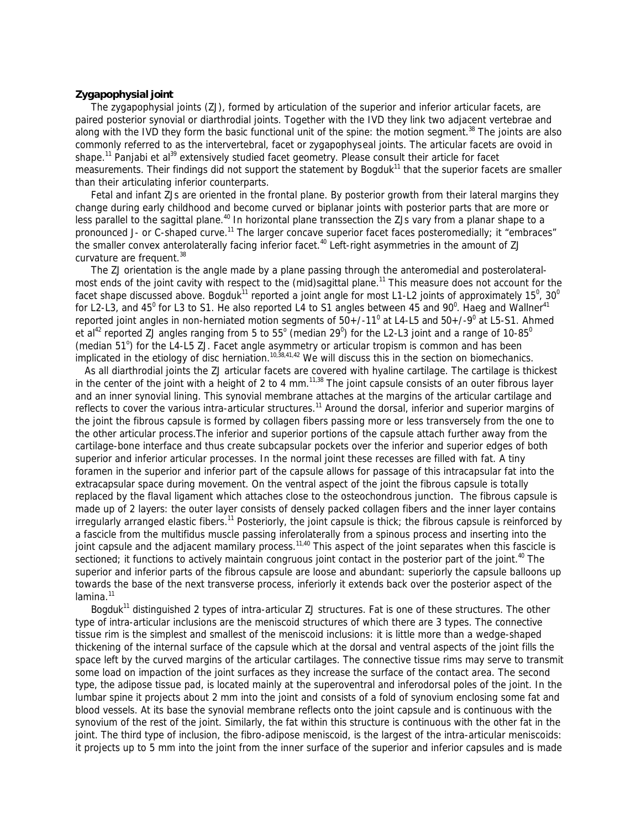# **Zygapophysial joint**

 The zygapophysial joints (ZJ), formed by articulation of the superior and inferior articular facets, are paired posterior synovial or diarthrodial joints. Together with the IVD they link two adjacent vertebrae and along with the IVD they form the basic functional unit of the spine: the motion segment.<sup>38</sup> The joints are also commonly referred to as the intervertebral, facet or zygapophys*e*al joints. The articular facets are ovoid in shape.<sup>11</sup> Panjabi et al<sup>39</sup> extensively studied facet geometry. Please consult their article for facet measurements. Their findings did not support the statement by Bogduk<sup>11</sup> that the superior facets are smaller than their articulating inferior counterparts.

 Fetal and infant ZJs are oriented in the frontal plane. By posterior growth from their lateral margins they change during early childhood and become curved or biplanar joints with posterior parts that are more or less parallel to the sagittal plane.<sup>40</sup> In horizontal plane transsection the ZJs vary from a planar shape to a pronounced J- or C-shaped curve.<sup>11</sup> The larger concave superior facet faces posteromedially; it "embraces" the smaller convex anterolaterally facing inferior facet.<sup>40</sup> Left-right asymmetries in the amount of ZJ curvature are frequent.<sup>38</sup>

 The ZJ orientation is the angle made by a plane passing through the anteromedial and posterolateralmost ends of the joint cavity with respect to the (mid)sagittal plane.<sup>11</sup> This measure does not account for the facet shape discussed above. Bogduk<sup>11</sup> reported a joint angle for most L1-L2 joints of approximately 15<sup>0</sup>, 30<sup>0</sup> for L2-L3, and 45<sup>0</sup> for L3 to S1. He also reported L4 to S1 angles between 45 and 90<sup>0</sup>. Haeg and Wallner<sup>41</sup> reported joint angles in non-herniated motion segments of 50+/-11<sup>0</sup> at L4-L5 and 50+/-9<sup>0</sup> at L5-S1. Ahmed et al<sup>42</sup> reported ZJ angles ranging from 5 to 55° (median 29<sup>0</sup>) for the L2-L3 joint and a range of 10-85<sup>0</sup> (median 51°) for the L4-L5 ZJ. Facet angle asymmetry or articular tropism is common and has been implicated in the etiology of disc herniation.<sup>10,38,41,42</sup> We will discuss this in the section on biomechanics.

 As all diarthrodial joints the ZJ articular facets are covered with hyaline cartilage. The cartilage is thickest in the center of the joint with a height of 2 to 4 mm.<sup>11,38</sup> The joint capsule consists of an outer fibrous layer and an inner synovial lining. This synovial membrane attaches at the margins of the articular cartilage and reflects to cover the various intra-articular structures.<sup>11</sup> Around the dorsal, inferior and superior margins of the joint the fibrous capsule is formed by collagen fibers passing more or less transversely from the one to the other articular process.The inferior and superior portions of the capsule attach further away from the cartilage-bone interface and thus create subcapsular pockets over the inferior and superior edges of both superior and inferior articular processes. In the normal joint these recesses are filled with fat. A tiny foramen in the superior and inferior part of the capsule allows for passage of this intracapsular fat into the extracapsular space during movement. On the ventral aspect of the joint the fibrous capsule is totally replaced by the flaval ligament which attaches close to the osteochondrous junction. The fibrous capsule is made up of 2 layers: the outer layer consists of densely packed collagen fibers and the inner layer contains irregularly arranged elastic fibers.<sup>11</sup> Posteriorly, the joint capsule is thick; the fibrous capsule is reinforced by a fascicle from the multifidus muscle passing inferolaterally from a spinous process and inserting into the joint capsule and the adjacent mamilary process.<sup>11,40</sup> This aspect of the joint separates when this fascicle is sectioned; it functions to actively maintain congruous joint contact in the posterior part of the joint.<sup>40</sup> The superior and inferior parts of the fibrous capsule are loose and abundant: superiorly the capsule balloons up towards the base of the next transverse process, inferiorly it extends back over the posterior aspect of the  $lamina.<sup>11</sup>$ 

Bogduk<sup>11</sup> distinguished 2 types of intra-articular ZJ structures. Fat is one of these structures. The other type of intra-articular inclusions are the meniscoid structures of which there are 3 types. The *connective tissue rim* is the simplest and smallest of the meniscoid inclusions: it is little more than a wedge-shaped thickening of the internal surface of the capsule which at the dorsal and ventral aspects of the joint fills the space left by the curved margins of the articular cartilages. The connective tissue rims may serve to transmit some load on impaction of the joint surfaces as they increase the surface of the contact area. The second type, the *adipose tissue pad*, is located mainly at the superoventral and inferodorsal poles of the joint. In the lumbar spine it projects about 2 mm into the joint and consists of a fold of synovium enclosing some fat and blood vessels. At its base the synovial membrane reflects onto the joint capsule and is continuous with the synovium of the rest of the joint. Similarly, the fat within this structure is continuous with the other fat in the joint. The third type of inclusion, the *fibro-adipose meniscoid*, is the largest of the intra-articular meniscoids: it projects up to 5 mm into the joint from the inner surface of the superior and inferior capsules and is made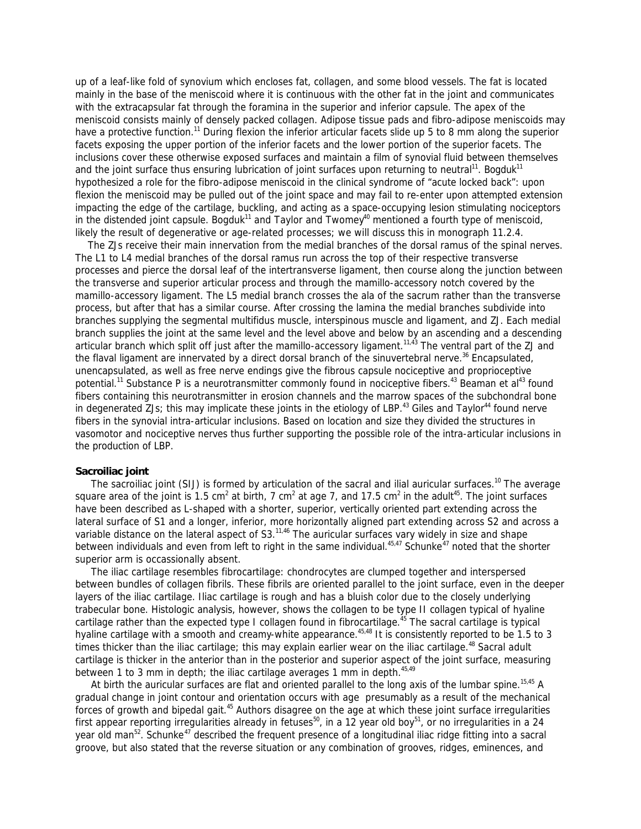up of a leaf-like fold of synovium which encloses fat, collagen, and some blood vessels. The fat is located mainly in the base of the meniscoid where it is continuous with the other fat in the joint and communicates with the extracapsular fat through the foramina in the superior and inferior capsule. The apex of the meniscoid consists mainly of densely packed collagen. Adipose tissue pads and fibro-adipose meniscoids may have a protective function.<sup>11</sup> During flexion the inferior articular facets slide up 5 to 8 mm along the superior facets exposing the upper portion of the inferior facets and the lower portion of the superior facets. The inclusions cover these otherwise exposed surfaces and maintain a film of synovial fluid between themselves and the joint surface thus ensuring lubrication of joint surfaces upon returning to neutral<sup>11</sup>. Bogduk<sup>11</sup> hypothesized a role for the fibro-adipose meniscoid in the clinical syndrome of "acute locked back": upon flexion the meniscoid may be pulled out of the joint space and may fail to re-enter upon attempted extension impacting the edge of the cartilage, buckling, and acting as a space-occupying lesion stimulating nociceptors in the distended joint capsule. Bogduk<sup>11</sup> and Taylor and Twomey<sup>40</sup> mentioned a fourth type of meniscoid, likely the result of degenerative or age-related processes; we will discuss this in monograph 11.2.4.

 The ZJs receive their main innervation from the medial branches of the dorsal ramus of the spinal nerves. The L1 to L4 medial branches of the dorsal ramus run across the top of their respective transverse processes and pierce the dorsal leaf of the intertransverse ligament, then course along the junction between the transverse and superior articular process and through the mamillo-accessory notch covered by the mamillo-accessory ligament. The L5 medial branch crosses the ala of the sacrum rather than the transverse process, but after that has a similar course. After crossing the lamina the medial branches subdivide into branches supplying the segmental multifidus muscle, interspinous muscle and ligament, and ZJ. Each medial branch supplies the joint at the same level and the level above and below by an ascending and a descending articular branch which split off just after the mamillo-accessory ligament.<sup>11,43</sup> The ventral part of the ZJ and the flaval ligament are innervated by a direct dorsal branch of the sinuvertebral nerve.<sup>36</sup> Encapsulated, unencapsulated, as well as free nerve endings give the fibrous capsule nociceptive and proprioceptive potential.<sup>11</sup> Substance P is a neurotransmitter commonly found in nociceptive fibers.<sup>43</sup> Beaman et al<sup>43</sup> found fibers containing this neurotransmitter in erosion channels and the marrow spaces of the subchondral bone in degenerated ZJs; this may implicate these joints in the etiology of LBP.<sup>43</sup> Giles and Taylor<sup>44</sup> found nerve fibers in the synovial intra-articular inclusions. Based on location and size they divided the structures in vasomotor and nociceptive nerves thus further supporting the possible role of the intra-articular inclusions in the production of LBP.

# **Sacroiliac joint**

The sacroiliac joint (SIJ) is formed by articulation of the sacral and ilial auricular surfaces.<sup>10</sup> The average square area of the joint is 1.5 cm<sup>2</sup> at birth, 7 cm<sup>2</sup> at age 7, and 17.5 cm<sup>2</sup> in the adult<sup>45</sup>. The joint surfaces have been described as L-shaped with a shorter, superior, vertically oriented part extending across the lateral surface of S1 and a longer, inferior, more horizontally aligned part extending across S2 and across a variable distance on the lateral aspect of S3.<sup>11,46</sup> The auricular surfaces vary widely in size and shape between individuals and even from left to right in the same individual.<sup>45,47</sup> Schunke<sup>47</sup> noted that the shorter superior arm is occassionally absent.

 The iliac cartilage resembles fibrocartilage: chondrocytes are clumped together and interspersed between bundles of collagen fibrils. These fibrils are oriented parallel to the joint surface, even in the deeper layers of the iliac cartilage. Iliac cartilage is rough and has a bluish color due to the closely underlying trabecular bone. Histologic analysis, however, shows the collagen to be type II collagen typical of hyaline cartilage rather than the expected type I collagen found in fibrocartilage.<sup>45</sup> The sacral cartilage is typical hyaline cartilage with a smooth and creamy-white appearance.<sup>45,48</sup> It is consistently reported to be 1.5 to 3 times thicker than the iliac cartilage; this may explain earlier wear on the iliac cartilage.<sup>48</sup> Sacral adult cartilage is thicker in the anterior than in the posterior and superior aspect of the joint surface, measuring between 1 to 3 mm in depth; the iliac cartilage averages 1 mm in depth.  $45.49$ 

At birth the auricular surfaces are flat and oriented parallel to the long axis of the lumbar spine.<sup>15,45</sup> A gradual change in joint contour and orientation occurs with age presumably as a result of the mechanical forces of growth and bipedal gait.<sup>45</sup> Authors disagree on the age at which these joint surface irregularities first appear reporting irregularities already in fetuses<sup>50</sup>, in a 12 year old boy<sup>51</sup>, or no irregularities in a 24 year old man<sup>52</sup>. Schunke<sup>47</sup> described the frequent presence of a longitudinal iliac ridge fitting into a sacral groove, but also stated that the reverse situation or any combination of grooves, ridges, eminences, and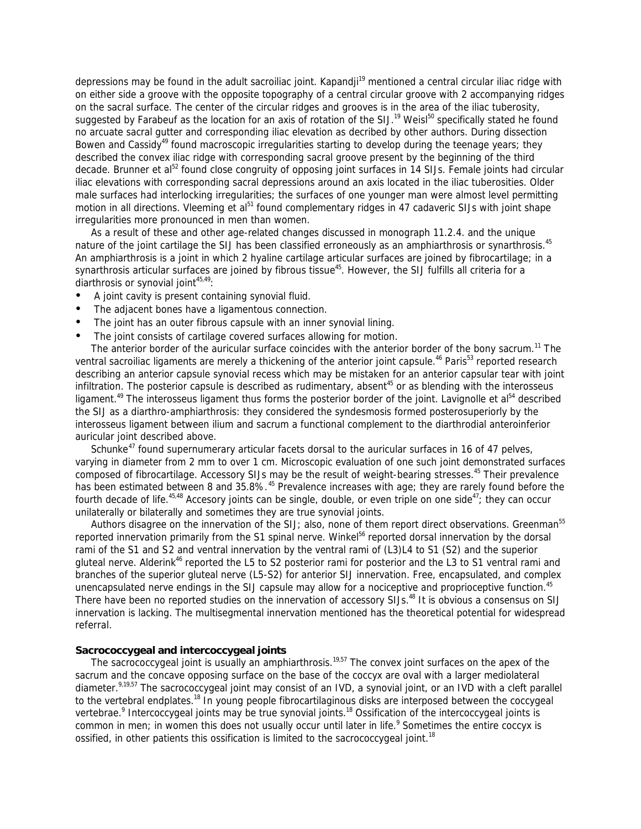depressions may be found in the adult sacroiliac joint. Kapandji<sup>19</sup> mentioned a central circular iliac ridge with on either side a groove with the opposite topography of a central circular groove with 2 accompanying ridges on the sacral surface. The center of the circular ridges and grooves is in the area of the iliac tuberosity, suggested by Farabeuf as the location for an axis of rotation of the SIJ.<sup>19</sup> Weisl<sup>50</sup> specifically stated he found no arcuate sacral gutter and corresponding iliac elevation as decribed by other authors. During dissection Bowen and Cassidy<sup>49</sup> found macroscopic irregularities starting to develop during the teenage years; they described the convex iliac ridge with corresponding sacral groove present by the beginning of the third decade. Brunner et al<sup>52</sup> found close congruity of opposing joint surfaces in 14 SIJs. Female joints had circular iliac elevations with corresponding sacral depressions around an axis located in the iliac tuberosities. Older male surfaces had interlocking irregularities; the surfaces of one younger man were almost level permitting motion in all directions. Vleeming et al<sup>51</sup> found complementary ridges in 47 cadaveric SIJs with joint shape irregularities more pronounced in men than women.

 As a result of these and other age-related changes discussed in monograph 11.2.4. and the unique nature of the joint cartilage the SIJ has been classified erroneously as an amphiarthrosis or synarthrosis.<sup>45</sup> An amphiarthrosis is a joint in which 2 hyaline cartilage articular surfaces are joined by fibrocartilage; in a synarthrosis articular surfaces are joined by fibrous tissue<sup>45</sup>. However, the SIJ fulfills all criteria for a diarthrosis or synovial joint<sup>45,49</sup>:

- A joint cavity is present containing synovial fluid.
- The adjacent bones have a ligamentous connection.
- The joint has an outer fibrous capsule with an inner synovial lining.
- The joint consists of cartilage covered surfaces allowing for motion.

The anterior border of the auricular surface coincides with the anterior border of the bony sacrum.<sup>11</sup> The ventral sacroiliac ligaments are merely a thickening of the anterior joint capsule.<sup>46</sup> Paris<sup>53</sup> reported research describing an anterior capsule synovial recess which may be mistaken for an anterior capsular tear with joint infiltration. The posterior capsule is described as rudimentary, absent<sup>45</sup> or as blending with the interosseus ligament.<sup>49</sup> The interosseus ligament thus forms the posterior border of the joint. Lavignolle et al<sup>54</sup> described the SIJ as a diarthro-amphiarthrosis: they considered the syndesmosis formed posterosuperiorly by the interosseus ligament between ilium and sacrum a functional complement to the diarthrodial anteroinferior auricular joint described above.

Schunke<sup>47</sup> found supernumerary articular facets dorsal to the auricular surfaces in 16 of 47 pelves, varying in diameter from 2 mm to over 1 cm. Microscopic evaluation of one such joint demonstrated surfaces composed of fibrocartilage. Accessory SIJs may be the result of weight-bearing stresses.<sup>45</sup> Their prevalence has been estimated between 8 and 35.8%.<sup>45</sup> Prevalence increases with age; they are rarely found before the fourth decade of life.<sup>45,48</sup> Accesory joints can be single, double, or even triple on one side<sup>47</sup>; they can occur unilaterally or bilaterally and sometimes they are true synovial joints.

Authors disagree on the innervation of the SIJ; also, none of them report direct observations. Greenman<sup>55</sup> reported innervation primarily from the S1 spinal nerve. Winkel<sup>56</sup> reported dorsal innervation by the dorsal rami of the S1 and S2 and ventral innervation by the ventral rami of (L3)L4 to S1 (S2) and the superior gluteal nerve. Alderink<sup>46</sup> reported the L5 to S2 posterior rami for posterior and the L3 to S1 ventral rami and branches of the superior gluteal nerve (L5-S2) for anterior SIJ innervation. Free, encapsulated, and complex unencapsulated nerve endings in the SIJ capsule may allow for a nociceptive and proprioceptive function.<sup>45</sup> There have been no reported studies on the innervation of accessory SIJs.<sup>48</sup> It is obvious a consensus on SIJ innervation is lacking. The multisegmental innervation mentioned has the theoretical potential for widespread referral.

# **Sacrococcygeal and intercoccygeal joints**

The sacrococcygeal joint is usually an amphiarthrosis.<sup>19,57</sup> The convex joint surfaces on the apex of the sacrum and the concave opposing surface on the base of the coccyx are oval with a larger mediolateral diameter.<sup>9,19,57</sup> The sacrococcygeal joint may consist of an IVD, a synovial joint, or an IVD with a cleft parallel to the vertebral endplates.<sup>18</sup> In young people fibrocartilaginous disks are interposed between the coccygeal vertebrae.<sup>9</sup> Intercoccygeal joints may be true synovial joints.<sup>18</sup> Ossification of the intercoccygeal joints is common in men; in women this does not usually occur until later in life.<sup>9</sup> Sometimes the entire coccyx is ossified, in other patients this ossification is limited to the sacrococcygeal joint.<sup>18</sup>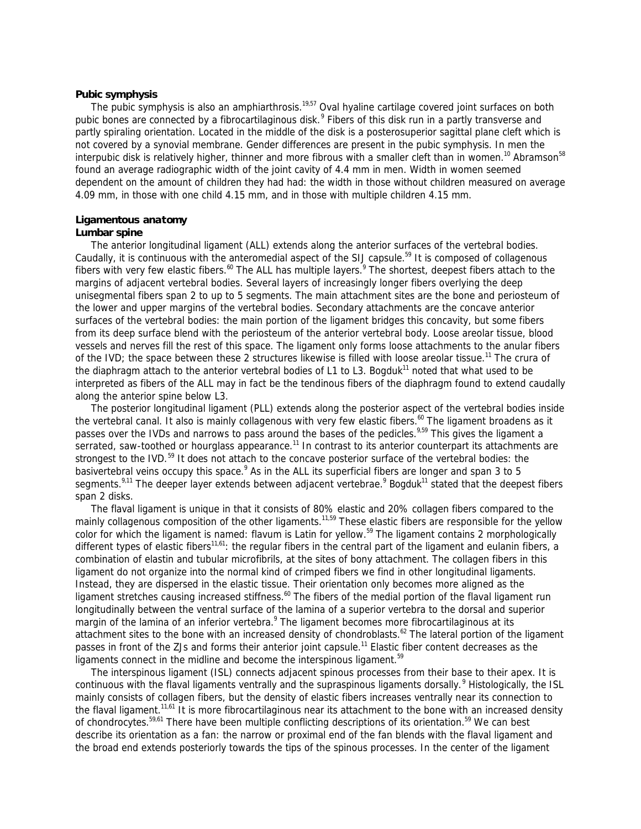# **Pubic symphysis**

The pubic symphysis is also an amphiarthrosis.<sup>19,57</sup> Oval hyaline cartilage covered joint surfaces on both pubic bones are connected by a fibrocartilaginous disk.<sup>9</sup> Fibers of this disk run in a partly transverse and partly spiraling orientation. Located in the middle of the disk is a posterosuperior sagittal plane cleft which is not covered by a synovial membrane. Gender differences are present in the pubic symphysis. In men the interpubic disk is relatively higher, thinner and more fibrous with a smaller cleft than in women.<sup>10</sup> Abramson<sup>58</sup> found an average radiographic width of the joint cavity of 4.4 mm in men. Width in women seemed dependent on the amount of children they had had: the width in those without children measured on average 4.09 mm, in those with one child 4.15 mm, and in those with multiple children 4.15 mm.

# **Ligamentous anatomy**

# **Lumbar spine**

 The anterior longitudinal ligament (ALL) extends along the anterior surfaces of the vertebral bodies. Caudally, it is continuous with the anteromedial aspect of the SIJ capsule.<sup>59</sup> It is composed of collagenous fibers with very few elastic fibers.<sup>60</sup> The ALL has multiple layers.<sup>9</sup> The shortest, deepest fibers attach to the margins of adjacent vertebral bodies. Several layers of increasingly longer fibers overlying the deep unisegmental fibers span 2 to up to 5 segments. The main attachment sites are the bone and periosteum of the lower and upper margins of the vertebral bodies. Secondary attachments are the concave anterior surfaces of the vertebral bodies: the main portion of the ligament bridges this concavity, but some fibers from its deep surface blend with the periosteum of the anterior vertebral body. Loose areolar tissue, blood vessels and nerves fill the rest of this space. The ligament only forms loose attachments to the anular fibers of the IVD; the space between these 2 structures likewise is filled with loose areolar tissue.<sup>11</sup> The crura of the diaphragm attach to the anterior vertebral bodies of L1 to L3. Bogduk<sup>11</sup> noted that what used to be interpreted as fibers of the ALL may in fact be the tendinous fibers of the diaphragm found to extend caudally along the anterior spine below L3.

 The posterior longitudinal ligament (PLL) extends along the posterior aspect of the vertebral bodies inside the vertebral canal. It also is mainly collagenous with very few elastic fibers.<sup>60</sup> The ligament broadens as it passes over the IVDs and narrows to pass around the bases of the pedicles.<sup>9,59</sup> This gives the ligament a serrated, saw-toothed or hourglass appearance.<sup>11</sup> In contrast to its anterior counterpart its attachments are strongest to the IVD.<sup>59</sup> It does not attach to the concave posterior surface of the vertebral bodies: the basivertebral veins occupy this space.<sup>9</sup> As in the ALL its superficial fibers are longer and span 3 to 5 segments.<sup>9,11</sup> The deeper layer extends between adjacent vertebrae.<sup>9</sup> Bogduk<sup>11</sup> stated that the deepest fibers span 2 disks.

 The flaval ligament is unique in that it consists of 80% elastic and 20% collagen fibers compared to the mainly collagenous composition of the other ligaments.<sup>11,59</sup> These elastic fibers are responsible for the yellow color for which the ligament is named: flavum is Latin for yellow.<sup>59</sup> The ligament contains 2 morphologically different types of elastic fibers<sup>11,61</sup>: the regular fibers in the central part of the ligament and eulanin fibers, a combination of elastin and tubular microfibrils, at the sites of bony attachment. The collagen fibers in this ligament do not organize into the normal kind of crimped fibers we find in other longitudinal ligaments. Instead, they are dispersed in the elastic tissue. Their orientation only becomes more aligned as the ligament stretches causing increased stiffness.<sup>60</sup> The fibers of the medial portion of the flaval ligament run longitudinally between the ventral surface of the lamina of a superior vertebra to the dorsal and superior margin of the lamina of an inferior vertebra.<sup>9</sup> The ligament becomes more fibrocartilaginous at its attachment sites to the bone with an increased density of chondroblasts.<sup>62</sup> The lateral portion of the ligament passes in front of the ZJs and forms their anterior joint capsule.<sup>11</sup> Elastic fiber content decreases as the ligaments connect in the midline and become the interspinous ligament.<sup>59</sup>

 The interspinous ligament (ISL) connects adjacent spinous processes from their base to their apex. It is continuous with the flaval ligaments ventrally and the supraspinous ligaments dorsally.<sup>9</sup> Histologically, the ISL mainly consists of collagen fibers, but the density of elastic fibers increases ventrally near its connection to the flaval ligament.<sup>11,61</sup> It is more fibrocartilaginous near its attachment to the bone with an increased density of chondrocytes.<sup>59,61</sup> There have been multiple conflicting descriptions of its orientation.<sup>59</sup> We can best describe its orientation as a fan: the narrow or proximal end of the fan blends with the flaval ligament and the broad end extends posteriorly towards the tips of the spinous processes. In the center of the ligament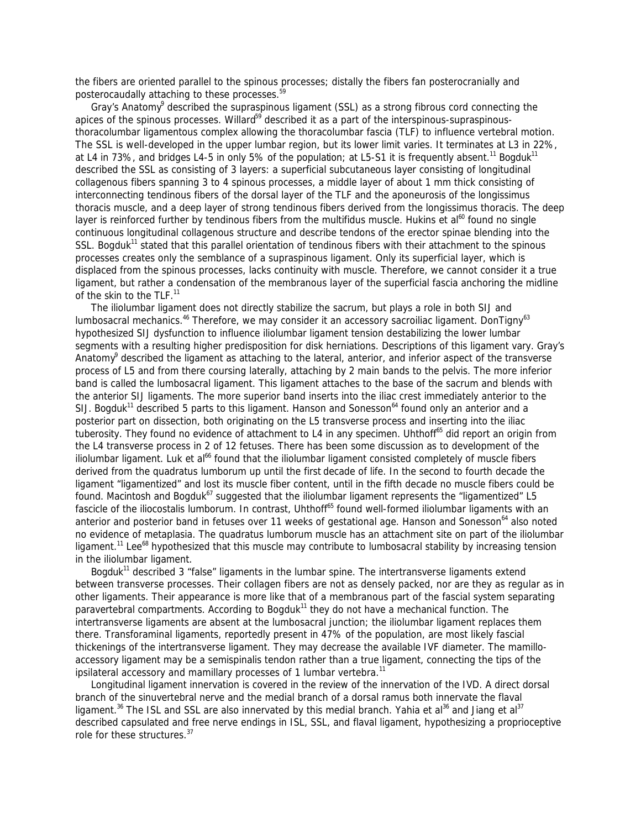the fibers are oriented parallel to the spinous processes; distally the fibers fan posterocranially and posterocaudally attaching to these processes.<sup>59</sup>

Gray's Anatomy<sup>9</sup> described the supraspinous ligament (SSL) as a strong fibrous cord connecting the apices of the spinous processes. Willard<sup>59</sup> described it as a part of the interspinous-supraspinousthoracolumbar ligamentous complex allowing the thoracolumbar fascia (TLF) to influence vertebral motion. The SSL is well-developed in the upper lumbar region, but its lower limit varies. It terminates at L3 in 22%, at L4 in 73%, and bridges L4-5 in only 5% of the population; at L5-S1 it is frequently absent.<sup>11</sup> Bogduk<sup>11</sup> described the SSL as consisting of 3 layers: a superficial subcutaneous layer consisting of longitudinal collagenous fibers spanning 3 to 4 spinous processes, a middle layer of about 1 mm thick consisting of interconnecting tendinous fibers of the dorsal layer of the TLF and the aponeurosis of the longissimus thoracis muscle, and a deep layer of strong tendinous fibers derived from the longissimus thoracis. The deep layer is reinforced further by tendinous fibers from the multifidus muscle. Hukins et al<sup>60</sup> found no single continuous longitudinal collagenous structure and describe tendons of the erector spinae blending into the SSL. Bogduk<sup>11</sup> stated that this parallel orientation of tendinous fibers with their attachment to the spinous processes creates only the semblance of a supraspinous ligament. Only its superficial layer, which is displaced from the spinous processes, lacks continuity with muscle. Therefore, we cannot consider it a true ligament, but rather a condensation of the membranous layer of the superficial fascia anchoring the midline of the skin to the TLF.<sup>11</sup>

 The iliolumbar ligament does not directly stabilize the sacrum, but plays a role in both SIJ and lumbosacral mechanics.<sup>46</sup> Therefore, we may consider it an accessory sacroiliac ligament. DonTigny<sup>63</sup> hypothesized SIJ dysfunction to influence iliolumbar ligament tension destabilizing the lower lumbar segments with a resulting higher predisposition for disk herniations. Descriptions of this ligament vary. Gray's Anatomy<sup>9</sup> described the ligament as attaching to the lateral, anterior, and inferior aspect of the transverse process of L5 and from there coursing laterally, attaching by 2 main bands to the pelvis. The more inferior band is called the lumbosacral ligament. This ligament attaches to the base of the sacrum and blends with the anterior SIJ ligaments. The more superior band inserts into the iliac crest immediately anterior to the SIJ. Bogduk<sup>11</sup> described 5 parts to this ligament. Hanson and Sonesson<sup>64</sup> found only an anterior and a posterior part on dissection, both originating on the L5 transverse process and inserting into the iliac tuberosity. They found no evidence of attachment to L4 in any specimen. Uhthoff<sup>65</sup> did report an origin from the L4 transverse process in 2 of 12 fetuses. There has been some discussion as to development of the iliolumbar ligament. Luk et al<sup>66</sup> found that the iliolumbar ligament consisted completely of muscle fibers derived from the quadratus lumborum up until the first decade of life. In the second to fourth decade the ligament "ligamentized" and lost its muscle fiber content, until in the fifth decade no muscle fibers could be found. Macintosh and Bogduk<sup>67</sup> suggested that the iliolumbar ligament represents the "ligamentized" L5 fascicle of the iliocostalis lumborum. In contrast, Uhthoff<sup>65</sup> found well-formed iliolumbar ligaments with an anterior and posterior band in fetuses over 11 weeks of gestational age. Hanson and Sonesson<sup>64</sup> also noted no evidence of metaplasia. The quadratus lumborum muscle has an attachment site on part of the iliolumbar ligament.<sup>11</sup> Lee<sup>68</sup> hypothesized that this muscle may contribute to lumbosacral stability by increasing tension in the iliolumbar ligament.

Bogduk<sup>11</sup> described 3 "false" ligaments in the lumbar spine. The intertransverse ligaments extend between transverse processes. Their collagen fibers are not as densely packed, nor are they as regular as in other ligaments. Their appearance is more like that of a membranous part of the fascial system separating paravertebral compartments. According to Bogduk<sup>11</sup> they do not have a mechanical function. The intertransverse ligaments are absent at the lumbosacral junction; the iliolumbar ligament replaces them there. Transforaminal ligaments, reportedly present in 47% of the population, are most likely fascial thickenings of the intertransverse ligament. They may decrease the available IVF diameter. The mamilloaccessory ligament may be a semispinalis tendon rather than a true ligament, connecting the tips of the ipsilateral accessory and mamillary processes of 1 lumbar vertebra.<sup>11</sup>

 Longitudinal ligament innervation is covered in the review of the innervation of the IVD. A direct dorsal branch of the sinuvertebral nerve and the medial branch of a dorsal ramus both innervate the flaval ligament.<sup>36</sup> The ISL and SSL are also innervated by this medial branch. Yahia et al<sup>36</sup> and Jiang et al<sup>37</sup> described capsulated and free nerve endings in ISL, SSL, and flaval ligament, hypothesizing a proprioceptive role for these structures.<sup>37</sup>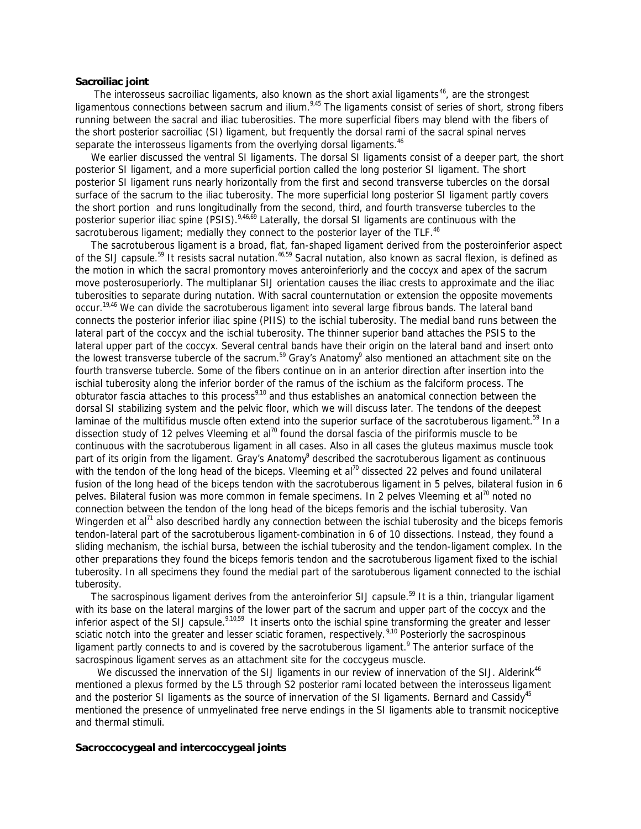# **Sacroiliac joint**

The interosseus sacroiliac ligaments, also known as the short axial ligaments<sup>46</sup>, are the strongest ligamentous connections between sacrum and ilium.<sup>9,45</sup> The ligaments consist of series of short, strong fibers running between the sacral and iliac tuberosities. The more superficial fibers may blend with the fibers of the short posterior sacroiliac (SI) ligament, but frequently the dorsal rami of the sacral spinal nerves separate the interosseus ligaments from the overlying dorsal ligaments.<sup>46</sup>

We earlier discussed the ventral SI ligaments. The dorsal SI ligaments consist of a deeper part, the short posterior SI ligament, and a more superficial portion called the long posterior SI ligament. The short posterior SI ligament runs nearly horizontally from the first and second transverse tubercles on the dorsal surface of the sacrum to the iliac tuberosity. The more superficial long posterior SI ligament partly covers the short portion and runs longitudinally from the second, third, and fourth transverse tubercles to the posterior superior iliac spine (PSIS).<sup>9,46,69</sup> Laterally, the dorsal SI ligaments are continuous with the sacrotuberous ligament; medially they connect to the posterior layer of the TLF.<sup>46</sup>

 The sacrotuberous ligament is a broad, flat, fan-shaped ligament derived from the posteroinferior aspect of the SIJ capsule.<sup>59</sup> It resists sacral nutation.<sup>46,59</sup> Sacral nutation, also known as sacral flexion, is defined as the motion in which the sacral promontory moves anteroinferiorly and the coccyx and apex of the sacrum move posterosuperiorly. The multiplanar SIJ orientation causes the iliac crests to approximate and the iliac tuberosities to separate during nutation. With sacral counternutation or extension the opposite movements occur.19,46 We can divide the sacrotuberous ligament into several large fibrous bands. The lateral band connects the posterior inferior iliac spine (PIIS) to the ischial tuberosity. The medial band runs between the lateral part of the coccyx and the ischial tuberosity. The thinner superior band attaches the PSIS to the lateral upper part of the coccyx. Several central bands have their origin on the lateral band and insert onto the lowest transverse tubercle of the sacrum.<sup>59</sup> Gray's Anatomy<sup>9</sup> also mentioned an attachment site on the fourth transverse tubercle. Some of the fibers continue on in an anterior direction after insertion into the ischial tuberosity along the inferior border of the ramus of the ischium as the falciform process. The obturator fascia attaches to this process<sup>9,10</sup> and thus establishes an anatomical connection between the dorsal SI stabilizing system and the pelvic floor, which we will discuss later. The tendons of the deepest laminae of the multifidus muscle often extend into the superior surface of the sacrotuberous ligament.<sup>59</sup> In a dissection study of 12 pelves Vleeming et al<sup>70</sup> found the dorsal fascia of the piriformis muscle to be continuous with the sacrotuberous ligament in all cases. Also in all cases the gluteus maximus muscle took part of its origin from the ligament. Gray's Anatomy<sup>9</sup> described the sacrotuberous ligament as continuous with the tendon of the long head of the biceps. Vleeming et al<sup>70</sup> dissected 22 pelves and found unilateral fusion of the long head of the biceps tendon with the sacrotuberous ligament in 5 pelves, bilateral fusion in 6 pelves. Bilateral fusion was more common in female specimens. In 2 pelves Vleeming et al<sup>70</sup> noted no connection between the tendon of the long head of the biceps femoris and the ischial tuberosity. Van Wingerden et al<sup>71</sup> also described hardly any connection between the ischial tuberosity and the biceps femoris tendon-lateral part of the sacrotuberous ligament-combination in 6 of 10 dissections. Instead, they found a sliding mechanism, the ischial bursa, between the ischial tuberosity and the tendon-ligament complex. In the other preparations they found the biceps femoris tendon and the sacrotuberous ligament fixed to the ischial tuberosity. In all specimens they found the medial part of the sarotuberous ligament connected to the ischial tuberosity.

The sacrospinous ligament derives from the anteroinferior SIJ capsule.<sup>59</sup> It is a thin, triangular ligament with its base on the lateral margins of the lower part of the sacrum and upper part of the coccyx and the inferior aspect of the SIJ capsule.<sup>9,10,59</sup> It inserts onto the ischial spine transforming the greater and lesser sciatic notch into the greater and lesser sciatic foramen, respectively.<sup>9,10</sup> Posteriorly the sacrospinous ligament partly connects to and is covered by the sacrotuberous ligament.<sup>9</sup> The anterior surface of the sacrospinous ligament serves as an attachment site for the coccygeus muscle.

We discussed the innervation of the SIJ ligaments in our review of innervation of the SIJ. Alderink<sup>46</sup> mentioned a plexus formed by the L5 through S2 posterior rami located between the interosseus ligament and the posterior SI ligaments as the source of innervation of the SI ligaments. Bernard and Cassidy<sup>45</sup> mentioned the presence of unmyelinated free nerve endings in the SI ligaments able to transmit nociceptive and thermal stimuli.

## **Sacroccocygeal and intercoccygeal joints**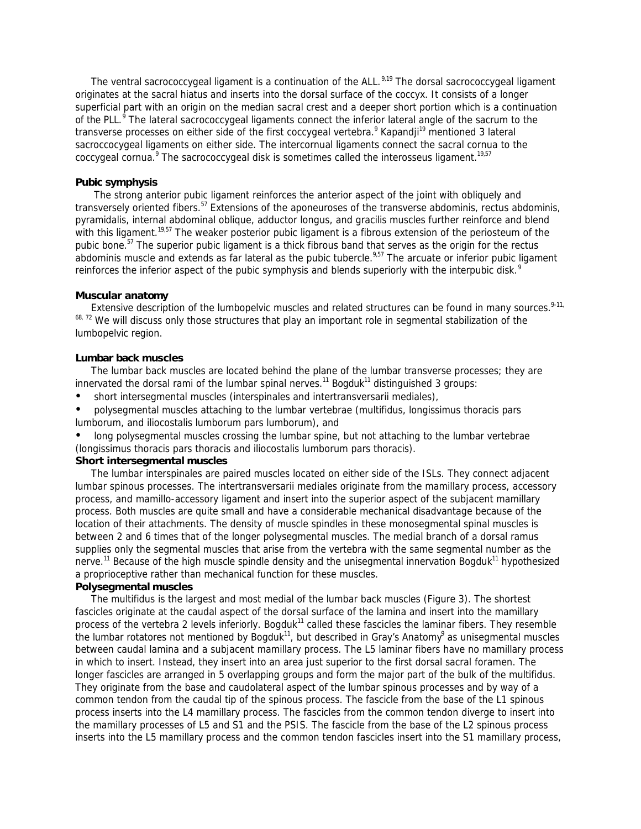The ventral sacrococcygeal ligament is a continuation of the ALL.<sup>9,19</sup> The dorsal sacrococcygeal ligament originates at the sacral hiatus and inserts into the dorsal surface of the coccyx. It consists of a longer superficial part with an origin on the median sacral crest and a deeper short portion which is a continuation of the PLL.<sup>9</sup> The lateral sacrococcygeal ligaments connect the inferior lateral angle of the sacrum to the transverse processes on either side of the first coccygeal vertebra.<sup>9</sup> Kapandji<sup>19</sup> mentioned 3 lateral sacroccocygeal ligaments on either side. The intercornual ligaments connect the sacral cornua to the coccygeal cornua.<sup>9</sup> The sacrococcygeal disk is sometimes called the interosseus ligament.<sup>19,57</sup>

# **Pubic symphysis**

 The strong anterior pubic ligament reinforces the anterior aspect of the joint with obliquely and transversely oriented fibers.<sup>57</sup> Extensions of the aponeuroses of the transverse abdominis, rectus abdominis, pyramidalis, internal abdominal oblique, adductor longus, and gracilis muscles further reinforce and blend with this ligament.<sup>19,57</sup> The weaker posterior pubic ligament is a fibrous extension of the periosteum of the pubic bone.<sup>57</sup> The superior pubic ligament is a thick fibrous band that serves as the origin for the rectus abdominis muscle and extends as far lateral as the pubic tubercle.<sup>9,57</sup> The arcuate or inferior pubic ligament reinforces the inferior aspect of the pubic symphysis and blends superiorly with the interpubic disk.<sup>9</sup>

### **Muscular anatomy**

Extensive description of the lumbopelvic muscles and related structures can be found in many sources.<sup>9-11,</sup> 68, 72 We will discuss only those structures that play an important role in segmental stabilization of the lumbopelvic region.

### **Lumbar back muscles**

 The lumbar back muscles are located behind the plane of the lumbar transverse processes; they are innervated the dorsal rami of the lumbar spinal nerves.<sup>11</sup> Bogduk<sup>11</sup> distinguished 3 groups:

- short intersegmental muscles (interspinales and intertransversarii mediales),
- polysegmental muscles attaching to the lumbar vertebrae (multifidus, longissimus thoracis pars lumborum, and iliocostalis lumborum pars lumborum), and
- long polysegmental muscles crossing the lumbar spine, but not attaching to the lumbar vertebrae (longissimus thoracis pars thoracis and iliocostalis lumborum pars thoracis).

# *Short intersegmental muscles*

 The lumbar interspinales are paired muscles located on either side of the ISLs. They connect adjacent lumbar spinous processes. The intertransversarii mediales originate from the mamillary process, accessory process, and mamillo-accessory ligament and insert into the superior aspect of the subjacent mamillary process. Both muscles are quite small and have a considerable mechanical disadvantage because of the location of their attachments. The density of muscle spindles in these monosegmental spinal muscles is between 2 and 6 times that of the longer polysegmental muscles. The medial branch of a dorsal ramus supplies only the segmental muscles that arise from the vertebra with the same segmental number as the nerve.<sup>11</sup> Because of the high muscle spindle density and the unisegmental innervation Bogduk<sup>11</sup> hypothesized a proprioceptive rather than mechanical function for these muscles.

# *Polysegmental muscles*

 The multifidus is the largest and most medial of the lumbar back muscles (Figure 3). The shortest fascicles originate at the caudal aspect of the dorsal surface of the lamina and insert into the mamillary process of the vertebra 2 levels inferiorly. Bogduk<sup>11</sup> called these fascicles the laminar fibers. They resemble the lumbar rotatores not mentioned by Bogduk<sup>11</sup>, but described in Gray's Anatomy<sup>9</sup> as unisegmental muscles between caudal lamina and a subjacent mamillary process. The L5 laminar fibers have no mamillary process in which to insert. Instead, they insert into an area just superior to the first dorsal sacral foramen. The longer fascicles are arranged in 5 overlapping groups and form the major part of the bulk of the multifidus. They originate from the base and caudolateral aspect of the lumbar spinous processes and by way of a common tendon from the caudal tip of the spinous process. The fascicle from the base of the L1 spinous process inserts into the L4 mamillary process. The fascicles from the common tendon diverge to insert into the mamillary processes of L5 and S1 and the PSIS. The fascicle from the base of the L2 spinous process inserts into the L5 mamillary process and the common tendon fascicles insert into the S1 mamillary process,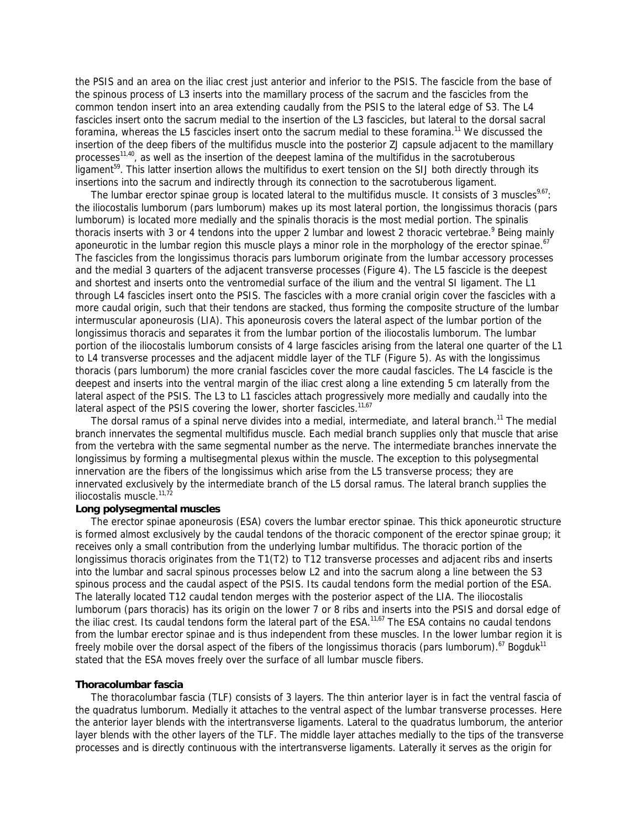the PSIS and an area on the iliac crest just anterior and inferior to the PSIS. The fascicle from the base of the spinous process of L3 inserts into the mamillary process of the sacrum and the fascicles from the common tendon insert into an area extending caudally from the PSIS to the lateral edge of S3. The L4 fascicles insert onto the sacrum medial to the insertion of the L3 fascicles, but lateral to the dorsal sacral foramina, whereas the L5 fascicles insert onto the sacrum medial to these foramina.<sup>11</sup> We discussed the insertion of the deep fibers of the multifidus muscle into the posterior ZJ capsule adjacent to the mamillary processes<sup>11,40</sup>, as well as the insertion of the deepest lamina of the multifidus in the sacrotuberous ligament<sup>59</sup>. This latter insertion allows the multifidus to exert tension on the SIJ both directly through its insertions into the sacrum and indirectly through its connection to the sacrotuberous ligament.

The lumbar erector spinae group is located lateral to the multifidus muscle. It consists of 3 muscles<sup>9,67</sup>: the iliocostalis lumborum (pars lumborum) makes up its most lateral portion, the longissimus thoracis (pars lumborum) is located more medially and the spinalis thoracis is the most medial portion. The spinalis thoracis inserts with 3 or 4 tendons into the upper 2 lumbar and lowest 2 thoracic vertebrae.<sup>9</sup> Being mainly aponeurotic in the lumbar region this muscle plays a minor role in the morphology of the erector spinae.<sup>67</sup> The fascicles from the longissimus thoracis pars lumborum originate from the lumbar accessory processes and the medial 3 quarters of the adjacent transverse processes (Figure 4). The L5 fascicle is the deepest and shortest and inserts onto the ventromedial surface of the ilium and the ventral SI ligament. The L1 through L4 fascicles insert onto the PSIS. The fascicles with a more cranial origin cover the fascicles with a more caudal origin, such that their tendons are stacked, thus forming the composite structure of the *lumbar intermuscular aponeurosis* (LIA). This aponeurosis covers the lateral aspect of the lumbar portion of the longissimus thoracis and separates it from the lumbar portion of the iliocostalis lumborum. The lumbar portion of the iliocostalis lumborum consists of 4 large fascicles arising from the lateral one quarter of the L1 to L4 transverse processes and the adjacent middle layer of the TLF (Figure 5). As with the longissimus thoracis (pars lumborum) the more cranial fascicles cover the more caudal fascicles. The L4 fascicle is the deepest and inserts into the ventral margin of the iliac crest along a line extending 5 cm laterally from the lateral aspect of the PSIS. The L3 to L1 fascicles attach progressively more medially and caudally into the lateral aspect of the PSIS covering the lower, shorter fascicles.<sup>11,67</sup>

The dorsal ramus of a spinal nerve divides into a medial, intermediate, and lateral branch.<sup>11</sup> The medial branch innervates the segmental multifidus muscle. Each medial branch supplies only that muscle that arise from the vertebra with the same segmental number as the nerve. The intermediate branches innervate the longissimus by forming a multisegmental plexus within the muscle. The exception to this polysegmental innervation are the fibers of the longissimus which arise from the L5 transverse process; they are innervated exclusively by the intermediate branch of the L5 dorsal ramus. The lateral branch supplies the iliocostalis muscle.  $11,72$ 

#### *Long polysegmental muscles*

 The *erector spinae aponeurosis* (ESA) covers the lumbar erector spinae. This thick aponeurotic structure is formed almost exclusively by the caudal tendons of the thoracic component of the erector spinae group; it receives only a small contribution from the underlying lumbar multifidus. The thoracic portion of the longissimus thoracis originates from the T1(T2) to T12 transverse processes and adjacent ribs and inserts into the lumbar and sacral spinous processes below L2 and into the sacrum along a line between the S3 spinous process and the caudal aspect of the PSIS. Its caudal tendons form the medial portion of the ESA. The laterally located T12 caudal tendon merges with the posterior aspect of the LIA. The iliocostalis lumborum (pars thoracis) has its origin on the lower 7 or 8 ribs and inserts into the PSIS and dorsal edge of the iliac crest. Its caudal tendons form the lateral part of the ESA.<sup>11,67</sup> The ESA contains no caudal tendons from the lumbar erector spinae and is thus independent from these muscles. In the lower lumbar region it is freely mobile over the dorsal aspect of the fibers of the longissimus thoracis (pars lumborum).<sup>67</sup> Bogduk<sup>11</sup> stated that the ESA moves freely over the surface of all lumbar muscle fibers.

# **Thoracolumbar fascia**

 The thoracolumbar fascia (TLF) consists of 3 layers. The thin anterior layer is in fact the ventral fascia of the quadratus lumborum. Medially it attaches to the ventral aspect of the lumbar transverse processes. Here the anterior layer blends with the intertransverse ligaments. Lateral to the quadratus lumborum, the anterior layer blends with the other layers of the TLF. The middle layer attaches medially to the tips of the transverse processes and is directly continuous with the intertransverse ligaments. Laterally it serves as the origin for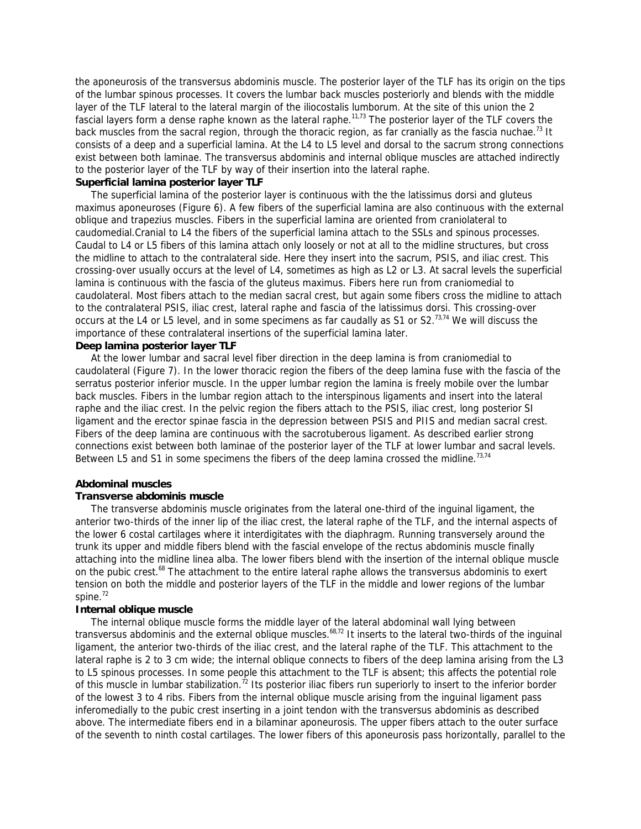the aponeurosis of the transversus abdominis muscle. The posterior layer of the TLF has its origin on the tips of the lumbar spinous processes. It covers the lumbar back muscles posteriorly and blends with the middle layer of the TLF lateral to the lateral margin of the iliocostalis lumborum. At the site of this union the 2 fascial layers form a dense raphe known as the *lateral raphe*.<sup>11,73</sup> The posterior layer of the TLF covers the back muscles from the sacral region, through the thoracic region, as far cranially as the fascia nuchae.<sup>73</sup> It consists of a deep and a superficial lamina. At the L4 to L5 level and dorsal to the sacrum strong connections exist between both laminae. The transversus abdominis and internal oblique muscles are attached indirectly to the posterior layer of the TLF by way of their insertion into the lateral raphe.

# *Superficial lamina posterior layer TLF*

 The superficial lamina of the posterior layer is continuous with the the latissimus dorsi and gluteus maximus aponeuroses (Figure 6). A few fibers of the superficial lamina are also continuous with the external oblique and trapezius muscles. Fibers in the superficial lamina are oriented from craniolateral to caudomedial.Cranial to L4 the fibers of the superficial lamina attach to the SSLs and spinous processes. Caudal to L4 or L5 fibers of this lamina attach only loosely or not at all to the midline structures, but cross the midline to attach to the contralateral side. Here they insert into the sacrum, PSIS, and iliac crest. This crossing-over usually occurs at the level of L4, sometimes as high as L2 or L3. At sacral levels the superficial lamina is continuous with the fascia of the gluteus maximus. Fibers here run from craniomedial to caudolateral. Most fibers attach to the median sacral crest, but again some fibers cross the midline to attach to the contralateral PSIS, iliac crest, lateral raphe and fascia of the latissimus dorsi. This crossing-over occurs at the L4 or L5 level, and in some specimens as far caudally as S1 or S2.<sup>73,74</sup> We will discuss the importance of these contralateral insertions of the superficial lamina later.

# *Deep lamina posterior layer TLF*

 At the lower lumbar and sacral level fiber direction in the deep lamina is from craniomedial to caudolateral (Figure 7). In the lower thoracic region the fibers of the deep lamina fuse with the fascia of the serratus posterior inferior muscle. In the upper lumbar region the lamina is freely mobile over the lumbar back muscles. Fibers in the lumbar region attach to the interspinous ligaments and insert into the lateral raphe and the iliac crest. In the pelvic region the fibers attach to the PSIS, iliac crest, long posterior SI ligament and the erector spinae fascia in the depression between PSIS and PIIS and median sacral crest. Fibers of the deep lamina are continuous with the sacrotuberous ligament. As described earlier strong connections exist between both laminae of the posterior layer of the TLF at lower lumbar and sacral levels. Between L5 and S1 in some specimens the fibers of the deep lamina crossed the midline.<sup>73,74</sup>

# **Abdominal muscles**

# *Transverse abdominis muscle*

 The transverse abdominis muscle originates from the lateral one-third of the inguinal ligament, the anterior two-thirds of the inner lip of the iliac crest, the lateral raphe of the TLF, and the internal aspects of the lower 6 costal cartilages where it interdigitates with the diaphragm. Running transversely around the trunk its upper and middle fibers blend with the fascial envelope of the rectus abdominis muscle finally attaching into the midline linea alba. The lower fibers blend with the insertion of the internal oblique muscle on the pubic crest.<sup>68</sup> The attachment to the entire lateral raphe allows the transversus abdominis to exert tension on both the middle and posterior layers of the TLF in the middle and lower regions of the lumbar spine. $72$ 

# *Internal oblique muscle*

 The internal oblique muscle forms the middle layer of the lateral abdominal wall lying between transversus abdominis and the external oblique muscles.<sup>68,72</sup> It inserts to the lateral two-thirds of the inguinal ligament, the anterior two-thirds of the iliac crest, and the lateral raphe of the TLF. This attachment to the lateral raphe is 2 to 3 cm wide; the internal oblique connects to fibers of the deep lamina arising from the L3 to L5 spinous processes. In some people this attachment to the TLF is absent; this affects the potential role of this muscle in lumbar stabilization.<sup>72</sup> Its posterior iliac fibers run superiorly to insert to the inferior border of the lowest 3 to 4 ribs. Fibers from the internal oblique muscle arising from the inguinal ligament pass inferomedially to the pubic crest inserting in a joint tendon with the transversus abdominis as described above. The intermediate fibers end in a bilaminar aponeurosis. The upper fibers attach to the outer surface of the seventh to ninth costal cartilages. The lower fibers of this aponeurosis pass horizontally, parallel to the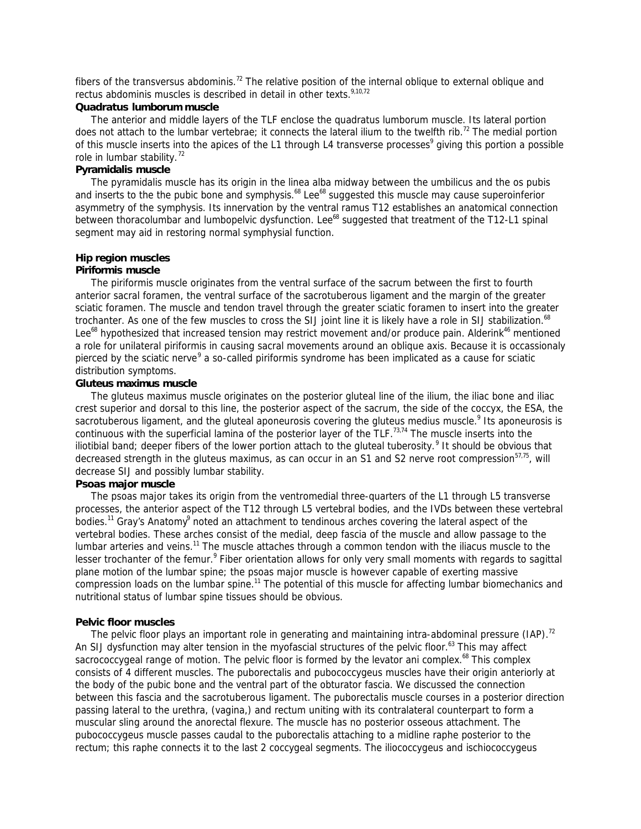fibers of the transversus abdominis.<sup>72</sup> The relative position of the internal oblique to external oblique and rectus abdominis muscles is described in detail in other texts.<sup>9,10,72</sup>

# *Quadratus lumborum muscle*

 The anterior and middle layers of the TLF enclose the quadratus lumborum muscle. Its lateral portion does not attach to the lumbar vertebrae; it connects the lateral ilium to the twelfth rib.<sup>72</sup> The medial portion of this muscle inserts into the apices of the L1 through L4 transverse processes<sup>9</sup> giving this portion a possible role in lumbar stability.<sup>72</sup>

# *Pyramidalis muscle*

 The pyramidalis muscle has its origin in the linea alba midway between the umbilicus and the os pubis and inserts to the the pubic bone and symphysis.<sup>68</sup> Lee<sup>68</sup> suggested this muscle may cause superoinferior asymmetry of the symphysis. Its innervation by the ventral ramus T12 establishes an anatomical connection between thoracolumbar and lumbopelvic dysfunction. Lee<sup>68</sup> suggested that treatment of the T12-L1 spinal segment may aid in restoring normal symphysial function.

# **Hip region muscles**

# *Piriformis muscle*

 The piriformis muscle originates from the ventral surface of the sacrum between the first to fourth anterior sacral foramen, the ventral surface of the sacrotuberous ligament and the margin of the greater sciatic foramen. The muscle and tendon travel through the greater sciatic foramen to insert into the greater trochanter. As one of the few muscles to cross the SIJ joint line it is likely have a role in SIJ stabilization.<sup>68</sup> Lee<sup>68</sup> hypothesized that increased tension may restrict movement and/or produce pain. Alderink<sup>46</sup> mentioned a role for unilateral piriformis in causing sacral movements around an oblique axis. Because it is occassionaly pierced by the sciatic nerve<sup>9</sup> a so-called piriformis syndrome has been implicated as a cause for sciatic distribution symptoms.

# *Gluteus maximus muscle*

 The gluteus maximus muscle originates on the posterior gluteal line of the ilium, the iliac bone and iliac crest superior and dorsal to this line, the posterior aspect of the sacrum, the side of the coccyx, the ESA, the sacrotuberous ligament, and the gluteal aponeurosis covering the gluteus medius muscle.<sup>9</sup> Its aponeurosis is continuous with the superficial lamina of the posterior layer of the TLF.<sup>73,74</sup> The muscle inserts into the iliotibial band; deeper fibers of the lower portion attach to the gluteal tuberosity.<sup>9</sup> It should be obvious that decreased strength in the gluteus maximus, as can occur in an S1 and S2 nerve root compression<sup>57,75</sup>, will decrease SIJ and possibly lumbar stability.

# *Psoas major muscle*

 The psoas major takes its origin from the ventromedial three-quarters of the L1 through L5 transverse processes, the anterior aspect of the T12 through L5 vertebral bodies, and the IVDs between these vertebral bodies.<sup>11</sup> Gray's Anatomy<sup>9</sup> noted an attachment to tendinous arches covering the lateral aspect of the vertebral bodies. These arches consist of the medial, deep fascia of the muscle and allow passage to the lumbar arteries and veins.<sup>11</sup> The muscle attaches through a common tendon with the iliacus muscle to the lesser trochanter of the femur.<sup>9</sup> Fiber orientation allows for only very small moments with regards to sagittal plane motion of the lumbar spine; the psoas major muscle is however capable of exerting massive compression loads on the lumbar spine.<sup>11</sup> The potential of this muscle for affecting lumbar biomechanics and nutritional status of lumbar spine tissues should be obvious.

### **Pelvic floor muscles**

The pelvic floor plays an important role in generating and maintaining intra-abdominal pressure (IAP).<sup>72</sup> An SIJ dysfunction may alter tension in the myofascial structures of the pelvic floor.<sup>63</sup> This may affect sacrococcygeal range of motion. The pelvic floor is formed by the levator ani complex. $^{68}$  This complex consists of 4 different muscles. The puborectalis and pubococcygeus muscles have their origin anteriorly at the body of the pubic bone and the ventral part of the obturator fascia. We discussed the connection between this fascia and the sacrotuberous ligament. The puborectalis muscle courses in a posterior direction passing lateral to the urethra, (vagina,) and rectum uniting with its contralateral counterpart to form a muscular sling around the anorectal flexure. The muscle has no posterior osseous attachment. The pubococcygeus muscle passes caudal to the puborectalis attaching to a midline raphe posterior to the rectum; this raphe connects it to the last 2 coccygeal segments. The iliococcygeus and ischiococcygeus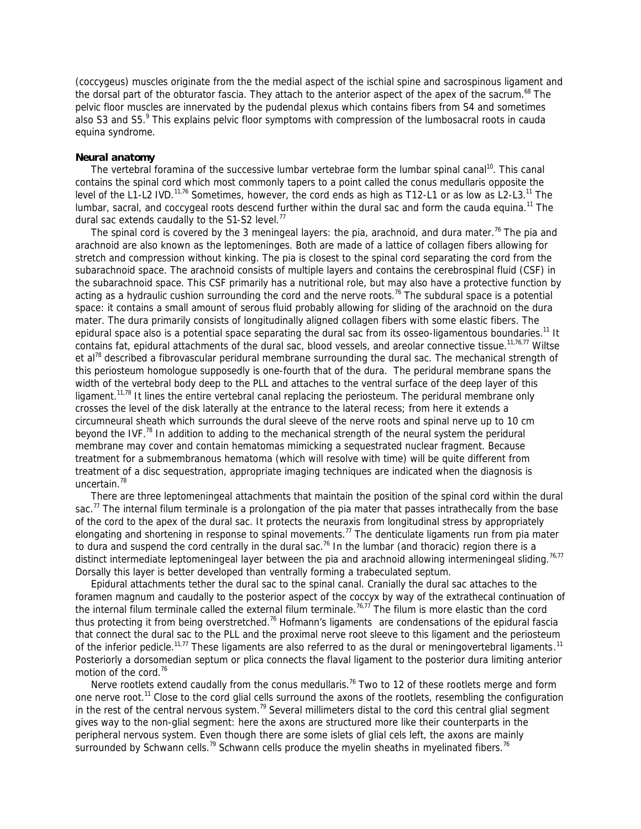(coccygeus) muscles originate from the the medial aspect of the ischial spine and sacrospinous ligament and the dorsal part of the obturator fascia. They attach to the anterior aspect of the apex of the sacrum.<sup>68</sup> The pelvic floor muscles are innervated by the pudendal plexus which contains fibers from S4 and sometimes also S3 and S5.<sup>9</sup> This explains pelvic floor symptoms with compression of the lumbosacral roots in cauda equina syndrome.

#### **Neural anatomy**

The vertebral foramina of the successive lumbar vertebrae form the lumbar spinal canal<sup>10</sup>. This canal contains the spinal cord which most commonly tapers to a point called the conus medullaris opposite the level of the L1-L2 IVD.<sup>11,76</sup> Sometimes, however, the cord ends as high as T12-L1 or as low as L2-L3.<sup>11</sup> The lumbar, sacral, and coccygeal roots descend further within the dural sac and form the cauda equina.<sup>11</sup> The dural sac extends caudally to the S1-S2 level. $77$ 

The spinal cord is covered by the 3 meningeal layers: the pia, arachnoid, and dura mater.<sup>76</sup> The pia and arachnoid are also known as the leptomeninges. Both are made of a lattice of collagen fibers allowing for stretch and compression without kinking. The pia is closest to the spinal cord separating the cord from the subarachnoid space. The arachnoid consists of multiple layers and contains the cerebrospinal fluid (CSF) in the subarachnoid space. This CSF primarily has a nutritional role, but may also have a protective function by acting as a hydraulic cushion surrounding the cord and the nerve roots.<sup>76</sup> The subdural space is a potential space: it contains a small amount of serous fluid probably allowing for sliding of the arachnoid on the dura mater. The dura primarily consists of longitudinally aligned collagen fibers with some elastic fibers. The epidural space also is a potential space separating the dural sac from its osseo-ligamentous boundaries.<sup>11</sup> It contains fat, epidural attachments of the dural sac, blood vessels, and areolar connective tissue.<sup>11,76,77</sup> Wiltse et al<sup>78</sup> described a fibrovascular peridural membrane surrounding the dural sac. The mechanical strength of this periosteum homologue supposedly is one-fourth that of the dura. The peridural membrane spans the width of the vertebral body deep to the PLL and attaches to the ventral surface of the deep layer of this ligament.<sup>11,78</sup> It lines the entire vertebral canal replacing the periosteum. The peridural membrane only crosses the level of the disk laterally at the entrance to the lateral recess; from here it extends a circumneural sheath which surrounds the dural sleeve of the nerve roots and spinal nerve up to 10 cm beyond the IVF.<sup>78</sup> In addition to adding to the mechanical strength of the neural system the peridural membrane may cover and contain hematomas mimicking a sequestrated nuclear fragment. Because treatment for a submembranous hematoma (which will resolve with time) will be quite different from treatment of a disc sequestration, appropriate imaging techniques are indicated when the diagnosis is uncertain.<sup>78</sup>

 There are three leptomeningeal attachments that maintain the position of the spinal cord within the dural sac.<sup>77</sup> The *internal filum terminale* is a prolongation of the pia mater that passes intrathecally from the base of the cord to the apex of the dural sac. It protects the neuraxis from longitudinal stress by appropriately elongating and shortening in response to spinal movements.<sup>77</sup> The *denticulate ligaments* run from pia mater to dura and suspend the cord centrally in the dural sac.<sup>76</sup> In the lumbar (and thoracic) region there is a distinct *intermediate leptomeningeal layer* between the pia and arachnoid allowing intermeningeal sliding.<sup>76,77</sup> Dorsally this layer is better developed than ventrally forming a trabeculated septum.

 Epidural attachments tether the dural sac to the spinal canal. Cranially the dural sac attaches to the foramen magnum and caudally to the posterior aspect of the coccyx by way of the extrathecal continuation of the internal filum terminale called the *external filum terminale.* 76,77 The filum is more elastic than the cord thus protecting it from being overstretched.<sup>76</sup> *Hofmann's ligaments* are condensations of the epidural fascia that connect the dural sac to the PLL and the proximal nerve root sleeve to this ligament and the periosteum of the inferior pedicle.<sup>11,77</sup> These ligaments are also referred to as the *dural* or *meningovertebral ligaments*.<sup>11</sup> Posteriorly a dorsomedian septum or plica connects the flaval ligament to the posterior dura limiting anterior motion of the cord.<sup>76</sup>

Nerve rootlets extend caudally from the conus medullaris.<sup>76</sup> Two to 12 of these rootlets merge and form one nerve root.<sup>11</sup> Close to the cord glial cells surround the axons of the rootlets, resembling the configuration in the rest of the central nervous system.<sup>79</sup> Several millimeters distal to the cord this central glial segment gives way to the non-glial segment: here the axons are structured more like their counterparts in the peripheral nervous system. Even though there are some islets of glial cels left, the axons are mainly surrounded by Schwann cells.<sup>79</sup> Schwann cells produce the myelin sheaths in myelinated fibers.<sup>76</sup>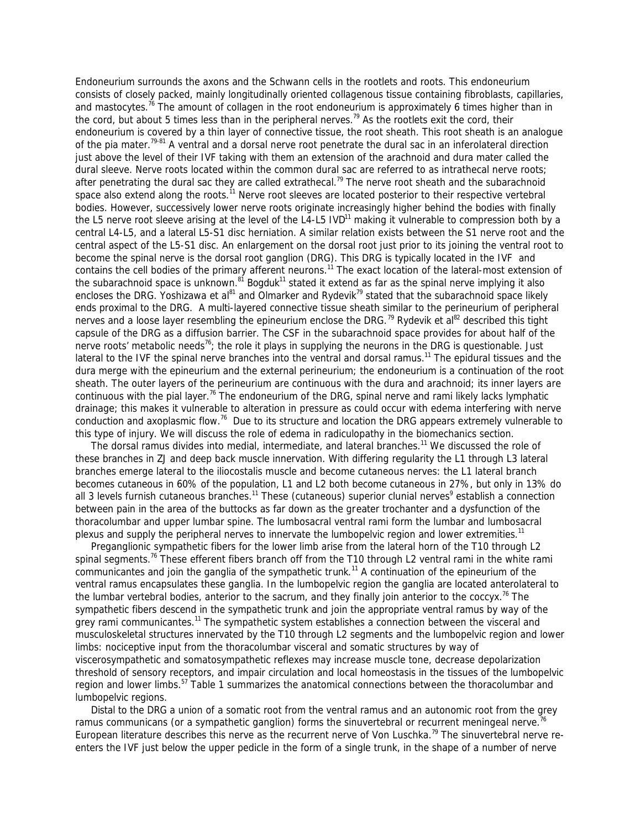Endoneurium surrounds the axons and the Schwann cells in the rootlets and roots. This endoneurium consists of closely packed, mainly longitudinally oriented collagenous tissue containing fibroblasts, capillaries, and mastocytes.<sup>76</sup> The amount of collagen in the root endoneurium is approximately 6 times higher than in the cord, but about 5 times less than in the peripheral nerves.<sup>79</sup> As the rootlets exit the cord, their endoneurium is covered by a thin layer of connective tissue, the root sheath. This root sheath is an analogue of the pia mater.<sup>79-81</sup> A ventral and a dorsal nerve root penetrate the dural sac in an inferolateral direction just above the level of their IVF taking with them an extension of the arachnoid and dura mater called the dural sleeve. Nerve roots located within the common dural sac are referred to as intrathecal nerve roots; after penetrating the dural sac they are called extrathecal.<sup>79</sup> The nerve root sheath and the subarachnoid space also extend along the roots.<sup>11</sup> Nerve root sleeves are located posterior to their respective vertebral bodies. However, successively lower nerve roots originate increasingly higher behind the bodies with finally the L5 nerve root sleeve arising at the level of the L4-L5  $IVD<sup>11</sup>$  making it vulnerable to compression both by a central L4-L5, and a lateral L5-S1 disc herniation. A similar relation exists between the S1 nerve root and the central aspect of the L5-S1 disc. An enlargement on the dorsal root just prior to its joining the ventral root to become the spinal nerve is the dorsal root ganglion (DRG). This DRG is typically located in the IVF and contains the cell bodies of the primary afferent neurons.<sup>11</sup> The exact location of the lateral-most extension of the subarachnoid space is unknown.<sup>81</sup> Bogduk<sup>11</sup> stated it extend as far as the spinal nerve implying it also encloses the DRG. Yoshizawa et al<sup>81</sup> and Olmarker and Rydevik<sup>79</sup> stated that the subarachnoid space likely ends proximal to the DRG. A multi-layered connective tissue sheath similar to the perineurium of peripheral nerves and a loose layer resembling the epineurium enclose the DRG.<sup>79</sup> Rydevik et al<sup>82</sup> described this tight capsule of the DRG as a diffusion barrier. The CSF in the subarachnoid space provides for about half of the nerve roots' metabolic needs<sup>76</sup>; the role it plays in supplying the neurons in the DRG is questionable. Just lateral to the IVF the spinal nerve branches into the ventral and dorsal ramus.<sup>11</sup> The epidural tissues and the dura merge with the epineurium and the external perineurium; the endoneurium is a continuation of the root sheath. The outer layers of the perineurium are continuous with the dura and arachnoid; its inner layers are continuous with the pial layer.<sup>76</sup> The endoneurium of the DRG, spinal nerve and rami likely lacks lymphatic drainage; this makes it vulnerable to alteration in pressure as could occur with edema interfering with nerve conduction and axoplasmic flow.<sup>76</sup> Due to its structure and location the DRG appears extremely vulnerable to this type of injury. We will discuss the role of edema in radiculopathy in the biomechanics section.

The dorsal ramus divides into medial, intermediate, and lateral branches.<sup>11</sup> We discussed the role of these branches in ZJ and deep back muscle innervation. With differing regularity the L1 through L3 lateral branches emerge lateral to the iliocostalis muscle and become cutaneous nerves: the L1 lateral branch becomes cutaneous in 60% of the population, L1 and L2 both become cutaneous in 27%, but only in 13% do all 3 levels furnish cutaneous branches.<sup>11</sup> These (cutaneous) superior clunial nerves<sup>9</sup> establish a connection between pain in the area of the buttocks as far down as the greater trochanter and a dysfunction of the thoracolumbar and upper lumbar spine. The lumbosacral ventral rami form the lumbar and lumbosacral plexus and supply the peripheral nerves to innervate the lumbopelvic region and lower extremities.<sup>11</sup>

 Preganglionic sympathetic fibers for the lower limb arise from the lateral horn of the T10 through L2 spinal segments.<sup>76</sup> These efferent fibers branch off from the T10 through L2 ventral rami in the white rami communicantes and join the ganglia of the sympathetic trunk.<sup>11</sup> A continuation of the epineurium of the ventral ramus encapsulates these ganglia. In the lumbopelvic region the ganglia are located anterolateral to the lumbar vertebral bodies, anterior to the sacrum, and they finally join anterior to the coccyx.<sup>76</sup> The sympathetic fibers descend in the sympathetic trunk and join the appropriate ventral ramus by way of the grey rami communicantes.<sup>11</sup> The sympathetic system establishes a connection between the visceral and musculoskeletal structures innervated by the T10 through L2 segments and the lumbopelvic region and lower limbs: nociceptive input from the thoracolumbar visceral and somatic structures by way of viscerosympathetic and somatosympathetic reflexes may increase muscle tone, decrease depolarization threshold of sensory receptors, and impair circulation and local homeostasis in the tissues of the lumbopelvic region and lower limbs.<sup>57</sup> Table 1 summarizes the anatomical connections between the thoracolumbar and lumbopelvic regions.

 Distal to the DRG a union of a somatic root from the ventral ramus and an autonomic root from the grey ramus communicans (or a sympathetic ganglion) forms the sinuvertebral or recurrent meningeal nerve.<sup>76</sup> European literature describes this nerve as the recurrent nerve of Von Luschka.<sup>79</sup> The sinuvertebral nerve reenters the IVF just below the upper pedicle in the form of a single trunk, in the shape of a number of nerve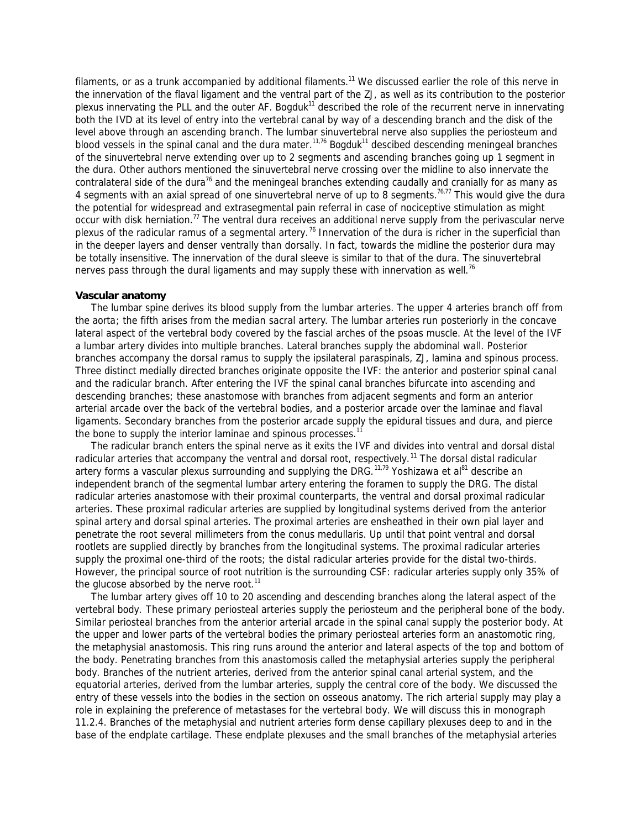filaments, or as a trunk accompanied by additional filaments.<sup>11</sup> We discussed earlier the role of this nerve in the innervation of the flaval ligament and the ventral part of the ZJ, as well as its contribution to the posterior plexus innervating the PLL and the outer AF. Bogduk<sup>11</sup> described the role of the recurrent nerve in innervating both the IVD at its level of entry into the vertebral canal by way of a descending branch and the disk of the level above through an ascending branch. The lumbar sinuvertebral nerve also supplies the periosteum and blood vessels in the spinal canal and the dura mater.<sup>11,76</sup> Bogduk<sup>11</sup> descibed descending meningeal branches of the sinuvertebral nerve extending over up to 2 segments and ascending branches going up 1 segment in the dura. Other authors mentioned the sinuvertebral nerve crossing over the midline to also innervate the contralateral side of the dura<sup>76</sup> and the meningeal branches extending caudally and cranially for as many as 4 segments with an axial spread of one sinuvertebral nerve of up to 8 segments.<sup>76,77</sup> This would give the dura the potential for widespread and extrasegmental pain referral in case of nociceptive stimulation as might occur with disk herniation.<sup>77</sup> The ventral dura receives an additional nerve supply from the perivascular nerve plexus of the radicular ramus of a segmental artery.<sup>76</sup> Innervation of the dura is richer in the superficial than in the deeper layers and denser ventrally than dorsally. In fact, towards the midline the posterior dura may be totally insensitive. The innervation of the dural sleeve is similar to that of the dura. The sinuvertebral nerves pass through the dural ligaments and may supply these with innervation as well.<sup>76</sup>

### **Vascular anatomy**

 The lumbar spine derives its blood supply from the *lumbar arteries*. The upper 4 arteries branch off from the *aorta*; the fifth arises from the *median sacral artery*. The lumbar arteries run posteriorly in the concave lateral aspect of the vertebral body covered by the fascial arches of the psoas muscle. At the level of the IVF a lumbar artery divides into multiple branches. Lateral branches supply the abdominal wall. Posterior branches accompany the dorsal ramus to supply the ipsilateral paraspinals, ZJ, lamina and spinous process. Three distinct medially directed branches originate opposite the IVF: the *anterior* and *posterior spinal canal*  and the *radicular branch*. After entering the IVF the spinal canal branches bifurcate into ascending and descending branches; these anastomose with branches from adjacent segments and form an anterior arterial arcade over the back of the vertebral bodies, and a posterior arcade over the laminae and flaval ligaments. Secondary branches from the posterior arcade supply the epidural tissues and dura, and pierce the bone to supply the interior laminae and spinous processes.<sup>11</sup>

 The radicular branch enters the spinal nerve as it exits the IVF and divides into *ventral and dorsal distal*  radicular arteries that accompany the ventral and dorsal root, respectively.<sup>11</sup> The dorsal distal radicular artery forms a vascular plexus surrounding and supplying the DRG.<sup>11,79</sup> Yoshizawa et al<sup>81</sup> describe an independent branch of the segmental lumbar artery entering the foramen to supply the DRG. The distal radicular arteries anastomose with their proximal counterparts, the *ventral and dorsal proximal radicular arteries*. These proximal radicular arteries are supplied by longitudinal systems derived from the *anterior spinal artery* and *dorsal spinal arteries*. The proximal arteries are ensheathed in their own pial layer and penetrate the root several millimeters from the conus medullaris. Up until that point ventral and dorsal rootlets are supplied directly by branches from the longitudinal systems. The proximal radicular arteries supply the proximal one-third of the roots; the distal radicular arteries provide for the distal two-thirds. However, the principal source of root nutrition is the surrounding CSF: radicular arteries supply only 35% of the glucose absorbed by the nerve root.<sup>11</sup>

 The lumbar artery gives off 10 to 20 ascending and descending branches along the lateral aspect of the vertebral body. These *primary periosteal arteries* supply the periosteum and the peripheral bone of the body. Similar periosteal branches from the anterior arterial arcade in the spinal canal supply the posterior body. At the upper and lower parts of the vertebral bodies the primary periosteal arteries form an anastomotic ring, the *metaphysial anastomosis*. This ring runs around the anterior and lateral aspects of the top and bottom of the body. Penetrating branches from this anastomosis called the *metaphysial arteries* supply the peripheral body. Branches of the *nutrient arteries*, derived from the anterior spinal canal arterial system, and the *equatorial arteries*, derived from the lumbar arteries, supply the central core of the body. We discussed the entry of these vessels into the bodies in the section on osseous anatomy. The rich arterial supply may play a role in explaining the preference of metastases for the vertebral body. We will discuss this in monograph 11.2.4. Branches of the metaphysial and nutrient arteries form dense capillary plexuses deep to and in the base of the endplate cartilage. These endplate plexuses and the small branches of the metaphysial arteries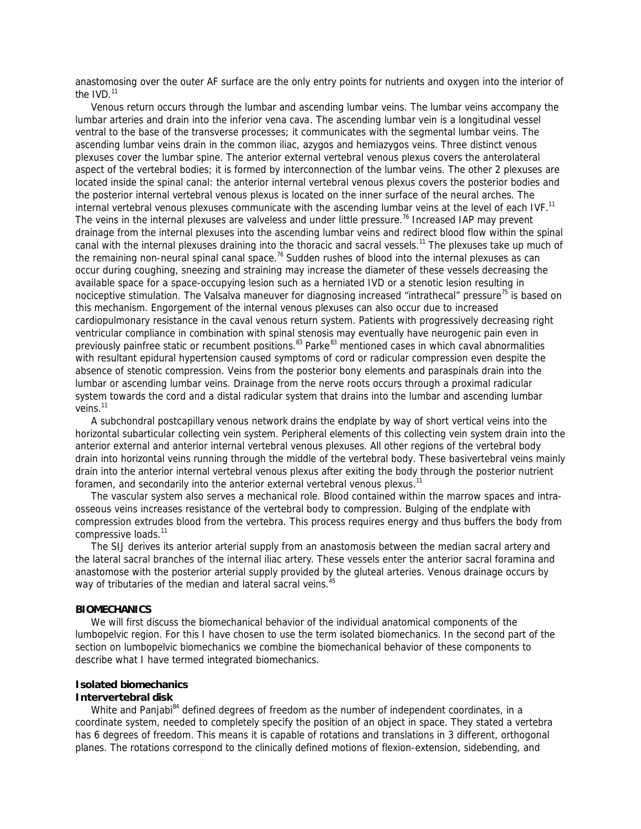anastomosing over the outer AF surface are the only entry points for nutrients and oxygen into the interior of the  $IVD.<sup>11</sup>$ 

 Venous return occurs through the *lumbar* and *ascending lumbar veins*. The lumbar veins accompany the lumbar arteries and drain into the *inferior vena cava*. The ascending lumbar vein is a longitudinal vessel ventral to the base of the transverse processes; it communicates with the segmental lumbar veins. The ascending lumbar veins drain in the *common iliac*, *azygos* and *hemiazygos veins*. Three distinct venous plexuses cover the lumbar spine. The *anterior external vertebral venous plexus* covers the anterolateral aspect of the vertebral bodies; it is formed by interconnection of the lumbar veins. The other 2 plexuses are located inside the spinal canal: the *anterior internal vertebral venous plexus* covers the posterior bodies and the *posterior internal vertebral venous plexus* is located on the inner surface of the neural arches. The internal vertebral venous plexuses communicate with the ascending lumbar veins at the level of each IVF.<sup>11</sup> The veins in the internal plexuses are valveless and under little pressure.<sup>76</sup> Increased IAP may prevent drainage from the internal plexuses into the ascending lumbar veins and redirect blood flow within the spinal canal with the internal plexuses draining into the thoracic and sacral vessels.<sup>11</sup> The plexuses take up much of the remaining non-neural spinal canal space.<sup>76</sup> Sudden rushes of blood into the internal plexuses as can occur during coughing, sneezing and straining may increase the diameter of these vessels decreasing the available space for a space-occupying lesion such as a herniated IVD or a stenotic lesion resulting in nociceptive stimulation. The Valsalva maneuver for diagnosing increased "intrathecal" pressure<sup>75</sup> is based on this mechanism. Engorgement of the internal venous plexuses can also occur due to increased cardiopulmonary resistance in the caval venous return system. Patients with progressively decreasing right ventricular compliance in combination with spinal stenosis may eventually have neurogenic pain even in previously painfree static or recumbent positions.<sup>83</sup> Parke<sup>83</sup> mentioned cases in which caval abnormalities with resultant epidural hypertension caused symptoms of cord or radicular compression even despite the absence of stenotic compression. Veins from the posterior bony elements and paraspinals drain into the lumbar or ascending lumbar veins. Drainage from the nerve roots occurs through a proximal radicular system towards the cord and a distal radicular system that drains into the lumbar and ascending lumbar veins.<sup>11</sup>

 A *subchondral postcapillary venous network* drains the endplate by way of short vertical veins into the *horizontal subarticular collecting vein system*. Peripheral elements of this collecting vein system drain into the anterior external and anterior internal vertebral venous plexuses. All other regions of the vertebral body drain into horizontal veins running through the middle of the vertebral body. These *basivertebral veins* mainly drain into the anterior internal vertebral venous plexus after exiting the body through the posterior nutrient foramen, and secondarily into the anterior external vertebral venous plexus.<sup>11</sup>

 The vascular system also serves a mechanical role. Blood contained within the marrow spaces and intraosseous veins increases resistance of the vertebral body to compression. Bulging of the endplate with compression extrudes blood from the vertebra. This process requires energy and thus buffers the body from compressive loads.<sup>11</sup>

 The SIJ derives its anterior arterial supply from an anastomosis between the *median sacral artery* and the *lateral sacral branches of the internal iliac artery*. These vessels enter the anterior sacral foramina and anastomose with the posterior arterial supply provided by the *gluteal arteries*. Venous drainage occurs by way of tributaries of the *median and lateral sacral veins.* 45

### **BIOMECHANICS**

 We will first discuss the biomechanical behavior of the individual anatomical components of the lumbopelvic region. For this I have chosen to use the term *isolated biomechanics*. In the second part of the section on lumbopelvic biomechanics we combine the biomechanical behavior of these components to describe what I have termed *integrated biomechanics*.

# **Isolated biomechanics**

# **Intervertebral disk**

White and Panjabi<sup>84</sup> defined degrees of freedom as the number of independent coordinates, in a coordinate system, needed to completely specify the position of an object in space. They stated a vertebra has 6 degrees of freedom. This means it is capable of rotations and translations in 3 different, orthogonal planes. The rotations correspond to the clinically defined motions of flexion-extension, sidebending, and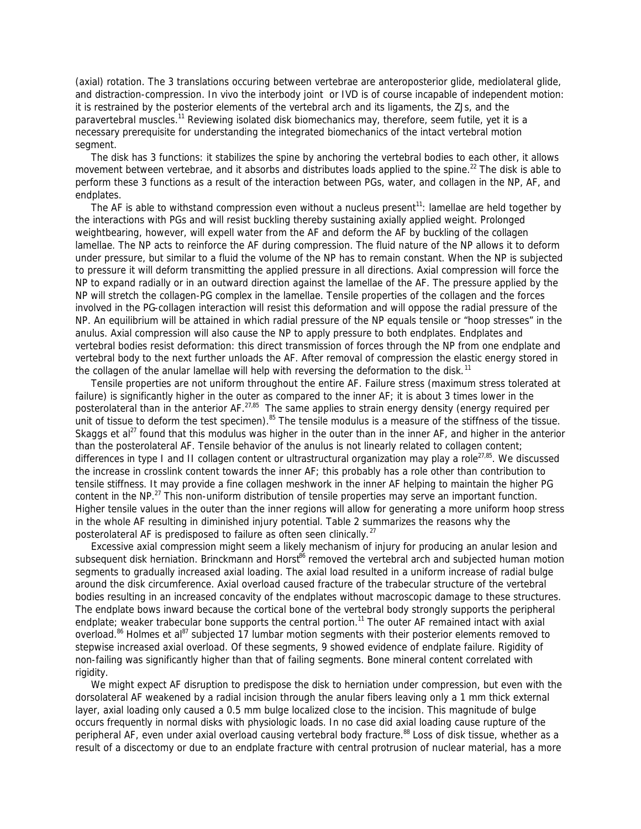(axial) rotation. The 3 translations occuring between vertebrae are anteroposterior glide, mediolateral glide, and distraction-compression. In vivo the interbody joint or IVD is of course incapable of independent motion: it is restrained by the posterior elements of the vertebral arch and its ligaments, the ZJs, and the paravertebral muscles.<sup>11</sup> Reviewing isolated disk biomechanics may, therefore, seem futile, yet it is a necessary prerequisite for understanding the integrated biomechanics of the intact vertebral motion segment.

 The disk has 3 functions: it stabilizes the spine by anchoring the vertebral bodies to each other, it allows movement between vertebrae, and it absorbs and distributes loads applied to the spine.<sup>22</sup> The disk is able to perform these 3 functions as a result of the interaction between PGs, water, and collagen in the NP, AF, and endplates.

The AF is able to withstand compression even without a nucleus present<sup>11</sup>: lamellae are held together by the interactions with PGs and will resist buckling thereby sustaining axially applied weight. Prolonged weightbearing, however, will expell water from the AF and deform the AF by buckling of the collagen lamellae. The NP acts to reinforce the AF during compression. The fluid nature of the NP allows it to deform under pressure, but similar to a fluid the volume of the NP has to remain constant. When the NP is subjected to pressure it will deform transmitting the applied pressure in all directions. Axial compression will force the NP to expand radially or in an outward direction against the lamellae of the AF. The pressure applied by the NP will stretch the collagen-PG complex in the lamellae. Tensile properties of the collagen and the forces involved in the PG-collagen interaction will resist this deformation and will oppose the radial pressure of the NP. An equilibrium will be attained in which radial pressure of the NP equals tensile or "hoop stresses" in the anulus. Axial compression will also cause the NP to apply pressure to both endplates. Endplates and vertebral bodies resist deformation: this direct transmission of forces through the NP from one endplate and vertebral body to the next further unloads the AF. After removal of compression the elastic energy stored in the collagen of the anular lamellae will help with reversing the deformation to the disk.<sup>11</sup>

 Tensile properties are not uniform throughout the entire AF. Failure stress (maximum stress tolerated at failure) is significantly higher in the outer as compared to the inner AF; it is about 3 times lower in the posterolateral than in the anterior AF.<sup>27,85</sup> The same applies to strain energy density (energy required per unit of tissue to deform the test specimen).<sup>85</sup> The tensile modulus is a measure of the stiffness of the tissue. Skaggs et al<sup>27</sup> found that this modulus was higher in the outer than in the inner AF, and higher in the anterior than the posterolateral AF. Tensile behavior of the anulus is not linearly related to collagen content; differences in type I and II collagen content or ultrastructural organization may play a role<sup>27,85</sup>. We discussed the increase in crosslink content towards the inner AF; this probably has a role other than contribution to tensile stiffness. It may provide a fine collagen meshwork in the inner AF helping to maintain the higher PG content in the NP.<sup>27</sup> This non-uniform distribution of tensile properties may serve an important function. Higher tensile values in the outer than the inner regions will allow for generating a more uniform hoop stress in the whole AF resulting in diminished injury potential. Table 2 summarizes the reasons why the posterolateral AF is predisposed to failure as often seen clinically.<sup>27</sup>

 Excessive axial compression might seem a likely mechanism of injury for producing an anular lesion and subsequent disk herniation. Brinckmann and Horst<sup>86</sup> removed the vertebral arch and subjected human motion segments to gradually increased axial loading. The axial load resulted in a uniform increase of radial bulge around the disk circumference. Axial overload caused fracture of the trabecular structure of the vertebral bodies resulting in an increased concavity of the endplates without macroscopic damage to these structures. The endplate bows inward because the cortical bone of the vertebral body strongly supports the peripheral endplate; weaker trabecular bone supports the central portion.<sup>11</sup> The outer AF remained intact with axial overload.<sup>86</sup> Holmes et al<sup>87</sup> subjected 17 lumbar motion segments with their posterior elements removed to stepwise increased axial overload. Of these segments, 9 showed evidence of endplate failure. Rigidity of non-failing was significantly higher than that of failing segments. Bone mineral content correlated with rigidity.

 We might expect AF disruption to predispose the disk to herniation under compression, but even with the dorsolateral AF weakened by a radial incision through the anular fibers leaving only a 1 mm thick external layer, axial loading only caused a 0.5 mm bulge localized close to the incision. This magnitude of bulge occurs frequently in normal disks with physiologic loads. In no case did axial loading cause rupture of the peripheral AF, even under axial overload causing vertebral body fracture.<sup>88</sup> Loss of disk tissue, whether as a result of a discectomy or due to an endplate fracture with central protrusion of nuclear material, has a more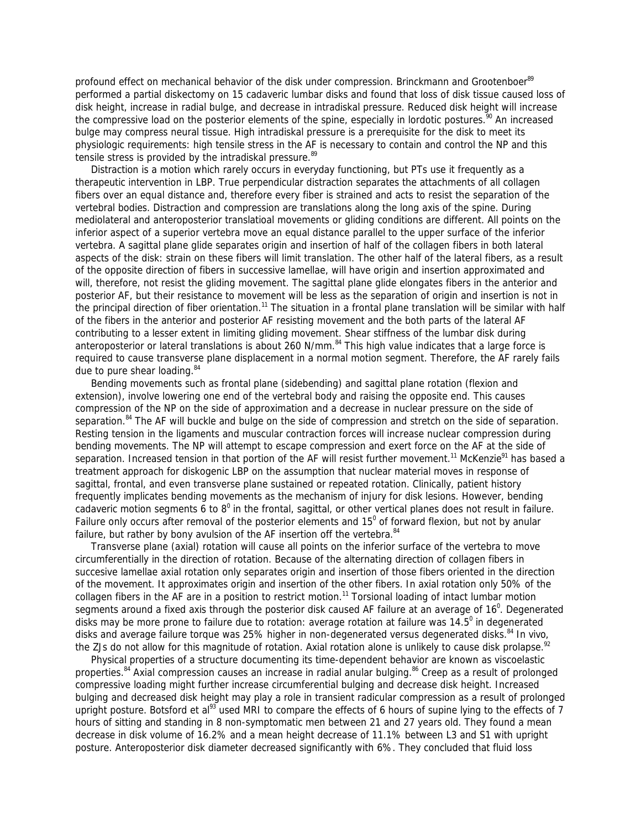profound effect on mechanical behavior of the disk under compression. Brinckmann and Grootenboer<sup>89</sup> performed a partial diskectomy on 15 cadaveric lumbar disks and found that loss of disk tissue caused loss of disk height, increase in radial bulge, and decrease in intradiskal pressure. Reduced disk height will increase the compressive load on the posterior elements of the spine, especially in lordotic postures.<sup>90</sup> An increased bulge may compress neural tissue. High intradiskal pressure is a prerequisite for the disk to meet its physiologic requirements: high tensile stress in the AF is necessary to contain and control the NP and this tensile stress is provided by the intradiskal pressure.<sup>89</sup>

 Distraction is a motion which rarely occurs in everyday functioning, but PTs use it frequently as a therapeutic intervention in LBP. True perpendicular distraction separates the attachments of all collagen fibers over an equal distance and, therefore every fiber is strained and acts to resist the separation of the vertebral bodies. Distraction and compression are translations along the long axis of the spine. During mediolateral and anteroposterior translatioal movements or gliding conditions are different. All points on the inferior aspect of a superior vertebra move an equal distance parallel to the upper surface of the inferior vertebra. A sagittal plane glide separates origin and insertion of half of the collagen fibers in both lateral aspects of the disk: strain on these fibers will limit translation. The other half of the lateral fibers, as a result of the opposite direction of fibers in successive lamellae, will have origin and insertion approximated and will, therefore, not resist the gliding movement. The sagittal plane glide elongates fibers in the anterior and posterior AF, but their resistance to movement will be less as the separation of origin and insertion is not in the principal direction of fiber orientation.<sup>11</sup> The situation in a frontal plane translation will be similar with half of the fibers in the anterior and posterior AF resisting movement and the both parts of the lateral AF contributing to a lesser extent in limiting gliding movement. Shear stiffness of the lumbar disk during anteroposterior or lateral translations is about 260 N/mm.<sup>84</sup> This high value indicates that a large force is required to cause transverse plane displacement in a normal motion segment. Therefore, the AF rarely fails due to pure shear loading. 84

 Bending movements such as frontal plane (sidebending) and sagittal plane rotation (flexion and extension), involve lowering one end of the vertebral body and raising the opposite end. This causes compression of the NP on the side of approximation and a decrease in nuclear pressure on the side of separation.<sup>84</sup> The AF will buckle and bulge on the side of compression and stretch on the side of separation. Resting tension in the ligaments and muscular contraction forces will increase nuclear compression during bending movements. The NP will attempt to escape compression and exert force on the AF at the side of separation. Increased tension in that portion of the AF will resist further movement.<sup>11</sup> McKenzie<sup>91</sup> has based a treatment approach for diskogenic LBP on the assumption that nuclear material moves in response of sagittal, frontal, and even transverse plane sustained or repeated rotation. Clinically, patient history frequently implicates bending movements as the mechanism of injury for disk lesions. However, bending cadaveric motion segments 6 to  $8^0$  in the frontal, sagittal, or other vertical planes does not result in failure. Failure only occurs after removal of the posterior elements and 15<sup>0</sup> of forward flexion, but not by anular failure, but rather by bony avulsion of the AF insertion off the vertebra.  $84$ 

 Transverse plane (axial) rotation will cause all points on the inferior surface of the vertebra to move circumferentially in the direction of rotation. Because of the alternating direction of collagen fibers in succesive lamellae axial rotation only separates origin and insertion of those fibers oriented in the direction of the movement. It approximates origin and insertion of the other fibers. In axial rotation only 50% of the collagen fibers in the AF are in a position to restrict motion.<sup>11</sup> Torsional loading of intact lumbar motion segments around a fixed axis through the posterior disk caused AF failure at an average of 16<sup>0</sup>. Degenerated disks may be more prone to failure due to rotation: average rotation at failure was 14.5<sup>0</sup> in degenerated disks and average failure torque was 25% higher in non-degenerated versus degenerated disks.<sup>84</sup> In vivo, the ZJs do not allow for this magnitude of rotation. Axial rotation alone is unlikely to cause disk prolapse.<sup>92</sup>

 Physical properties of a structure documenting its time-dependent behavior are known as viscoelastic properties.<sup>84</sup> Axial compression causes an increase in radial anular bulging.<sup>86</sup> Creep as a result of prolonged compressive loading might further increase circumferential bulging and decrease disk height. Increased bulging and decreased disk height may play a role in transient radicular compression as a result of prolonged upright posture. Botsford et al<sup>93</sup> used MRI to compare the effects of 6 hours of supine lying to the effects of 7 hours of sitting and standing in 8 non-symptomatic men between 21 and 27 years old. They found a mean decrease in disk volume of 16.2% and a mean height decrease of 11.1% between L3 and S1 with upright posture. Anteroposterior disk diameter decreased significantly with 6%. They concluded that fluid loss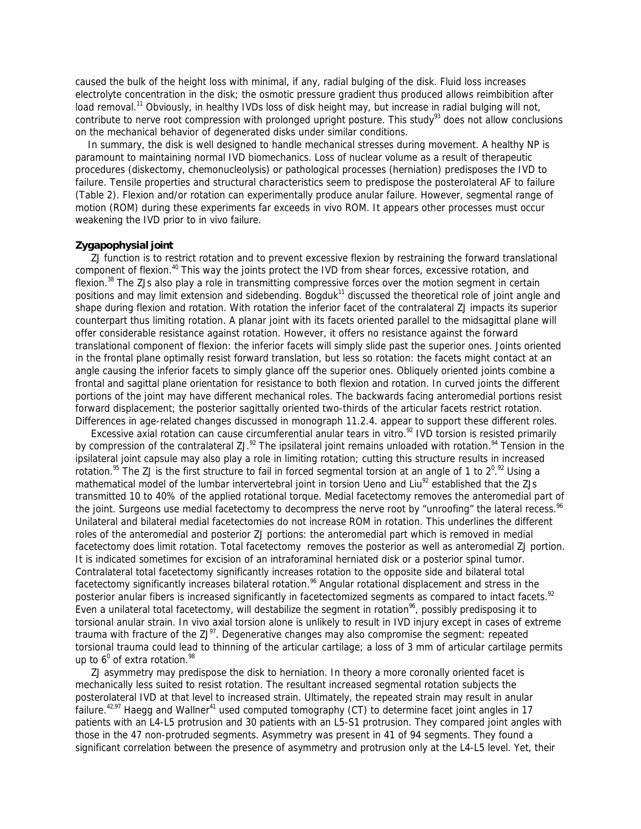caused the bulk of the height loss with minimal, if any, radial bulging of the disk. Fluid loss increases electrolyte concentration in the disk; the osmotic pressure gradient thus produced allows reimbibition after load removal.<sup>11</sup> Obviously, in healthy IVDs loss of disk height may, but increase in radial bulging will not, contribute to nerve root compression with prolonged upright posture. This study<sup>93</sup> does not allow conclusions on the mechanical behavior of degenerated disks under similar conditions.

 In summary, the disk is well designed to handle mechanical stresses during movement. A healthy NP is paramount to maintaining normal IVD biomechanics. Loss of nuclear volume as a result of therapeutic procedures (diskectomy, chemonucleolysis) or pathological processes (herniation) predisposes the IVD to failure. Tensile properties and structural characteristics seem to predispose the posterolateral AF to failure (Table 2). Flexion and/or rotation can experimentally produce anular failure. However, segmental range of motion (ROM) during these experiments far exceeds in vivo ROM. It appears other processes must occur weakening the IVD prior to in vivo failure.

### **Zygapophysial joint**

 ZJ function is to restrict rotation and to prevent excessive flexion by restraining the forward translational component of flexion.<sup>40</sup> This way the joints protect the IVD from shear forces, excessive rotation, and flexion.<sup>38</sup> The ZJs also play a role in transmitting compressive forces over the motion segment in certain positions and may limit extension and sidebending. Bogduk<sup>11</sup> discussed the theoretical role of joint angle and shape during flexion and rotation. With rotation the inferior facet of the contralateral ZJ impacts its superior counterpart thus limiting rotation. A planar joint with its facets oriented parallel to the midsagittal plane will offer considerable resistance against rotation. However, it offers no resistance against the forward translational component of flexion: the inferior facets will simply slide past the superior ones. Joints oriented in the frontal plane optimally resist forward translation, but less so rotation: the facets might contact at an angle causing the inferior facets to simply glance off the superior ones. Obliquely oriented joints combine a frontal and sagittal plane orientation for resistance to both flexion and rotation. In curved joints the different portions of the joint may have different mechanical roles. The backwards facing anteromedial portions resist forward displacement; the posterior sagittally oriented two-thirds of the articular facets restrict rotation. Differences in age-related changes discussed in monograph 11.2.4. appear to support these different roles.

Excessive axial rotation can cause circumferential anular tears in vitro. $92$  IVD torsion is resisted primarily by compression of the contralateral ZJ.<sup>92</sup> The ipsilateral joint remains unloaded with rotation.<sup>94</sup> Tension in the ipsilateral joint capsule may also play a role in limiting rotation; cutting this structure results in increased rotation.<sup>95</sup> The ZJ is the first structure to fail in forced segmental torsion at an angle of 1 to 2<sup>0,92</sup> Using a mathematical model of the lumbar intervertebral joint in torsion Ueno and Liu<sup>92</sup> established that the ZJs transmitted 10 to 40% of the applied rotational torque. Medial facetectomy removes the anteromedial part of the joint. Surgeons use medial facetectomy to decompress the nerve root by "unroofing" the lateral recess.<sup>96</sup> Unilateral and bilateral medial facetectomies do not increase ROM in rotation. This underlines the different roles of the anteromedial and posterior ZJ portions: the anteromedial part which is removed in medial facetectomy does limit rotation. Total facetectomy removes the posterior as well as anteromedial ZJ portion. It is indicated sometimes for excision of an intraforaminal herniated disk or a posterior spinal tumor. Contralateral total facetectomy significantly increases rotation to the opposite side and bilateral total facetectomy significantly increases bilateral rotation.<sup>%</sup> Angular rotational displacement and stress in the posterior anular fibers is increased significantly in facetectomized segments as compared to intact facets.<sup>92</sup> Even a unilateral total facetectomy, will destabilize the segment in rotation<sup>%</sup>, possibly predisposing it to torsional anular strain. In vivo axial torsion alone is unlikely to result in IVD injury except in cases of extreme trauma with fracture of the  $ZJ^{97}$ . Degenerative changes may also compromise the segment: repeated torsional trauma could lead to thinning of the articular cartilage; a loss of 3 mm of articular cartilage permits up to  $6^0$  of extra rotation. $^{98}$ 

 ZJ asymmetry may predispose the disk to herniation. In theory a more coronally oriented facet is mechanically less suited to resist rotation. The resultant increased segmental rotation subjects the posterolateral IVD at that level to increased strain. Ultimately, the repeated strain may result in anular failure.<sup>42,97</sup> Haegg and Wallner<sup>41</sup> used computed tomography (CT) to determine facet joint angles in 17 patients with an L4-L5 protrusion and 30 patients with an L5-S1 protrusion. They compared joint angles with those in the 47 non-protruded segments. Asymmetry was present in 41 of 94 segments. They found a significant correlation between the presence of asymmetry and protrusion only at the L4-L5 level. Yet, their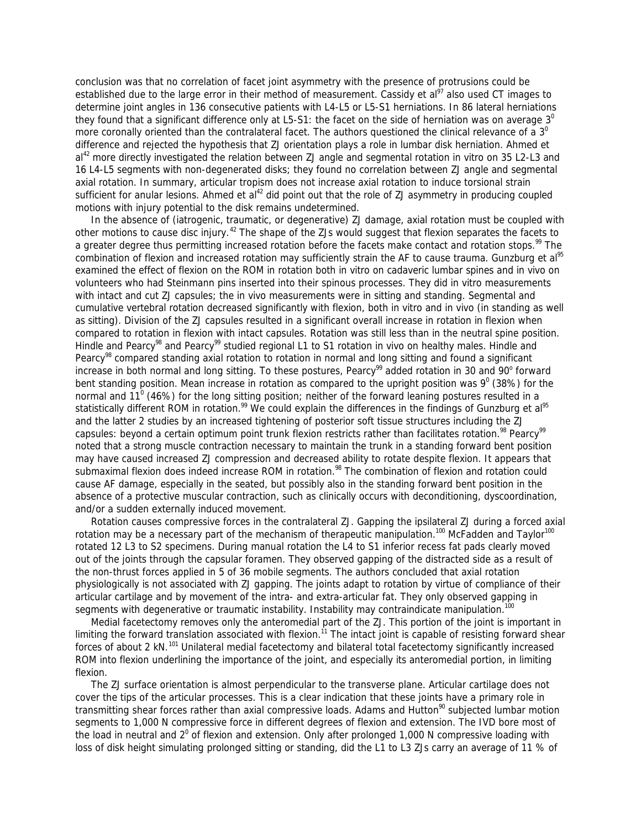conclusion was that no correlation of facet joint asymmetry with the presence of protrusions could be established due to the large error in their method of measurement. Cassidy et al<sup>97</sup> also used CT images to determine joint angles in 136 consecutive patients with L4-L5 or L5-S1 herniations. In 86 lateral herniations they found that a significant difference only at L5-S1: the facet on the side of herniation was on average  $3^\circ$ more coronally oriented than the contralateral facet. The authors questioned the clinical relevance of a  $3<sup>0</sup>$ difference and rejected the hypothesis that ZJ orientation plays a role in lumbar disk herniation. Ahmed et al<sup>42</sup> more directly investigated the relation between ZJ angle and segmental rotation in vitro on 35 L2-L3 and 16 L4-L5 segments with non-degenerated disks; they found no correlation between ZJ angle and segmental axial rotation. In summary, articular tropism does not increase axial rotation to induce torsional strain sufficient for anular lesions. Ahmed et  $al^{42}$  did point out that the role of ZJ asymmetry in producing coupled motions with injury potential to the disk remains undetermined.

 In the absence of (iatrogenic, traumatic, or degenerative) ZJ damage, axial rotation must be coupled with other motions to cause disc injury.<sup>42</sup> The shape of the ZJs would suggest that flexion separates the facets to a greater degree thus permitting increased rotation before the facets make contact and rotation stops.<sup>99</sup> The combination of flexion and increased rotation may sufficiently strain the AF to cause trauma. Gunzburg et al<sup>95</sup> examined the effect of flexion on the ROM in rotation both in vitro on cadaveric lumbar spines and in vivo on volunteers who had Steinmann pins inserted into their spinous processes. They did in vitro measurements with intact and cut ZJ capsules; the in vivo measurements were in sitting and standing. Segmental and cumulative vertebral rotation decreased significantly with flexion, both in vitro and in vivo (in standing as well as sitting). Division of the ZJ capsules resulted in a significant overall increase in rotation in flexion when compared to rotation in flexion with intact capsules. Rotation was still less than in the neutral spine position. Hindle and Pearcy<sup>98</sup> and Pearcy<sup>99</sup> studied regional L1 to S1 rotation in vivo on healthy males. Hindle and Pearcy<sup>98</sup> compared standing axial rotation to rotation in normal and long sitting and found a significant increase in both normal and long sitting. To these postures, Pearcy<sup>99</sup> added rotation in 30 and 90° forward bent standing position. Mean increase in rotation as compared to the upright position was  $9^{\circ}$  (38%) for the normal and 11<sup>0</sup> (46%) for the long sitting position; neither of the forward leaning postures resulted in a statistically different ROM in rotation.<sup>99</sup> We could explain the differences in the findings of Gunzburg et al<sup>95</sup> and the latter 2 studies by an increased tightening of posterior soft tissue structures including the ZJ capsules: beyond a certain optimum point trunk flexion restricts rather than facilitates rotation.<sup>98</sup> Pearcy<sup>99</sup> noted that a strong muscle contraction necessary to maintain the trunk in a standing forward bent position may have caused increased ZJ compression and decreased ability to rotate despite flexion. It appears that submaximal flexion does indeed increase ROM in rotation.<sup>98</sup> The combination of flexion and rotation could cause AF damage, especially in the seated, but possibly also in the standing forward bent position in the absence of a protective muscular contraction, such as clinically occurs with deconditioning, dyscoordination, and/or a sudden externally induced movement.

 Rotation causes compressive forces in the contralateral ZJ. Gapping the ipsilateral ZJ during a forced axial rotation may be a necessary part of the mechanism of therapeutic manipulation.<sup>100</sup> McFadden and Taylor<sup>100</sup> rotated 12 L3 to S2 specimens. During manual rotation the L4 to S1 inferior recess fat pads clearly moved out of the joints through the capsular foramen. They observed gapping of the distracted side as a result of the non-thrust forces applied in 5 of 36 mobile segments. The authors concluded that axial rotation physiologically is not associated with ZJ gapping. The joints adapt to rotation by virtue of compliance of their articular cartilage and by movement of the intra- and extra-articular fat. They only observed gapping in segments with degenerative or traumatic instability. Instability may contraindicate manipulation.<sup>100</sup>

 Medial facetectomy removes only the anteromedial part of the ZJ. This portion of the joint is important in limiting the forward translation associated with flexion.<sup>11</sup> The intact joint is capable of resisting forward shear forces of about 2 kN.<sup>101</sup> Unilateral medial facetectomy and bilateral total facetectomy significantly increased ROM into flexion underlining the importance of the joint, and especially its anteromedial portion, in limiting flexion.

 The ZJ surface orientation is almost perpendicular to the transverse plane. Articular cartilage does not cover the tips of the articular processes. This is a clear indication that these joints have a primary role in transmitting shear forces rather than axial compressive loads. Adams and Hutton<sup>90</sup> subjected lumbar motion segments to 1,000 N compressive force in different degrees of flexion and extension. The IVD bore most of the load in neutral and  $2^0$  of flexion and extension. Only after prolonged 1,000 N compressive loading with loss of disk height simulating prolonged sitting or standing, did the L1 to L3 ZJs carry an average of 11 % of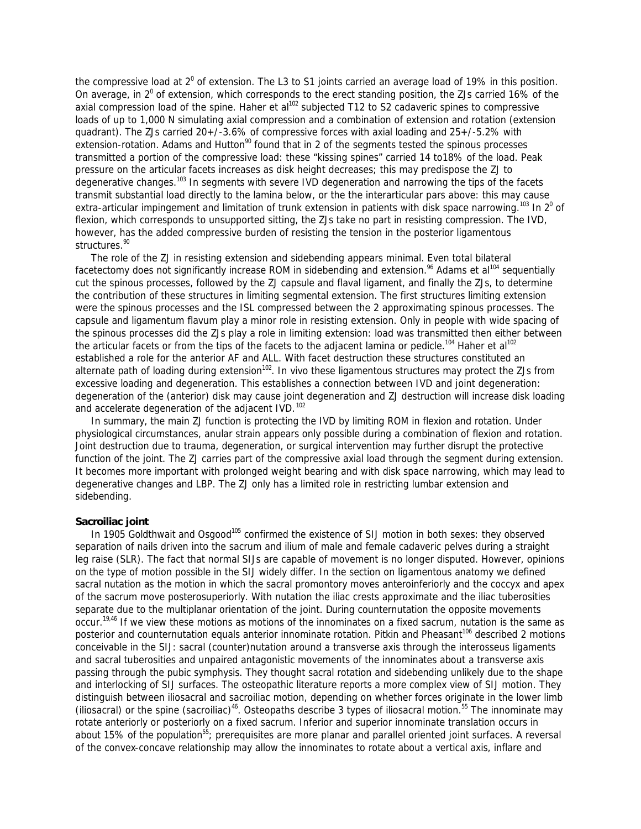the compressive load at  $2^0$  of extension. The L3 to S1 joints carried an average load of 19% in this position. On average, in  $2^0$  of extension, which corresponds to the erect standing position, the ZJs carried 16% of the axial compression load of the spine. Haher et al<sup>102</sup> subjected T12 to S2 cadaveric spines to compressive loads of up to 1,000 N simulating axial compression and a combination of extension and rotation (extension quadrant). The ZJs carried 20+/-3.6% of compressive forces with axial loading and 25+/-5.2% with extension-rotation. Adams and Hutton<sup>90</sup> found that in 2 of the segments tested the spinous processes transmitted a portion of the compressive load: these "kissing spines" carried 14 to18% of the load. Peak pressure on the articular facets increases as disk height decreases; this may predispose the ZJ to degenerative changes.<sup>103</sup> In segments with severe IVD degeneration and narrowing the tips of the facets transmit substantial load directly to the lamina below, or the the interarticular pars above: this may cause extra-articular impingement and limitation of trunk extension in patients with disk space narrowing.<sup>103</sup> In 2<sup>0</sup> of flexion, which corresponds to unsupported sitting, the ZJs take no part in resisting compression. The IVD, however, has the added compressive burden of resisting the tension in the posterior ligamentous structures.<sup>90</sup>

 The role of the ZJ in resisting extension and sidebending appears minimal. Even total bilateral facetectomy does not significantly increase ROM in sidebending and extension.<sup>96</sup> Adams et al<sup>104</sup> sequentially cut the spinous processes, followed by the ZJ capsule and flaval ligament, and finally the ZJs, to determine the contribution of these structures in limiting segmental extension. The first structures limiting extension were the spinous processes and the ISL compressed between the 2 approximating spinous processes. The capsule and ligamentum flavum play a minor role in resisting extension. Only in people with wide spacing of the spinous processes did the ZJs play a role in limiting extension: load was transmitted then either between the articular facets or from the tips of the facets to the adjacent lamina or pedicle.<sup>104</sup> Haher et al<sup>102</sup> established a role for the anterior AF and ALL. With facet destruction these structures constituted an alternate path of loading during extension<sup>102</sup>. In vivo these ligamentous structures may protect the ZJs from excessive loading and degeneration. This establishes a connection between IVD and joint degeneration: degeneration of the (anterior) disk may cause joint degeneration and ZJ destruction will increase disk loading and accelerate degeneration of the adjacent IVD.<sup>102</sup>

 In summary, the main ZJ function is protecting the IVD by limiting ROM in flexion and rotation. Under physiological circumstances, anular strain appears only possible during a combination of flexion and rotation. Joint destruction due to trauma, degeneration, or surgical intervention may further disrupt the protective function of the joint. The ZJ carries part of the compressive axial load through the segment during extension. It becomes more important with prolonged weight bearing and with disk space narrowing, which may lead to degenerative changes and LBP. The ZJ only has a limited role in restricting lumbar extension and sidebending.

### **Sacroiliac joint**

In 1905 Goldthwait and Osgood<sup>105</sup> confirmed the existence of SIJ motion in both sexes: they observed separation of nails driven into the sacrum and ilium of male and female cadaveric pelves during a straight leg raise (SLR). The fact that normal SIJs are capable of movement is no longer disputed. However, opinions on the type of motion possible in the SIJ widely differ. In the section on ligamentous anatomy we defined sacral nutation as the motion in which the sacral promontory moves anteroinferiorly and the coccyx and apex of the sacrum move posterosuperiorly. With nutation the iliac crests approximate and the iliac tuberosities separate due to the multiplanar orientation of the joint. During counternutation the opposite movements occur.19,46 If we view these motions as motions of the innominates on a fixed sacrum, nutation is the same as posterior and counternutation equals anterior innominate rotation. Pitkin and Pheasant<sup>106</sup> described 2 motions conceivable in the SIJ: sacral (counter)nutation around a transverse axis through the interosseus ligaments and sacral tuberosities and unpaired antagonistic movements of the innominates about a transverse axis passing through the pubic symphysis. They thought sacral rotation and sidebending unlikely due to the shape and interlocking of SIJ surfaces. The osteopathic literature reports a more complex view of SIJ motion. They distinguish between iliosacral and sacroiliac motion, depending on whether forces originate in the lower limb (iliosacral) or the spine (sacroiliac)<sup>46</sup>. Osteopaths describe 3 types of iliosacral motion.<sup>55</sup> The innominate may rotate anteriorly or posteriorly on a fixed sacrum. Inferior and superior innominate translation occurs in about 15% of the population<sup>55</sup>; prerequisites are more planar and parallel oriented joint surfaces. A reversal of the convex-concave relationship may allow the innominates to rotate about a vertical axis, inflare and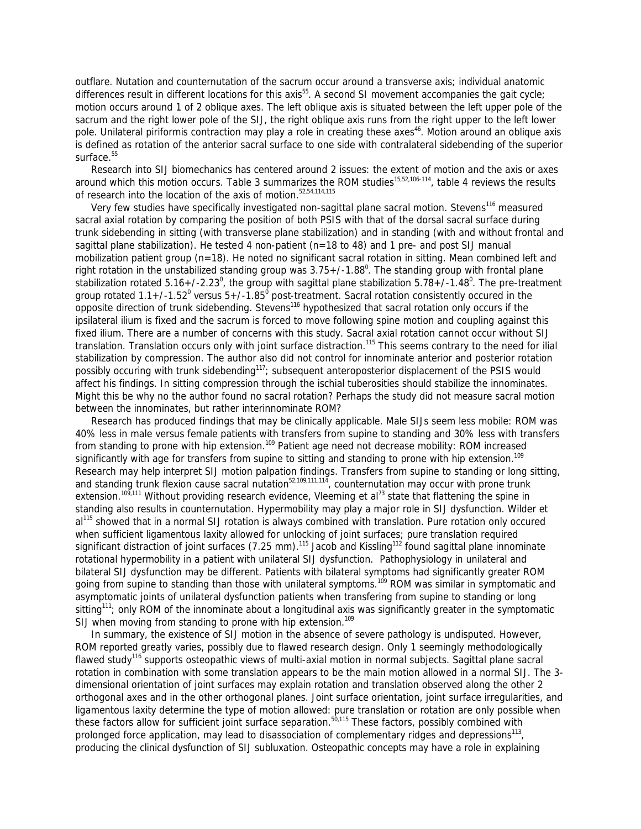outflare. Nutation and counternutation of the sacrum occur around a transverse axis; individual anatomic differences result in different locations for this axis<sup>55</sup>. A second SI movement accompanies the gait cycle; motion occurs around 1 of 2 oblique axes. The left oblique axis is situated between the left upper pole of the sacrum and the right lower pole of the SIJ, the right oblique axis runs from the right upper to the left lower pole. Unilateral piriformis contraction may play a role in creating these axes<sup>46</sup>. Motion around an oblique axis is defined as rotation of the anterior sacral surface to one side with contralateral sidebending of the superior surface.<sup>55</sup>

 Research into SIJ biomechanics has centered around 2 issues: the extent of motion and the axis or axes around which this motion occurs. Table 3 summarizes the ROM studies<sup>15,52,106-114</sup>, table 4 reviews the results of research into the location of the axis of motion.<sup>52,54,114,115</sup>

Very few studies have specifically investigated non-sagittal plane sacral motion. Stevens<sup>116</sup> measured sacral axial rotation by comparing the position of both PSIS with that of the dorsal sacral surface during trunk sidebending in sitting (with transverse plane stabilization) and in standing (with and without frontal and sagittal plane stabilization). He tested 4 non-patient (n=18 to 48) and 1 pre- and post SIJ manual mobilization patient group (n=18). He noted no significant sacral rotation in sitting. Mean combined left and right rotation in the unstabilized standing group was  $3.75+$ /-1.88<sup>0</sup>. The standing group with frontal plane stabilization rotated 5.16+/-2.23<sup>0</sup>, the group with sagittal plane stabilization 5.78+/-1.48<sup>0</sup>. The pre-treatment group rotated 1.1+/-1.52<sup>0</sup> versus 5+/-1.85<sup>0</sup> post-treatment. Sacral rotation consistently occured in the opposite direction of trunk sidebending. Stevens<sup>116</sup> hypothesized that sacral rotation only occurs if the ipsilateral ilium is fixed and the sacrum is forced to move following spine motion and coupling against this fixed ilium. There are a number of concerns with this study. Sacral axial rotation cannot occur without SIJ translation. Translation occurs only with joint surface distraction.<sup>115</sup> This seems contrary to the need for ilial stabilization by compression. The author also did not control for innominate anterior and posterior rotation possibly occuring with trunk sidebending<sup>117</sup>; subsequent anteroposterior displacement of the PSIS would affect his findings. In sitting compression through the ischial tuberosities should stabilize the innominates. Might this be why no the author found no sacral rotation? Perhaps the study did not measure sacral motion between the innominates, but rather interinnominate ROM?

 Research has produced findings that may be clinically applicable. Male SIJs seem less mobile: ROM was 40% less in male versus female patients with transfers from supine to standing and 30% less with transfers from standing to prone with hip extension.<sup>109</sup> Patient age need not decrease mobility: ROM increased significantly with age for transfers from supine to sitting and standing to prone with hip extension.<sup>109</sup> Research may help interpret SIJ motion palpation findings. Transfers from supine to standing or long sitting, and standing trunk flexion cause sacral nutation<sup>52,109,111,114</sup>, counternutation may occur with prone trunk extension.<sup>109,111</sup> Without providing research evidence, Vleeming et al<sup>73</sup> state that flattening the spine in standing also results in counternutation. Hypermobility may play a major role in SIJ dysfunction. Wilder et al<sup>115</sup> showed that in a normal SIJ rotation is always combined with translation. Pure rotation only occured when sufficient ligamentous laxity allowed for unlocking of joint surfaces; pure translation required significant distraction of joint surfaces (7.25 mm).<sup>115</sup> Jacob and Kissling<sup>112</sup> found sagittal plane innominate rotational hypermobility in a patient with unilateral SIJ dysfunction. Pathophysiology in unilateral and bilateral SIJ dysfunction may be different. Patients with bilateral symptoms had significantly greater ROM going from supine to standing than those with unilateral symptoms.<sup>109</sup> ROM was similar in symptomatic and asymptomatic joints of unilateral dysfunction patients when transfering from supine to standing or long sitting<sup>111</sup>; only ROM of the innominate about a longitudinal axis was significantly greater in the symptomatic SIJ when moving from standing to prone with hip extension.<sup>109</sup>

 In summary, the existence of SIJ motion in the absence of severe pathology is undisputed. However, ROM reported greatly varies, possibly due to flawed research design. Only 1 seemingly methodologically flawed study<sup>116</sup> supports osteopathic views of multi-axial motion in normal subjects. Sagittal plane sacral rotation in combination with some translation appears to be the main motion allowed in a normal SIJ. The 3 dimensional orientation of joint surfaces may explain rotation and translation observed along the other 2 orthogonal axes and in the other orthogonal planes. Joint surface orientation, joint surface irregularities, and ligamentous laxity determine the type of motion allowed: pure translation or rotation are only possible when these factors allow for sufficient joint surface separation.<sup>50,115</sup> These factors, possibly combined with prolonged force application, may lead to disassociation of complementary ridges and depressions<sup>113</sup>, producing the clinical dysfunction of SIJ subluxation. Osteopathic concepts may have a role in explaining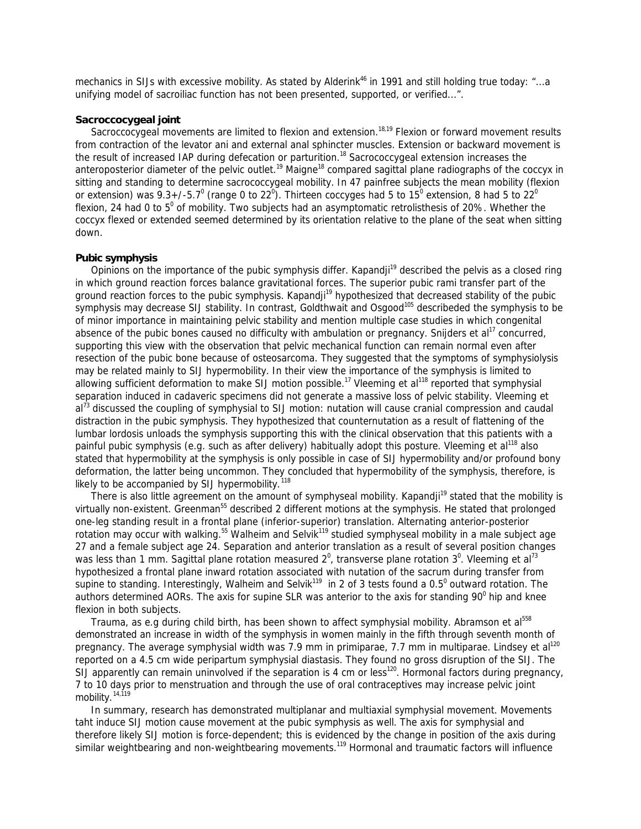mechanics in SIJs with excessive mobility. As stated by Alderink<sup>46</sup> in 1991 and still holding true today: "...a unifying model of sacroiliac function has not been presented, supported, or verified...".

# **Sacroccocygeal joint**

Sacroccocygeal movements are limited to flexion and extension.<sup>18,19</sup> Flexion or forward movement results from contraction of the levator ani and external anal sphincter muscles. Extension or backward movement is the result of increased IAP during defecation or parturition.<sup>18</sup> Sacrococcygeal extension increases the anteroposterior diameter of the pelvic outlet.<sup>19</sup> Maigne<sup>18</sup> compared sagittal plane radiographs of the coccyx in sitting and standing to determine sacrococcygeal mobility. In 47 painfree subjects the mean mobility (flexion or extension) was 9.3+/-5.7 $^0$  (range 0 to 22 $^0$ ). Thirteen coccyges had 5 to 15 $^0$  extension, 8 had 5 to 22 $^0$ flexion, 24 had 0 to  $5^0$  of mobility. Two subjects had an asymptomatic retrolisthesis of 20%. Whether the coccyx flexed or extended seemed determined by its orientation relative to the plane of the seat when sitting down.

# **Pubic symphysis**

Opinions on the importance of the pubic symphysis differ. Kapandji<sup>19</sup> described the pelvis as a closed ring in which ground reaction forces balance gravitational forces. The superior pubic rami transfer part of the ground reaction forces to the pubic symphysis. Kapandji<sup>19</sup> hypothesized that decreased stability of the pubic symphysis may decrease SIJ stability. In contrast, Goldthwait and Osgood<sup>105</sup> describeded the symphysis to be of minor importance in maintaining pelvic stability and mention multiple case studies in which congenital absence of the pubic bones caused no difficulty with ambulation or pregnancy. Snijders et al<sup>17</sup> concurred, supporting this view with the observation that pelvic mechanical function can remain normal even after resection of the pubic bone because of osteosarcoma. They suggested that the symptoms of symphysiolysis may be related mainly to SIJ hypermobility. In their view the importance of the symphysis is limited to allowing sufficient deformation to make SIJ motion possible.<sup>17</sup> Vleeming et al<sup>118</sup> reported that symphysial separation induced in cadaveric specimens did not generate a massive loss of pelvic stability. Vleeming et al<sup>73</sup> discussed the coupling of symphysial to SIJ motion: nutation will cause cranial compression and caudal distraction in the pubic symphysis. They hypothesized that counternutation as a result of flattening of the lumbar lordosis unloads the symphysis supporting this with the clinical observation that this patients with a painful pubic symphysis (e.g. such as after delivery) habitually adopt this posture. Vleeming et al<sup>118</sup> also stated that hypermobility at the symphysis is only possible in case of SIJ hypermobility and/or profound bony deformation, the latter being uncommon. They concluded that hypermobility of the symphysis, therefore, is likely to be accompanied by SIJ hypermobility.<sup>118</sup>

There is also little agreement on the amount of symphyseal mobility. Kapandji<sup>19</sup> stated that the mobility is virtually non-existent. Greenman<sup>55</sup> described 2 different motions at the symphysis. He stated that prolonged one-leg standing result in a frontal plane (inferior-superior) translation. Alternating anterior-posterior rotation may occur with walking.<sup>55</sup> Walheim and Selvik<sup>119</sup> studied symphyseal mobility in a male subject age 27 and a female subject age 24. Separation and anterior translation as a result of several position changes was less than 1 mm. Sagittal plane rotation measured 2<sup>0</sup>, transverse plane rotation 3<sup>0</sup>. Vleeming et al<sup>73</sup> hypothesized a frontal plane inward rotation associated with nutation of the sacrum during transfer from supine to standing. Interestingly, Walheim and Selvik<sup>119</sup> in 2 of 3 tests found a 0.5<sup>0</sup> outward rotation. The authors determined AORs. The axis for supine SLR was anterior to the axis for standing 90 $^0$  hip and knee flexion in both subjects.

Trauma, as e.g during child birth, has been shown to affect symphysial mobility. Abramson et al<sup>558</sup> demonstrated an increase in width of the symphysis in women mainly in the fifth through seventh month of pregnancy. The average symphysial width was 7.9 mm in primiparae, 7.7 mm in multiparae. Lindsey et al<sup>120</sup> reported on a 4.5 cm wide peripartum symphysial diastasis. They found no gross disruption of the SIJ. The SIJ apparently can remain uninvolved if the separation is 4 cm or less<sup>120</sup>. Hormonal factors during pregnancy, 7 to 10 days prior to menstruation and through the use of oral contraceptives may increase pelvic joint mobility.<sup>14,119</sup>

 In summary, research has demonstrated multiplanar and multiaxial symphysial movement. Movements taht induce SIJ motion cause movement at the pubic symphysis as well. The axis for symphysial and therefore likely SIJ motion is force-dependent; this is evidenced by the change in position of the axis during similar weightbearing and non-weightbearing movements.<sup>119</sup> Hormonal and traumatic factors will influence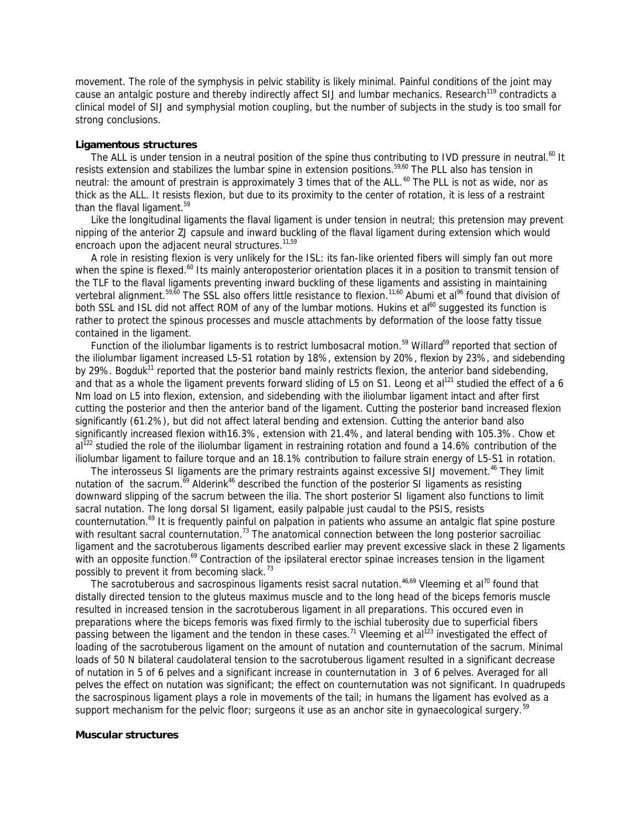movement. The role of the symphysis in pelvic stability is likely minimal. Painful conditions of the joint may cause an antalgic posture and thereby indirectly affect SIJ and lumbar mechanics. Research<sup>119</sup> contradicts a clinical model of SIJ and symphysial motion coupling, but the number of subjects in the study is too small for strong conclusions.

## **Ligamentous structures**

The ALL is under tension in a neutral position of the spine thus contributing to IVD pressure in neutral.<sup>60</sup> It resists extension and stabilizes the lumbar spine in extension positions.<sup>59,60</sup> The PLL also has tension in neutral: the amount of prestrain is approximately 3 times that of the ALL.<sup>60</sup> The PLL is not as wide, nor as thick as the ALL. It resists flexion, but due to its proximity to the center of rotation, it is less of a restraint than the flaval ligament.<sup>59</sup>

 Like the longitudinal ligaments the flaval ligament is under tension in neutral; this pretension may prevent nipping of the anterior ZJ capsule and inward buckling of the flaval ligament during extension which would encroach upon the adjacent neural structures.<sup>11,59</sup>

 A role in resisting flexion is very unlikely for the ISL: its fan-like oriented fibers will simply fan out more when the spine is flexed.<sup>60</sup> Its mainly anteroposterior orientation places it in a position to transmit tension of the TLF to the flaval ligaments preventing inward buckling of these ligaments and assisting in maintaining vertebral alignment.<sup>59,60</sup> The SSL also offers little resistance to flexion.<sup>11,60</sup> Abumi et al<sup>96</sup> found that division of both SSL and ISL did not affect ROM of any of the lumbar motions. Hukins et al<sup>60</sup> suggested its function is rather to protect the spinous processes and muscle attachments by deformation of the loose fatty tissue contained in the ligament.

Function of the iliolumbar ligaments is to restrict lumbosacral motion.<sup>59</sup> Willard<sup>59</sup> reported that section of the iliolumbar ligament increased L5-S1 rotation by 18%, extension by 20%, flexion by 23%, and sidebending by 29%. Bogduk<sup>11</sup> reported that the posterior band mainly restricts flexion, the anterior band sidebending, and that as a whole the ligament prevents forward sliding of L5 on S1. Leong et al<sup>121</sup> studied the effect of a 6 Nm load on L5 into flexion, extension, and sidebending with the iliolumbar ligament intact and after first cutting the posterior and then the anterior band of the ligament. Cutting the posterior band increased flexion significantly (61.2%), but did not affect lateral bending and extension. Cutting the anterior band also significantly increased flexion with16.3%, extension with 21.4%, and lateral bending with 105.3%. Chow et  $al^{122}$  studied the role of the iliolumbar ligament in restraining rotation and found a 14.6% contribution of the iliolumbar ligament to failure torque and an 18.1% contribution to failure strain energy of L5-S1 in rotation.

The interosseus SI ligaments are the primary restraints against excessive SIJ movement.<sup>46</sup> They limit nutation of the sacrum.<sup>69</sup> Alderink<sup>46</sup> described the function of the posterior SI ligaments as resisting downward slipping of the sacrum between the ilia. The short posterior SI ligament also functions to limit sacral nutation. The long dorsal SI ligament, easily palpable just caudal to the PSIS, resists counternutation.<sup>69</sup> It is frequently painful on palpation in patients who assume an antalgic flat spine posture with resultant sacral counternutation.<sup>73</sup> The anatomical connection between the long posterior sacroiliac ligament and the sacrotuberous ligaments described earlier may prevent excessive slack in these 2 ligaments with an opposite function.<sup>69</sup> Contraction of the ipsilateral erector spinae increases tension in the ligament possibly to prevent it from becoming slack.<sup>73</sup>

The sacrotuberous and sacrospinous ligaments resist sacral nutation.  $46.69$  Vleeming et al<sup>70</sup> found that distally directed tension to the gluteus maximus muscle and to the long head of the biceps femoris muscle resulted in increased tension in the sacrotuberous ligament in all preparations. This occured even in preparations where the biceps femoris was fixed firmly to the ischial tuberosity due to superficial fibers passing between the ligament and the tendon in these cases.<sup>71</sup> Vleeming et al<sup>123</sup> investigated the effect of loading of the sacrotuberous ligament on the amount of nutation and counternutation of the sacrum. Minimal loads of 50 N bilateral caudolateral tension to the sacrotuberous ligament resulted in a significant decrease of nutation in 5 of 6 pelves and a significant increase in counternutation in 3 of 6 pelves. Averaged for all pelves the effect on nutation was significant; the effect on counternutation was not significant. In quadrupeds the sacrospinous ligament plays a role in movements of the tail; in humans the ligament has evolved as a support mechanism for the pelvic floor; surgeons it use as an anchor site in gynaecological surgery.<sup>59</sup>

#### **Muscular structures**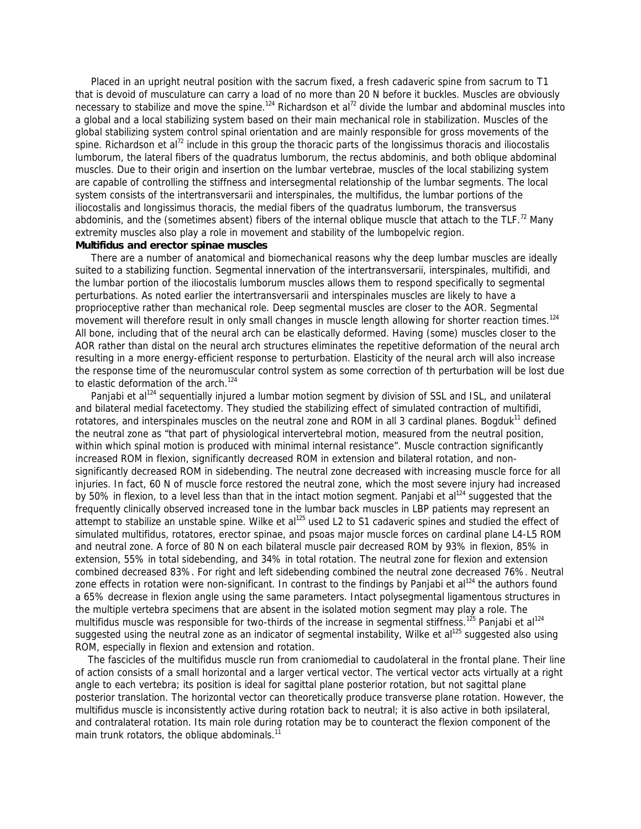Placed in an upright neutral position with the sacrum fixed, a fresh cadaveric spine from sacrum to T1 that is devoid of musculature can carry a load of no more than 20 N before it buckles. Muscles are obviously necessary to stabilize and move the spine.<sup>124</sup> Richardson et al<sup>72</sup> divide the lumbar and abdominal muscles into a *global* and a *local stabilizing system* based on their main mechanical role in stabilization. Muscles of the global stabilizing system control spinal orientation and are mainly responsible for gross movements of the spine. Richardson et al<sup>72</sup> include in this group the thoracic parts of the longissimus thoracis and iliocostalis lumborum, the lateral fibers of the quadratus lumborum, the rectus abdominis, and both oblique abdominal muscles. Due to their origin and insertion on the lumbar vertebrae, muscles of the local stabilizing system are capable of controlling the stiffness and intersegmental relationship of the lumbar segments. The local system consists of the intertransversarii and interspinales, the multifidus, the lumbar portions of the iliocostalis and longissimus thoracis, the medial fibers of the quadratus lumborum, the transversus abdominis, and the (sometimes absent) fibers of the internal oblique muscle that attach to the TLF.<sup>72</sup> Many extremity muscles also play a role in movement and stability of the lumbopelvic region.

### *Multifidus and erector spinae muscles*

 There are a number of anatomical and biomechanical reasons why the deep lumbar muscles are ideally suited to a stabilizing function. Segmental innervation of the intertransversarii, interspinales, multifidi, and the lumbar portion of the iliocostalis lumborum muscles allows them to respond specifically to segmental perturbations. As noted earlier the intertransversarii and interspinales muscles are likely to have a proprioceptive rather than mechanical role. Deep segmental muscles are closer to the AOR. Segmental movement will therefore result in only small changes in muscle length allowing for shorter reaction times.<sup>124</sup> All bone, including that of the neural arch can be elastically deformed. Having (some) muscles closer to the AOR rather than distal on the neural arch structures eliminates the repetitive deformation of the neural arch resulting in a more energy-efficient response to perturbation. Elasticity of the neural arch will also increase the response time of the neuromuscular control system as some correction of th perturbation will be lost due to elastic deformation of the arch.<sup>124</sup>

Panjabi et al<sup>124</sup> sequentially injured a lumbar motion segment by division of SSL and ISL, and unilateral and bilateral medial facetectomy. They studied the stabilizing effect of simulated contraction of multifidi, rotatores, and interspinales muscles on the *neutral zone* and ROM in all 3 cardinal planes. Bogduk<sup>11</sup> defined the neutral zone as "that part of physiological intervertebral motion, measured from the neutral position, within which spinal motion is produced with minimal internal resistance". Muscle contraction significantly increased ROM in flexion, significantly decreased ROM in extension and bilateral rotation, and nonsignificantly decreased ROM in sidebending. The neutral zone decreased with increasing muscle force for all injuries. In fact, 60 N of muscle force restored the neutral zone, which the most severe injury had increased by 50% in flexion, to a level less than that in the intact motion segment. Panjabi et al<sup>124</sup> suggested that the frequently clinically observed increased tone in the lumbar back muscles in LBP patients may represent an attempt to stabilize an unstable spine. Wilke et al<sup>125</sup> used L2 to S1 cadaveric spines and studied the effect of simulated multifidus, rotatores, erector spinae, and psoas major muscle forces on cardinal plane L4-L5 ROM and neutral zone. A force of 80 N on each bilateral muscle pair decreased ROM by 93% in flexion, 85% in extension, 55% in total sidebending, and 34% in total rotation. The neutral zone for flexion and extension combined decreased 83%. For right and left sidebending combined the neutral zone decreased 76%. Neutral zone effects in rotation were non-significant. In contrast to the findings by Panjabi et al<sup>124</sup> the authors found a 65% decrease in flexion angle using the same parameters. Intact polysegmental ligamentous structures in the multiple vertebra specimens that are absent in the isolated motion segment may play a role. The multifidus muscle was responsible for two-thirds of the increase in segmental stiffness.<sup>125</sup> Panjabi et al<sup>124</sup> suggested using the neutral zone as an indicator of segmental instability, Wilke et al<sup>125</sup> suggested also using ROM, especially in flexion and extension and rotation.

 The fascicles of the multifidus muscle run from craniomedial to caudolateral in the frontal plane. Their line of action consists of a small horizontal and a larger vertical vector. The vertical vector acts virtually at a right angle to each vertebra; its position is ideal for sagittal plane posterior rotation, but not sagittal plane posterior translation. The horizontal vector can theoretically produce transverse plane rotation. However, the multifidus muscle is inconsistently active during rotation back to neutral; it is also active in both ipsilateral, and contralateral rotation. Its main role during rotation may be to counteract the flexion component of the main trunk rotators, the oblique abdominals. $11$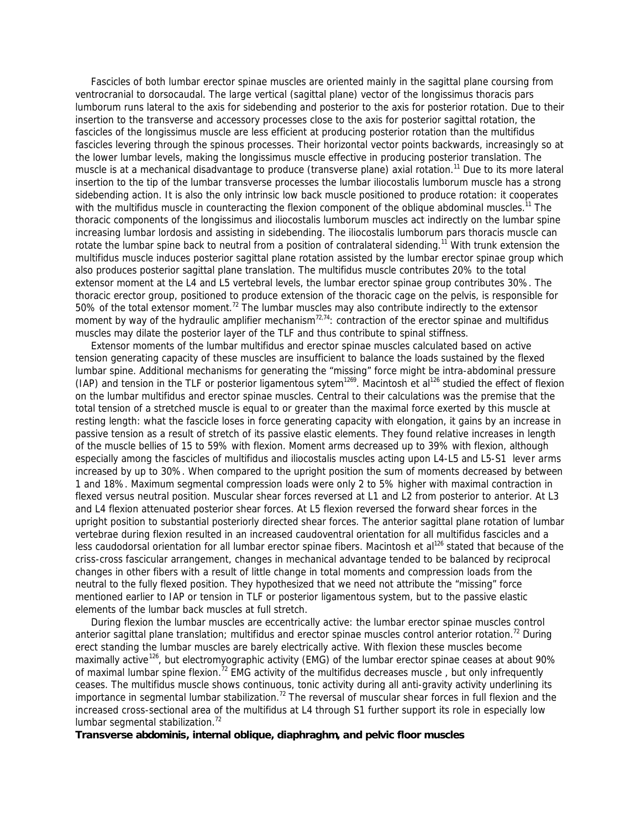Fascicles of both lumbar erector spinae muscles are oriented mainly in the sagittal plane coursing from ventrocranial to dorsocaudal. The large vertical (sagittal plane) vector of the longissimus thoracis pars lumborum runs lateral to the axis for sidebending and posterior to the axis for posterior rotation. Due to their insertion to the transverse and accessory processes close to the axis for posterior sagittal rotation, the fascicles of the longissimus muscle are less efficient at producing posterior rotation than the multifidus fascicles levering through the spinous processes. Their horizontal vector points backwards, increasingly so at the lower lumbar levels, making the longissimus muscle effective in producing posterior translation. The muscle is at a mechanical disadvantage to produce (transverse plane) axial rotation.<sup>11</sup> Due to its more lateral insertion to the tip of the lumbar transverse processes the lumbar iliocostalis lumborum muscle has a strong sidebending action. It is also the only intrinsic low back muscle positioned to produce rotation: it cooperates with the multifidus muscle in counteracting the flexion component of the oblique abdominal muscles.<sup>11</sup> The thoracic components of the longissimus and iliocostalis lumborum muscles act indirectly on the lumbar spine increasing lumbar lordosis and assisting in sidebending. The iliocostalis lumborum pars thoracis muscle can rotate the lumbar spine back to neutral from a position of contralateral sidending.<sup>11</sup> With trunk extension the multifidus muscle induces posterior sagittal plane rotation assisted by the lumbar erector spinae group which also produces posterior sagittal plane translation. The multifidus muscle contributes 20% to the total extensor moment at the L4 and L5 vertebral levels, the lumbar erector spinae group contributes 30%. The thoracic erector group, positioned to produce extension of the thoracic cage on the pelvis, is responsible for 50% of the total extensor moment.<sup>72</sup> The lumbar muscles may also contribute indirectly to the extensor moment by way of the *hydraulic amplifier mechanism*<sup>72,74</sup>: contraction of the erector spinae and multifidus muscles may dilate the posterior layer of the TLF and thus contribute to spinal stiffness.

 Extensor moments of the lumbar multifidus and erector spinae muscles calculated based on active tension generating capacity of these muscles are insufficient to balance the loads sustained by the flexed lumbar spine. Additional mechanisms for generating the "missing" force might be intra-abdominal pressure (IAP) and tension in the TLF or posterior ligamentous sytem<sup>1269</sup>. Macintosh et al<sup>126</sup> studied the effect of flexion on the lumbar multifidus and erector spinae muscles. Central to their calculations was the premise that the total tension of a stretched muscle is equal to or greater than the maximal force exerted by this muscle at resting length: what the fascicle loses in force generating capacity with elongation, it gains by an increase in passive tension as a result of stretch of its passive elastic elements. They found relative increases in length of the muscle bellies of 15 to 59% with flexion. Moment arms decreased up to 39% with flexion, although especially among the fascicles of multifidus and iliocostalis muscles acting upon L4-L5 and L5-S1 lever arms increased by up to 30%. When compared to the upright position the sum of moments decreased by between 1 and 18%. Maximum segmental compression loads were only 2 to 5% higher with maximal contraction in flexed versus neutral position. Muscular shear forces reversed at L1 and L2 from posterior to anterior. At L3 and L4 flexion attenuated posterior shear forces. At L5 flexion reversed the forward shear forces in the upright position to substantial posteriorly directed shear forces. The anterior sagittal plane rotation of lumbar vertebrae during flexion resulted in an increased caudoventral orientation for all multifidus fascicles and a less caudodorsal orientation for all lumbar erector spinae fibers. Macintosh et al<sup>126</sup> stated that because of the criss-cross fascicular arrangement, changes in mechanical advantage tended to be balanced by reciprocal changes in other fibers with a result of little change in total moments and compression loads from the neutral to the fully flexed position. They hypothesized that we need not attribute the "missing" force mentioned earlier to IAP or tension in TLF or posterior ligamentous system, but to the passive elastic elements of the lumbar back muscles at full stretch.

 During flexion the lumbar muscles are eccentrically active: the lumbar erector spinae muscles control anterior sagittal plane translation; multifidus and erector spinae muscles control anterior rotation.<sup>72</sup> During erect standing the lumbar muscles are barely electrically active. With flexion these muscles become maximally active<sup>126</sup>, but electromyographic activity (EMG) of the lumbar erector spinae ceases at about 90% of maximal lumbar spine flexion.<sup>72</sup> EMG activity of the multifidus decreases muscle, but only infrequently ceases. The multifidus muscle shows continuous, tonic activity during all anti-gravity activity underlining its importance in segmental lumbar stabilization.<sup>72</sup> The reversal of muscular shear forces in full flexion and the increased cross-sectional area of the multifidus at L4 through S1 further support its role in especially low lumbar segmental stabilization. $72$ 

### *Transverse abdominis, internal oblique, diaphraghm, and pelvic floor muscles*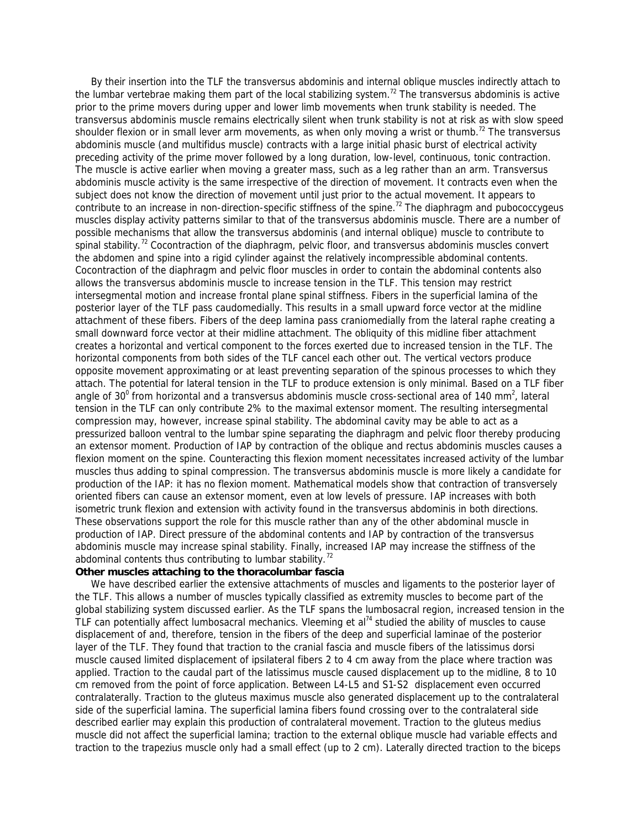By their insertion into the TLF the transversus abdominis and internal oblique muscles indirectly attach to the lumbar vertebrae making them part of the local stabilizing system.<sup>72</sup> The transversus abdominis is active prior to the prime movers during upper and lower limb movements when trunk stability is needed. The transversus abdominis muscle remains electrically silent when trunk stability is not at risk as with slow speed shoulder flexion or in small lever arm movements, as when only moving a wrist or thumb.<sup>72</sup> The transversus abdominis muscle (and multifidus muscle) contracts with a large initial phasic burst of electrical activity preceding activity of the prime mover followed by a long duration, low-level, continuous, tonic contraction. The muscle is active earlier when moving a greater mass, such as a leg rather than an arm. Transversus abdominis muscle activity is the same irrespective of the direction of movement. It contracts even when the subject does not know the direction of movement until just prior to the actual movement. It appears to contribute to an increase in non-direction-specific stiffness of the spine.<sup>72</sup> The diaphragm and pubococcygeus muscles display activity patterns similar to that of the transversus abdominis muscle. There are a number of possible mechanisms that allow the transversus abdominis (and internal oblique) muscle to contribute to spinal stability.<sup>72</sup> Cocontraction of the diaphragm, pelvic floor, and transversus abdominis muscles convert the abdomen and spine into a rigid cylinder against the relatively incompressible abdominal contents. Cocontraction of the diaphragm and pelvic floor muscles in order to contain the abdominal contents also allows the transversus abdominis muscle to increase tension in the TLF. This tension may restrict intersegmental motion and increase frontal plane spinal stiffness. Fibers in the superficial lamina of the posterior layer of the TLF pass caudomedially. This results in a small upward force vector at the midline attachment of these fibers. Fibers of the deep lamina pass craniomedially from the lateral raphe creating a small downward force vector at their midline attachment. The obliquity of this midline fiber attachment creates a horizontal and vertical component to the forces exerted due to increased tension in the TLF. The horizontal components from both sides of the TLF cancel each other out. The vertical vectors produce opposite movement approximating or at least preventing separation of the spinous processes to which they attach. The potential for lateral tension in the TLF to produce extension is only minimal. Based on a TLF fiber angle of 30<sup>°</sup> from horizontal and a transversus abdominis muscle cross-sectional area of 140 mm<sup>2</sup>, lateral tension in the TLF can only contribute 2% to the maximal extensor moment. The resulting intersegmental compression may, however, increase spinal stability. The abdominal cavity may be able to act as a pressurized balloon ventral to the lumbar spine separating the diaphragm and pelvic floor thereby producing an extensor moment. Production of IAP by contraction of the oblique and rectus abdominis muscles causes a flexion moment on the spine. Counteracting this flexion moment necessitates increased activity of the lumbar muscles thus adding to spinal compression. The transversus abdominis muscle is more likely a candidate for production of the IAP: it has no flexion moment. Mathematical models show that contraction of transversely oriented fibers can cause an extensor moment, even at low levels of pressure. IAP increases with both isometric trunk flexion and extension with activity found in the transversus abdominis in both directions. These observations support the role for this muscle rather than any of the other abdominal muscle in production of IAP. Direct pressure of the abdominal contents and IAP by contraction of the transversus abdominis muscle may increase spinal stability. Finally, increased IAP may increase the stiffness of the abdominal contents thus contributing to lumbar stability. $^{72}$ 

# *Other muscles attaching to the thoracolumbar fascia*

 We have described earlier the extensive attachments of muscles and ligaments to the posterior layer of the TLF. This allows a number of muscles typically classified as extremity muscles to become part of the global stabilizing system discussed earlier. As the TLF spans the lumbosacral region, increased tension in the TLF can potentially affect lumbosacral mechanics. Vleeming et al<sup>74</sup> studied the ability of muscles to cause displacement of and, therefore, tension in the fibers of the deep and superficial laminae of the posterior layer of the TLF. They found that traction to the cranial fascia and muscle fibers of the latissimus dorsi muscle caused limited displacement of ipsilateral fibers 2 to 4 cm away from the place where traction was applied. Traction to the caudal part of the latissimus muscle caused displacement up to the midline, 8 to 10 cm removed from the point of force application. Between L4-L5 and S1-S2 displacement even occurred contralaterally. Traction to the gluteus maximus muscle also generated displacement up to the contralateral side of the superficial lamina. The superficial lamina fibers found crossing over to the contralateral side described earlier may explain this production of contralateral movement. Traction to the gluteus medius muscle did not affect the superficial lamina; traction to the external oblique muscle had variable effects and traction to the trapezius muscle only had a small effect (up to 2 cm). Laterally directed traction to the biceps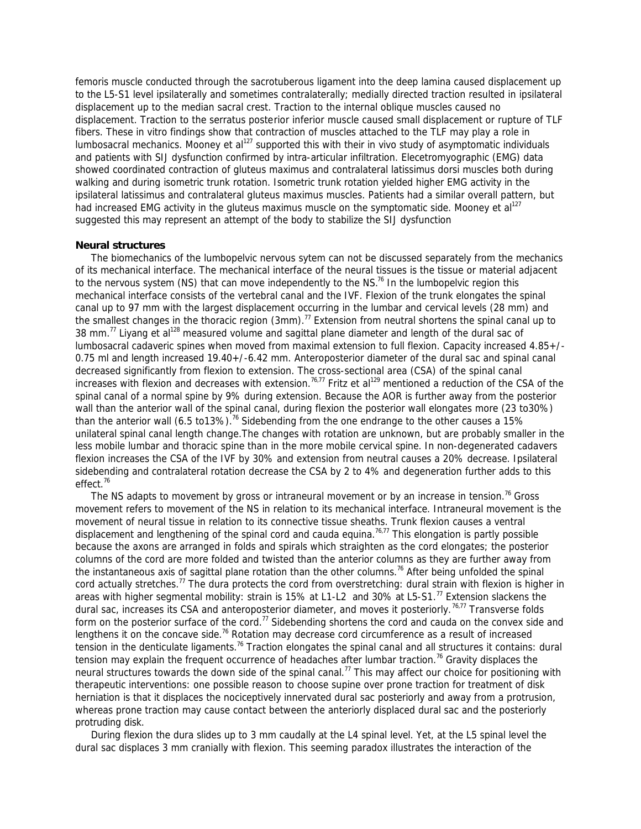femoris muscle conducted through the sacrotuberous ligament into the deep lamina caused displacement up to the L5-S1 level ipsilaterally and sometimes contralaterally; medially directed traction resulted in ipsilateral displacement up to the median sacral crest. Traction to the internal oblique muscles caused no displacement. Traction to the serratus posterior inferior muscle caused small displacement or rupture of TLF fibers. These in vitro findings show that contraction of muscles attached to the TLF may play a role in lumbosacral mechanics. Mooney et al<sup>127</sup> supported this with their in vivo study of asymptomatic individuals and patients with SIJ dysfunction confirmed by intra-articular infiltration. Elecetromyographic (EMG) data showed coordinated contraction of gluteus maximus and contralateral latissimus dorsi muscles both during walking and during isometric trunk rotation. Isometric trunk rotation yielded higher EMG activity in the ipsilateral latissimus and contralateral gluteus maximus muscles. Patients had a similar overall pattern, but had increased EMG activity in the gluteus maximus muscle on the symptomatic side. Mooney et al<sup>127</sup> suggested this may represent an attempt of the body to stabilize the SIJ dysfunction

### **Neural structures**

 The biomechanics of the lumbopelvic nervous sytem can not be discussed separately from the mechanics of its mechanical interface. The mechanical interface of the neural tissues is the tissue or material adjacent to the nervous system (NS) that can move independently to the NS.<sup>76</sup> In the lumbopelvic region this mechanical interface consists of the vertebral canal and the IVF. Flexion of the trunk elongates the spinal canal up to 97 mm with the largest displacement occurring in the lumbar and cervical levels (28 mm) and the smallest changes in the thoracic region (3mm).<sup>77</sup> Extension from neutral shortens the spinal canal up to 38 mm.<sup>77</sup> Liyang et al<sup>128</sup> measured volume and sagittal plane diameter and length of the dural sac of lumbosacral cadaveric spines when moved from maximal extension to full flexion. Capacity increased 4.85+/- 0.75 ml and length increased 19.40+/-6.42 mm. Anteroposterior diameter of the dural sac and spinal canal decreased significantly from flexion to extension. The cross-sectional area (CSA) of the spinal canal increases with flexion and decreases with extension.<sup>76,77</sup> Fritz et al<sup>129</sup> mentioned a reduction of the CSA of the spinal canal of a normal spine by 9% during extension. Because the AOR is further away from the posterior wall than the anterior wall of the spinal canal, during flexion the posterior wall elongates more (23 to30%) than the anterior wall (6.5 to13%).<sup>76</sup> Sidebending from the one endrange to the other causes a 15% unilateral spinal canal length change.The changes with rotation are unknown, but are probably smaller in the less mobile lumbar and thoracic spine than in the more mobile cervical spine. In non-degenerated cadavers flexion increases the CSA of the IVF by 30% and extension from neutral causes a 20% decrease. Ipsilateral sidebending and contralateral rotation decrease the CSA by 2 to 4% and degeneration further adds to this effect.<sup>76</sup>

The NS adapts to movement by gross or intraneural movement or by an increase in tension.<sup>76</sup> Gross movement refers to movement of the NS in relation to its mechanical interface. Intraneural movement is the movement of neural tissue in relation to its connective tissue sheaths. Trunk flexion causes a ventral displacement and lengthening of the spinal cord and cauda equina.<sup>76,77</sup> This elongation is partly possible because the axons are arranged in folds and spirals which straighten as the cord elongates; the posterior columns of the cord are more folded and twisted than the anterior columns as they are further away from the instantaneous axis of sagittal plane rotation than the other columns.<sup>76</sup> After being unfolded the spinal cord actually stretches.<sup>77</sup> The dura protects the cord from overstretching: dural strain with flexion is higher in areas with higher segmental mobility: strain is 15% at L1-L2 and 30% at L5-S1.<sup>77</sup> Extension slackens the dural sac, increases its CSA and anteroposterior diameter, and moves it posteriorly.<sup>76,77</sup> Transverse folds form on the posterior surface of the cord.<sup>77</sup> Sidebending shortens the cord and cauda on the convex side and lengthens it on the concave side.<sup>76</sup> Rotation may decrease cord circumference as a result of increased tension in the denticulate ligaments.<sup>76</sup> Traction elongates the spinal canal and all structures it contains: dural tension may explain the frequent occurrence of headaches after lumbar traction.<sup>76</sup> Gravity displaces the neural structures towards the down side of the spinal canal.<sup>77</sup> This may affect our choice for positioning with therapeutic interventions: one possible reason to choose supine over prone traction for treatment of disk herniation is that it displaces the nociceptively innervated dural sac posteriorly and away from a protrusion, whereas prone traction may cause contact between the anteriorly displaced dural sac and the posteriorly protruding disk.

 During flexion the dura slides up to 3 mm caudally at the L4 spinal level. Yet, at the L5 spinal level the dural sac displaces 3 mm cranially with flexion. This seeming paradox illustrates the interaction of the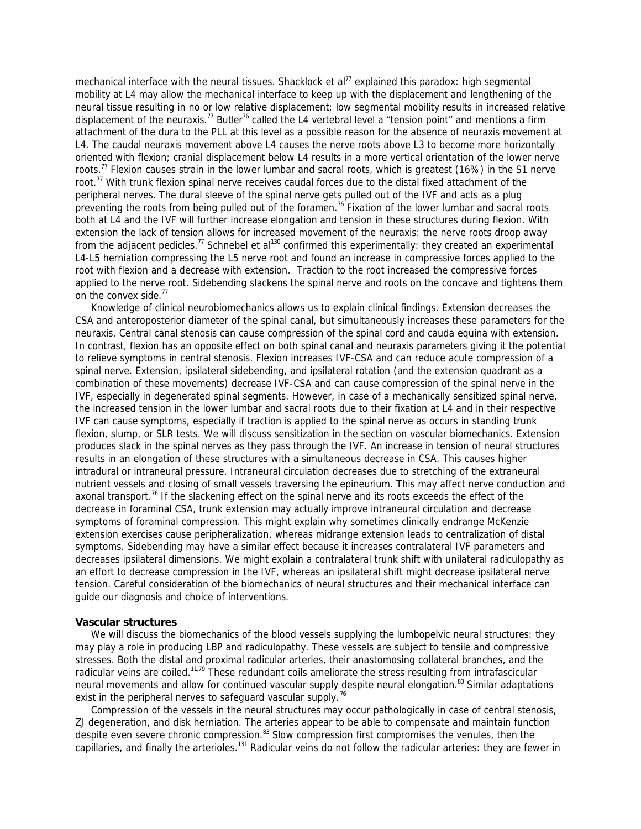mechanical interface with the neural tissues. Shacklock et al<sup>77</sup> explained this paradox: high segmental mobility at L4 may allow the mechanical interface to keep up with the displacement and lengthening of the neural tissue resulting in no or low relative displacement; low segmental mobility results in increased relative displacement of the neuraxis.<sup>77</sup> Butler<sup>76</sup> called the L4 vertebral level a "tension point" and mentions a firm attachment of the dura to the PLL at this level as a possible reason for the absence of neuraxis movement at L4. The caudal neuraxis movement above L4 causes the nerve roots above L3 to become more horizontally oriented with flexion; cranial displacement below L4 results in a more vertical orientation of the lower nerve roots.<sup>77</sup> Flexion causes strain in the lower lumbar and sacral roots, which is greatest (16%) in the S1 nerve root.<sup>77</sup> With trunk flexion spinal nerve receives caudal forces due to the distal fixed attachment of the peripheral nerves. The dural sleeve of the spinal nerve gets pulled out of the IVF and acts as a plug preventing the roots from being pulled out of the foramen.<sup>76</sup> Fixation of the lower lumbar and sacral roots both at L4 and the IVF will further increase elongation and tension in these structures during flexion. With extension the lack of tension allows for increased movement of the neuraxis: the nerve roots droop away from the adjacent pedicles.<sup>77</sup> Schnebel et al<sup>130</sup> confirmed this experimentally: they created an experimental L4-L5 herniation compressing the L5 nerve root and found an increase in compressive forces applied to the root with flexion and a decrease with extension. Traction to the root increased the compressive forces applied to the nerve root. Sidebending slackens the spinal nerve and roots on the concave and tightens them on the convex side.<sup>77</sup>

 Knowledge of clinical neurobiomechanics allows us to explain clinical findings. Extension decreases the CSA and anteroposterior diameter of the spinal canal, but simultaneously increases these parameters for the neuraxis. Central canal stenosis can cause compression of the spinal cord and cauda equina with extension. In contrast, flexion has an opposite effect on both spinal canal and neuraxis parameters giving it the potential to relieve symptoms in central stenosis. Flexion increases IVF-CSA and can reduce acute compression of a spinal nerve. Extension, ipsilateral sidebending, and ipsilateral rotation (and the extension quadrant as a combination of these movements) decrease IVF-CSA and can cause compression of the spinal nerve in the IVF, especially in degenerated spinal segments. However, in case of a mechanically sensitized spinal nerve, the increased tension in the lower lumbar and sacral roots due to their fixation at L4 and in their respective IVF can cause symptoms, especially if traction is applied to the spinal nerve as occurs in standing trunk flexion, slump, or SLR tests. We will discuss sensitization in the section on vascular biomechanics. Extension produces slack in the spinal nerves as they pass through the IVF. An increase in tension of neural structures results in an elongation of these structures with a simultaneous decrease in CSA. This causes higher intradural or intraneural pressure. Intraneural circulation decreases due to stretching of the extraneural nutrient vessels and closing of small vessels traversing the epineurium. This may affect nerve conduction and axonal transport.<sup>76</sup> If the slackening effect on the spinal nerve and its roots exceeds the effect of the decrease in foraminal CSA, trunk extension may actually improve intraneural circulation and decrease symptoms of foraminal compression. This might explain why sometimes clinically endrange McKenzie extension exercises cause peripheralization, whereas midrange extension leads to centralization of distal symptoms. Sidebending may have a similar effect because it increases contralateral IVF parameters and decreases ipsilateral dimensions. We might explain a contralateral trunk shift with unilateral radiculopathy as an effort to decrease compression in the IVF, whereas an ipsilateral shift might decrease ipsilateral nerve tension. Careful consideration of the biomechanics of neural structures and their mechanical interface can guide our diagnosis and choice of interventions.

### **Vascular structures**

We will discuss the biomechanics of the blood vessels supplying the lumbopelvic neural structures: they may play a role in producing LBP and radiculopathy. These vessels are subject to tensile and compressive stresses. Both the distal and proximal radicular arteries, their anastomosing collateral branches, and the radicular veins are coiled.<sup>11,79</sup> These redundant coils ameliorate the stress resulting from intrafascicular neural movements and allow for continued vascular supply despite neural elongation.<sup>83</sup> Similar adaptations exist in the peripheral nerves to safeguard vascular supply.<sup>76</sup>

 Compression of the vessels in the neural structures may occur pathologically in case of central stenosis, ZJ degeneration, and disk herniation. The arteries appear to be able to compensate and maintain function despite even severe chronic compression.<sup>83</sup> Slow compression first compromises the venules, then the capillaries, and finally the arterioles.<sup>131</sup> Radicular veins do not follow the radicular arteries: they are fewer in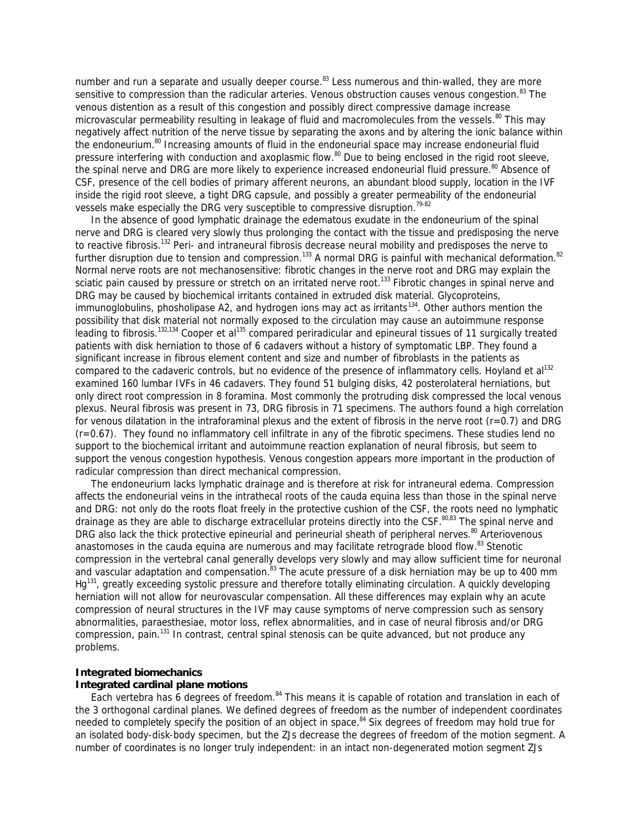number and run a separate and usually deeper course.<sup>83</sup> Less numerous and thin-walled, they are more sensitive to compression than the radicular arteries. Venous obstruction causes venous congestion.<sup>83</sup> The venous distention as a result of this congestion and possibly direct compressive damage increase microvascular permeability resulting in leakage of fluid and macromolecules from the vessels.<sup>80</sup> This may negatively affect nutrition of the nerve tissue by separating the axons and by altering the ionic balance within the endoneurium.<sup>80</sup> Increasing amounts of fluid in the endoneurial space may increase endoneurial fluid pressure interfering with conduction and axoplasmic flow.<sup>80</sup> Due to being enclosed in the rigid root sleeve, the spinal nerve and DRG are more likely to experience increased endoneurial fluid pressure.<sup>80</sup> Absence of CSF, presence of the cell bodies of primary afferent neurons, an abundant blood supply, location in the IVF inside the rigid root sleeve, a tight DRG capsule, and possibly a greater permeability of the endoneurial vessels make especially the DRG very susceptible to compressive disruption.<sup>79-82</sup>

 In the absence of good lymphatic drainage the edematous exudate in the endoneurium of the spinal nerve and DRG is cleared very slowly thus prolonging the contact with the tissue and predisposing the nerve to reactive fibrosis.<sup>132</sup> Peri- and intraneural fibrosis decrease neural mobility and predisposes the nerve to further disruption due to tension and compression.<sup>133</sup> A normal DRG is painful with mechanical deformation.<sup>82</sup> Normal nerve roots are not mechanosensitive: fibrotic changes in the nerve root and DRG may explain the sciatic pain caused by pressure or stretch on an irritated nerve root.<sup>133</sup> Fibrotic changes in spinal nerve and DRG may be caused by biochemical irritants contained in extruded disk material. Glycoproteins, immunoglobulins, phosholipase A2, and hydrogen ions may act as irritants<sup>134</sup>. Other authors mention the possibility that disk material not normally exposed to the circulation may cause an autoimmune response leading to fibrosis.<sup>132,134</sup> Cooper et al<sup>135</sup> compared periradicular and epineural tissues of 11 surgically treated patients with disk herniation to those of 6 cadavers without a history of symptomatic LBP. They found a significant increase in fibrous element content and size and number of fibroblasts in the patients as compared to the cadaveric controls, but no evidence of the presence of inflammatory cells. Hoyland et al<sup>132</sup> examined 160 lumbar IVFs in 46 cadavers. They found 51 bulging disks, 42 posterolateral herniations, but only direct root compression in 8 foramina. Most commonly the protruding disk compressed the local venous plexus. Neural fibrosis was present in 73, DRG fibrosis in 71 specimens. The authors found a high correlation for venous dilatation in the intraforaminal plexus and the extent of fibrosis in the nerve root  $(r=0.7)$  and DRG (r=0.67). They found no inflammatory cell infiltrate in any of the fibrotic specimens. These studies lend no support to the biochemical irritant and autoimmune reaction explanation of neural fibrosis, but seem to support the venous congestion hypothesis. Venous congestion appears more important in the production of radicular compression than direct mechanical compression.

 The endoneurium lacks lymphatic drainage and is therefore at risk for intraneural edema. Compression affects the endoneurial veins in the intrathecal roots of the cauda equina less than those in the spinal nerve and DRG: not only do the roots float freely in the protective cushion of the CSF, the roots need no lymphatic drainage as they are able to discharge extracellular proteins directly into the CSF.<sup>80,83</sup> The spinal nerve and DRG also lack the thick protective epineurial and perineurial sheath of peripheral nerves.<sup>80</sup> Arteriovenous anastomoses in the cauda equina are numerous and may facilitate retrograde blood flow. $^{83}$  Stenotic compression in the vertebral canal generally develops very slowly and may allow sufficient time for neuronal and vascular adaptation and compensation.<sup>83</sup> The acute pressure of a disk herniation may be up to 400 mm Hg<sup>131</sup>, greatly exceeding systolic pressure and therefore totally eliminating circulation. A quickly developing herniation will not allow for neurovascular compensation. All these differences may explain why an acute compression of neural structures in the IVF may cause symptoms of nerve compression such as sensory abnormalities, paraesthesiae, motor loss, reflex abnormalities, and in case of neural fibrosis and/or DRG compression, pain.<sup>131</sup> In contrast, central spinal stenosis can be quite advanced, but not produce any problems.

# **Integrated biomechanics**

# **Integrated cardinal plane motions**

Each vertebra has 6 degrees of freedom.<sup>84</sup> This means it is capable of rotation and translation in each of the 3 orthogonal cardinal planes. We defined degrees of freedom as the number of independent coordinates needed to completely specify the position of an object in space.<sup>84</sup> Six degrees of freedom may hold true for an isolated body-disk-body specimen, but the ZJs decrease the degrees of freedom of the motion segment. A number of coordinates is no longer truly independent: in an intact non-degenerated motion segment ZJs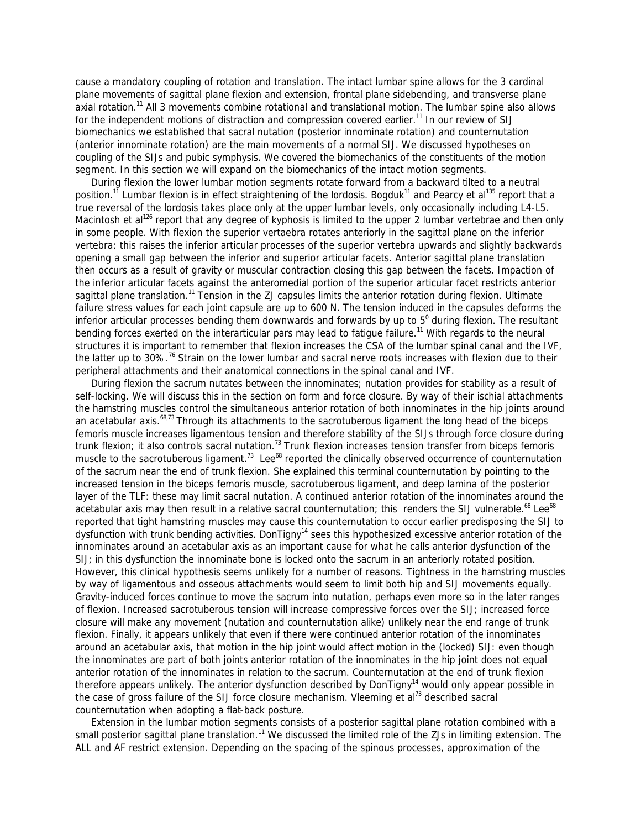cause a mandatory coupling of rotation and translation. The intact lumbar spine allows for the 3 cardinal plane movements of sagittal plane flexion and extension, frontal plane sidebending, and transverse plane axial rotation.<sup>11</sup> All 3 movements combine rotational and translational motion. The lumbar spine also allows for the independent motions of distraction and compression covered earlier.<sup>11</sup> In our review of SIJ biomechanics we established that sacral nutation (posterior innominate rotation) and counternutation (anterior innominate rotation) are the main movements of a normal SIJ. We discussed hypotheses on coupling of the SIJs and pubic symphysis. We covered the biomechanics of the constituents of the motion segment. In this section we will expand on the biomechanics of the intact motion segments.

 During flexion the lower lumbar motion segments rotate forward from a backward tilted to a neutral position.<sup>11</sup> Lumbar flexion is in effect straightening of the lordosis. Bogduk<sup>11</sup> and Pearcy et al<sup>135</sup> report that a true reversal of the lordosis takes place only at the upper lumbar levels, only occasionally including L4-L5. Macintosh et al<sup>126</sup> report that any degree of kyphosis is limited to the upper 2 lumbar vertebrae and then only in some people. With flexion the superior vertaebra rotates anteriorly in the sagittal plane on the inferior vertebra: this raises the inferior articular processes of the superior vertebra upwards and slightly backwards opening a small gap between the inferior and superior articular facets. Anterior sagittal plane translation then occurs as a result of gravity or muscular contraction closing this gap between the facets. Impaction of the inferior articular facets against the anteromedial portion of the superior articular facet restricts anterior sagittal plane translation.<sup>11</sup> Tension in the ZJ capsules limits the anterior rotation during flexion. Ultimate failure stress values for each joint capsule are up to 600 N. The tension induced in the capsules deforms the inferior articular processes bending them downwards and forwards by up to  $5^{\circ}$  during flexion. The resultant bending forces exerted on the interarticular pars may lead to fatigue failure.<sup>11</sup> With regards to the neural structures it is important to remember that flexion increases the CSA of the lumbar spinal canal and the IVF, the latter up to 30%.<sup>76</sup> Strain on the lower lumbar and sacral nerve roots increases with flexion due to their peripheral attachments and their anatomical connections in the spinal canal and IVF.

 During flexion the sacrum nutates between the innominates; nutation provides for stability as a result of self-locking. We will discuss this in the section on form and force closure. By way of their ischial attachments the hamstring muscles control the simultaneous anterior rotation of both innominates in the hip joints around an acetabular axis.<sup>68,73</sup> Through its attachments to the sacrotuberous ligament the long head of the biceps femoris muscle increases ligamentous tension and therefore stability of the SIJs through force closure during trunk flexion; it also controls sacral nutation.<sup>73</sup> Trunk flexion increases tension transfer from biceps femoris muscle to the sacrotuberous ligament.<sup>73</sup> Lee<sup>68</sup> reported the clinically observed occurrence of counternutation of the sacrum near the end of trunk flexion. She explained this terminal counternutation by pointing to the increased tension in the biceps femoris muscle, sacrotuberous ligament, and deep lamina of the posterior layer of the TLF: these may limit sacral nutation. A continued anterior rotation of the innominates around the acetabular axis may then result in a relative sacral counternutation; this renders the SIJ vulnerable. $^{68}$  Lee $^{68}$ reported that tight hamstring muscles may cause this counternutation to occur earlier predisposing the SIJ to dysfunction with trunk bending activities. DonTigny<sup>14</sup> sees this hypothesized excessive anterior rotation of the innominates around an acetabular axis as an important cause for what he calls *anterior dysfunction of the SIJ*; in this dysfunction the innominate bone is locked onto the sacrum in an anteriorly rotated position. However, this clinical hypothesis seems unlikely for a number of reasons. Tightness in the hamstring muscles by way of ligamentous and osseous attachments would seem to limit both hip and SIJ movements equally. Gravity-induced forces continue to move the sacrum into nutation, perhaps even more so in the later ranges of flexion. Increased sacrotuberous tension will increase compressive forces over the SIJ; increased force closure will make any movement (nutation and counternutation alike) unlikely near the end range of trunk flexion. Finally, it appears unlikely that even if there were continued anterior rotation of the innominates around an acetabular axis, that motion in the hip joint would affect motion in the (locked) SIJ: even though the innominates are part of both joints anterior rotation of the innominates in the hip joint does not equal anterior rotation of the innominates in relation to the sacrum. Counternutation at the end of trunk flexion therefore appears unlikely. The anterior dysfunction described by DonTigny<sup>14</sup> would only appear possible in the case of gross failure of the SIJ force closure mechanism. Vleeming et al<sup>73</sup> described sacral counternutation when adopting a flat-back posture.

 Extension in the lumbar motion segments consists of a posterior sagittal plane rotation combined with a small posterior sagittal plane translation.<sup>11</sup> We discussed the limited role of the ZJs in limiting extension. The ALL and AF restrict extension. Depending on the spacing of the spinous processes, approximation of the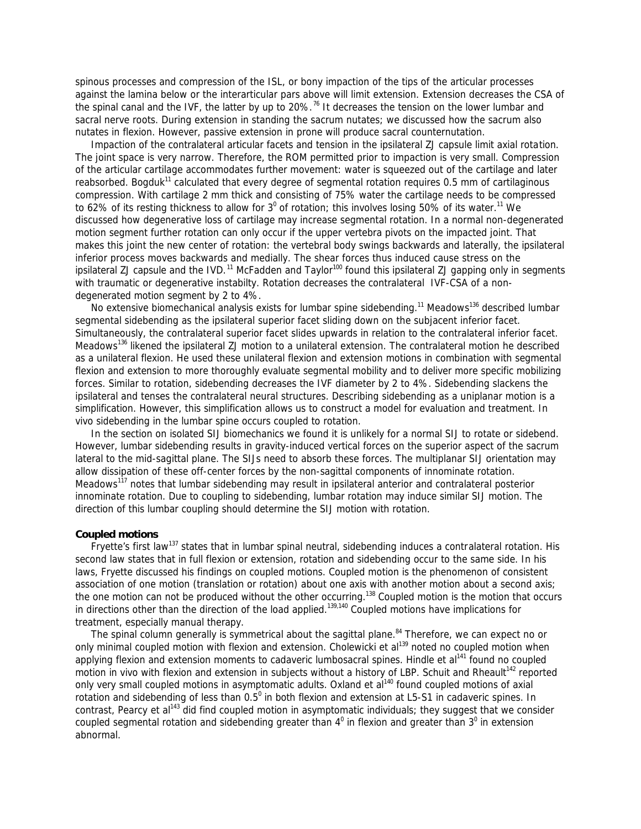spinous processes and compression of the ISL, or bony impaction of the tips of the articular processes against the lamina below or the interarticular pars above will limit extension. Extension decreases the CSA of the spinal canal and the IVF, the latter by up to 20%.<sup>76</sup> It decreases the tension on the lower lumbar and sacral nerve roots. During extension in standing the sacrum nutates; we discussed how the sacrum also nutates in flexion. However, passive extension in prone will produce sacral counternutation.

 Impaction of the contralateral articular facets and tension in the ipsilateral ZJ capsule limit axial rotation. The joint space is very narrow. Therefore, the ROM permitted prior to impaction is very small. Compression of the articular cartilage accommodates further movement: water is squeezed out of the cartilage and later reabsorbed. Bogduk<sup>11</sup> calculated that every degree of segmental rotation requires 0.5 mm of cartilaginous compression. With cartilage 2 mm thick and consisting of 75% water the cartilage needs to be compressed to 62% of its resting thickness to allow for 3<sup>0</sup> of rotation; this involves losing 50% of its water.<sup>11</sup> We discussed how degenerative loss of cartilage may increase segmental rotation. In a normal non-degenerated motion segment further rotation can only occur if the upper vertebra pivots on the impacted joint. That makes this joint the new center of rotation: the vertebral body swings backwards and laterally, the ipsilateral inferior process moves backwards and medially. The shear forces thus induced cause stress on the ipsilateral ZJ capsule and the IVD.<sup>11</sup> McFadden and Taylor<sup>100</sup> found this ipsilateral ZJ gapping only in segments with traumatic or degenerative instabilty. Rotation decreases the contralateral IVF-CSA of a nondegenerated motion segment by 2 to 4%.

No extensive biomechanical analysis exists for lumbar spine sidebending.<sup>11</sup> Meadows<sup>136</sup> described lumbar segmental sidebending as the ipsilateral superior facet sliding down on the subjacent inferior facet. Simultaneously, the contralateral superior facet slides upwards in relation to the contralateral inferior facet. Meadows<sup>136</sup> likened the ipsilateral ZJ motion to a unilateral extension. The contralateral motion he described as a unilateral flexion. He used these unilateral flexion and extension motions in combination with segmental flexion and extension to more thoroughly evaluate segmental mobility and to deliver more specific mobilizing forces. Similar to rotation, sidebending decreases the IVF diameter by 2 to 4%. Sidebending slackens the ipsilateral and tenses the contralateral neural structures. Describing sidebending as a uniplanar motion is a simplification. However, this simplification allows us to construct a model for evaluation and treatment. In vivo sidebending in the lumbar spine occurs coupled to rotation.

 In the section on isolated SIJ biomechanics we found it is unlikely for a normal SIJ to rotate or sidebend. However, lumbar sidebending results in gravity-induced vertical forces on the superior aspect of the sacrum lateral to the mid-sagittal plane. The SIJs need to absorb these forces. The multiplanar SIJ orientation may allow dissipation of these off-center forces by the non-sagittal components of innominate rotation. Meadows<sup>117</sup> notes that lumbar sidebending may result in ipsilateral anterior and contralateral posterior innominate rotation. Due to coupling to sidebending, lumbar rotation may induce similar SIJ motion. The direction of this lumbar coupling should determine the SIJ motion with rotation.

### **Coupled motions**

Fryette's first law<sup>137</sup> states that in lumbar spinal neutral, sidebending induces a contralateral rotation. His second law states that in full flexion or extension, rotation and sidebending occur to the same side. In his laws, Fryette discussed his findings on coupled motions. Coupled motion is the phenomenon of consistent association of one motion (translation or rotation) about one axis with another motion about a second axis; the one motion can not be produced without the other occurring.<sup>138</sup> Coupled motion is the motion that occurs in directions other than the direction of the load applied.<sup>139,140</sup> Coupled motions have implications for treatment, especially manual therapy.

The spinal column generally is symmetrical about the sagittal plane.<sup>84</sup> Therefore, we can expect no or only minimal coupled motion with flexion and extension. Cholewicki et al<sup>139</sup> noted no coupled motion when applying flexion and extension moments to cadaveric lumbosacral spines. Hindle et al<sup>141</sup> found no coupled motion in vivo with flexion and extension in subjects without a history of LBP. Schuit and Rheault<sup>142</sup> reported only very small coupled motions in asymptomatic adults. Oxland et al<sup>140</sup> found coupled motions of axial rotation and sidebending of less than  $0.5^0$  in both flexion and extension at L5-S1 in cadaveric spines. In contrast, Pearcy et al<sup>143</sup> did find coupled motion in asymptomatic individuals; they suggest that we consider coupled segmental rotation and sidebending greater than  $4^0$  in flexion and greater than  $3^0$  in extension abnormal.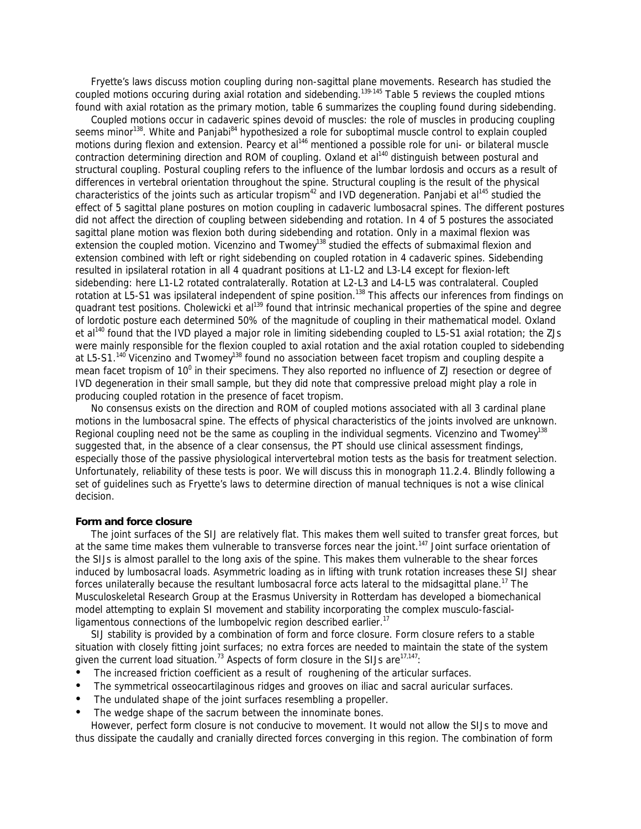Fryette's laws discuss motion coupling during non-sagittal plane movements. Research has studied the coupled motions occuring during axial rotation and sidebending.<sup>139-145</sup> Table 5 reviews the coupled mtions found with axial rotation as the primary motion, table 6 summarizes the coupling found during sidebending.

 Coupled motions occur in cadaveric spines devoid of muscles: the role of muscles in producing coupling seems minor<sup>138</sup>. White and Panjabi<sup>84</sup> hypothesized a role for suboptimal muscle control to explain coupled motions during flexion and extension. Pearcy et al<sup>146</sup> mentioned a possible role for uni- or bilateral muscle contraction determining direction and ROM of coupling. Oxland et al<sup>140</sup> distinguish between *postural* and *structural coupling*. Postural coupling refers to the influence of the lumbar lordosis and occurs as a result of differences in vertebral orientation throughout the spine. Structural coupling is the result of the physical characteristics of the joints such as articular tropism<sup>42</sup> and IVD degeneration. Panjabi et al<sup>145</sup> studied the effect of 5 sagittal plane postures on motion coupling in cadaveric lumbosacral spines. The different postures did not affect the direction of coupling between sidebending and rotation. In 4 of 5 postures the associated sagittal plane motion was flexion both during sidebending and rotation. Only in a maximal flexion was extension the coupled motion. Vicenzino and Twomey<sup>138</sup> studied the effects of submaximal flexion and extension combined with left or right sidebending on coupled rotation in 4 cadaveric spines. Sidebending resulted in ipsilateral rotation in all 4 quadrant positions at L1-L2 and L3-L4 except for flexion-left sidebending: here L1-L2 rotated contralaterally. Rotation at L2-L3 and L4-L5 was contralateral. Coupled rotation at L5-S1 was ipsilateral independent of spine position.<sup>138</sup> This affects our inferences from findings on quadrant test positions. Cholewicki et al<sup>139</sup> found that intrinsic mechanical properties of the spine and degree of lordotic posture each determined 50% of the magnitude of coupling in their mathematical model. Oxland et al<sup>140</sup> found that the IVD played a major role in limiting sidebending coupled to L5-S1 axial rotation; the ZJs were mainly responsible for the flexion coupled to axial rotation and the axial rotation coupled to sidebending at L5-S1.<sup>140</sup> Vicenzino and Twomey<sup>138</sup> found no association between facet tropism and coupling despite a mean facet tropism of 10<sup>0</sup> in their specimens. They also reported no influence of ZJ resection or degree of IVD degeneration in their small sample, but they did note that compressive preload might play a role in producing coupled rotation in the presence of facet tropism.

 No consensus exists on the direction and ROM of coupled motions associated with all 3 cardinal plane motions in the lumbosacral spine. The effects of physical characteristics of the joints involved are unknown. Regional coupling need not be the same as coupling in the individual segments. Vicenzino and Twomev<sup>138</sup> suggested that, in the absence of a clear consensus, the PT should use clinical assessment findings, especially those of the passive physiological intervertebral motion tests as the basis for treatment selection. Unfortunately, reliability of these tests is poor. We will discuss this in monograph 11.2.4. Blindly following a set of guidelines such as Fryette's laws to determine direction of manual techniques is not a wise clinical decision.

### **Form and force closure**

 The joint surfaces of the SIJ are relatively flat. This makes them well suited to transfer great forces, but at the same time makes them vulnerable to transverse forces near the joint.<sup>147</sup> Joint surface orientation of the SIJs is almost parallel to the long axis of the spine. This makes them vulnerable to the shear forces induced by lumbosacral loads. Asymmetric loading as in lifting with trunk rotation increases these SIJ shear forces unilaterally because the resultant lumbosacral force acts lateral to the midsagittal plane.<sup>17</sup> The Musculoskeletal Research Group at the Erasmus University in Rotterdam has developed a biomechanical model attempting to explain SI movement and stability incorporating the complex musculo-fascialligamentous connections of the lumbopelvic region described earlier.<sup>17</sup>

 SIJ stability is provided by a combination of *form* and *force closure*. Form closure refers to a stable situation with closely fitting joint surfaces; no extra forces are needed to maintain the state of the system given the current load situation.<sup>73</sup> Aspects of form closure in the SIJs are<sup>17,147</sup>:

- The increased friction coefficient as a result of roughening of the articular surfaces.
- ü The symmetrical osseocartilaginous ridges and grooves on iliac and sacral auricular surfaces.
- The undulated shape of the joint surfaces resembling a propeller.
- The wedge shape of the sacrum between the innominate bones.

 However, perfect form closure is not conducive to movement. It would not allow the SIJs to move and thus dissipate the caudally and cranially directed forces converging in this region. The combination of form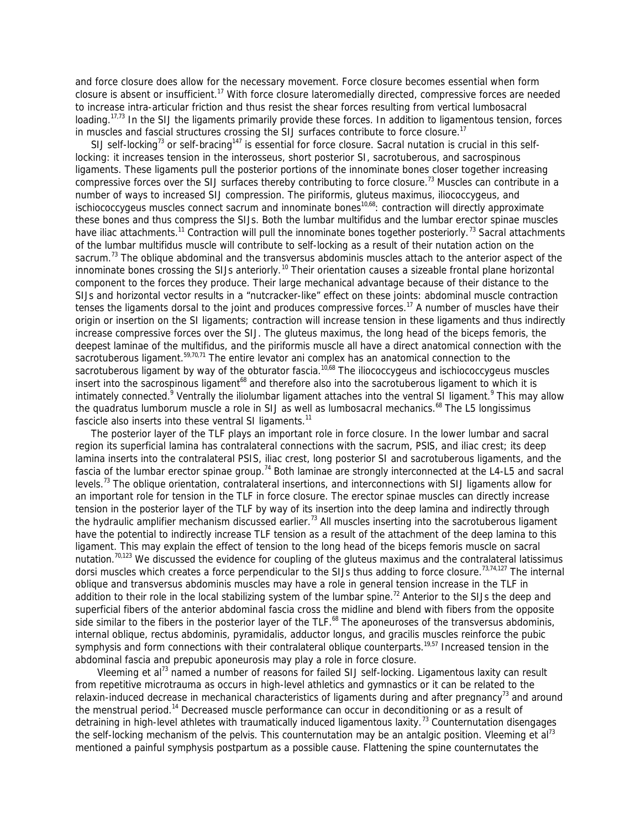and force closure does allow for the necessary movement. Force closure becomes essential when form closure is absent or insufficient.<sup>17</sup> With force closure lateromedially directed, compressive forces are needed to increase intra-articular friction and thus resist the shear forces resulting from vertical lumbosacral loading.<sup>17,73</sup> In the SIJ the ligaments primarily provide these forces. In addition to ligamentous tension, forces in muscles and fascial structures crossing the SIJ surfaces contribute to force closure.<sup>17</sup>

SIJ self-locking<sup>73</sup> or self-bracing<sup>147</sup> is essential for force closure. Sacral nutation is crucial in this selflocking: it increases tension in the interosseus, short posterior SI, sacrotuberous, and sacrospinous ligaments. These ligaments pull the posterior portions of the innominate bones closer together increasing compressive forces over the SIJ surfaces thereby contributing to force closure.<sup>73</sup> Muscles can contribute in a number of ways to increased SIJ compression. The piriformis, gluteus maximus, iliococcygeus, and ischiococcygeus muscles connect sacrum and innominate bones<sup>10,68</sup>: contraction will directly approximate these bones and thus compress the SIJs. Both the lumbar multifidus and the lumbar erector spinae muscles have iliac attachments.<sup>11</sup> Contraction will pull the innominate bones together posteriorly.<sup>73</sup> Sacral attachments of the lumbar multifidus muscle will contribute to self-locking as a result of their nutation action on the sacrum.<sup>73</sup> The oblique abdominal and the transversus abdominis muscles attach to the anterior aspect of the innominate bones crossing the SIJs anteriorly.<sup>10</sup> Their orientation causes a sizeable frontal plane horizontal component to the forces they produce. Their large mechanical advantage because of their distance to the SIJs and horizontal vector results in a "nutcracker-like" effect on these joints: abdominal muscle contraction tenses the ligaments dorsal to the joint and produces compressive forces.<sup>17</sup> A number of muscles have their origin or insertion on the SI ligaments; contraction will increase tension in these ligaments and thus indirectly increase compressive forces over the SIJ. The gluteus maximus, the long head of the biceps femoris, the deepest laminae of the multifidus, and the piriformis muscle all have a direct anatomical connection with the sacrotuberous ligament.<sup>59,70,71</sup> The entire levator ani complex has an anatomical connection to the sacrotuberous ligament by way of the obturator fascia.<sup>10,68</sup> The iliococcygeus and ischiococcygeus muscles insert into the sacrospinous ligament<sup>68</sup> and therefore also into the sacrotuberous ligament to which it is intimately connected.<sup>9</sup> Ventrally the iliolumbar ligament attaches into the ventral SI ligament.<sup>9</sup> This may allow the quadratus lumborum muscle a role in SIJ as well as lumbosacral mechanics.<sup>68</sup> The L5 longissimus fascicle also inserts into these ventral SI ligaments.<sup>11</sup>

 The posterior layer of the TLF plays an important role in force closure. In the lower lumbar and sacral region its superficial lamina has contralateral connections with the sacrum, PSIS, and iliac crest; its deep lamina inserts into the contralateral PSIS, iliac crest, long posterior SI and sacrotuberous ligaments, and the fascia of the lumbar erector spinae group.<sup>74</sup> Both laminae are strongly interconnected at the L4-L5 and sacral levels.<sup>73</sup> The oblique orientation, contralateral insertions, and interconnections with SIJ ligaments allow for an important role for tension in the TLF in force closure. The erector spinae muscles can directly increase tension in the posterior layer of the TLF by way of its insertion into the deep lamina and indirectly through the hydraulic amplifier mechanism discussed earlier.<sup>73</sup> All muscles inserting into the sacrotuberous ligament have the potential to indirectly increase TLF tension as a result of the attachment of the deep lamina to this ligament. This may explain the effect of tension to the long head of the biceps femoris muscle on sacral nutation.<sup>70,123</sup> We discussed the evidence for coupling of the gluteus maximus and the contralateral latissimus dorsi muscles which creates a force perpendicular to the SIJs thus adding to force closure.<sup>73,74,127</sup> The internal oblique and transversus abdominis muscles may have a role in general tension increase in the TLF in addition to their role in the local stabilizing system of the lumbar spine.<sup>72</sup> Anterior to the SIJs the deep and superficial fibers of the anterior abdominal fascia cross the midline and blend with fibers from the opposite side similar to the fibers in the posterior layer of the TLF.<sup>68</sup> The aponeuroses of the transversus abdominis, internal oblique, rectus abdominis, pyramidalis, adductor longus, and gracilis muscles reinforce the pubic symphysis and form connections with their contralateral oblique counterparts.<sup>19,57</sup> Increased tension in the abdominal fascia and prepubic aponeurosis may play a role in force closure.

Vleeming et al<sup>73</sup> named a number of reasons for failed SIJ self-locking. Ligamentous laxity can result from repetitive microtrauma as occurs in high-level athletics and gymnastics or it can be related to the relaxin-induced decrease in mechanical characteristics of ligaments during and after pregnancy<sup>73</sup> and around the menstrual period.<sup>14</sup> Decreased muscle performance can occur in deconditioning or as a result of detraining in high-level athletes with traumatically induced ligamentous laxity.<sup>73</sup> Counternutation disengages the self-locking mechanism of the pelvis. This counternutation may be an antalgic position. Vleeming et al<sup>73</sup> mentioned a painful symphysis postpartum as a possible cause. Flattening the spine counternutates the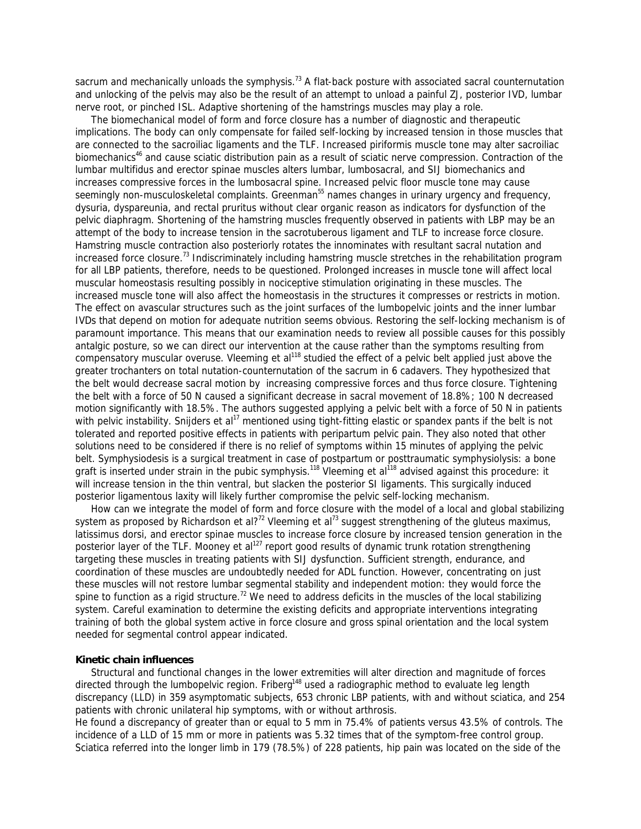sacrum and mechanically unloads the symphysis.<sup>73</sup> A flat-back posture with associated sacral counternutation and unlocking of the pelvis may also be the result of an attempt to unload a painful ZJ, posterior IVD, lumbar nerve root, or pinched ISL. Adaptive shortening of the hamstrings muscles may play a role.

 The biomechanical model of form and force closure has a number of diagnostic and therapeutic implications. The body can only compensate for failed self-locking by increased tension in those muscles that are connected to the sacroiliac ligaments and the TLF. Increased piriformis muscle tone may alter sacroiliac biomechanics<sup>46</sup> and cause sciatic distribution pain as a result of sciatic nerve compression. Contraction of the lumbar multifidus and erector spinae muscles alters lumbar, lumbosacral, and SIJ biomechanics and increases compressive forces in the lumbosacral spine. Increased pelvic floor muscle tone may cause seemingly non-musculoskeletal complaints. Greenman<sup>55</sup> names changes in urinary urgency and frequency, dysuria, dyspareunia, and rectal pruritus without clear organic reason as indicators for dysfunction of the pelvic diaphragm. Shortening of the hamstring muscles frequently observed in patients with LBP may be an attempt of the body to increase tension in the sacrotuberous ligament and TLF to increase force closure. Hamstring muscle contraction also posteriorly rotates the innominates with resultant sacral nutation and increased force closure.<sup>73</sup> Indiscriminately including hamstring muscle stretches in the rehabilitation program for all LBP patients, therefore, needs to be questioned. Prolonged increases in muscle tone will affect local muscular homeostasis resulting possibly in nociceptive stimulation originating in these muscles. The increased muscle tone will also affect the homeostasis in the structures it compresses or restricts in motion. The effect on avascular structures such as the joint surfaces of the lumbopelvic joints and the inner lumbar IVDs that depend on motion for adequate nutrition seems obvious. Restoring the self-locking mechanism is of paramount importance. This means that our examination needs to review all possible causes for this possibly antalgic posture, so we can direct our intervention at the cause rather than the symptoms resulting from compensatory muscular overuse. Vleeming et al<sup>118</sup> studied the effect of a pelvic belt applied just above the greater trochanters on total nutation-counternutation of the sacrum in 6 cadavers. They hypothesized that the belt would decrease sacral motion by increasing compressive forces and thus force closure. Tightening the belt with a force of 50 N caused a significant decrease in sacral movement of 18.8%; 100 N decreased motion significantly with 18.5%. The authors suggested applying a pelvic belt with a force of 50 N in patients with pelvic instability. Snijders et al<sup>17</sup> mentioned using tight-fitting elastic or spandex pants if the belt is not tolerated and reported positive effects in patients with peripartum pelvic pain. They also noted that other solutions need to be considered if there is no relief of symptoms within 15 minutes of applying the pelvic belt. Symphysiodesis is a surgical treatment in case of postpartum or posttraumatic symphysiolysis: a bone graft is inserted under strain in the pubic symphysis.<sup>118</sup> Vleeming et al<sup>118</sup> advised against this procedure: it will increase tension in the thin ventral, but slacken the posterior SI ligaments. This surgically induced posterior ligamentous laxity will likely further compromise the pelvic self-locking mechanism.

 How can we integrate the model of form and force closure with the model of a local and global stabilizing system as proposed by Richardson et al?<sup>72</sup> Vleeming et al<sup>73</sup> suggest strengthening of the gluteus maximus, latissimus dorsi, and erector spinae muscles to increase force closure by increased tension generation in the posterior layer of the TLF. Mooney et al<sup>127</sup> report good results of dynamic trunk rotation strengthening targeting these muscles in treating patients with SIJ dysfunction. Sufficient strength, endurance, and coordination of these muscles are undoubtedly needed for ADL function. However, concentrating on just these muscles will not restore lumbar segmental stability and independent motion: they would force the spine to function as a rigid structure.<sup>72</sup> We need to address deficits in the muscles of the local stabilizing system. Careful examination to determine the existing deficits and appropriate interventions integrating training of both the global system active in force closure and gross spinal orientation and the local system needed for segmental control appear indicated.

#### **Kinetic chain influences**

 Structural and functional changes in the lower extremities will alter direction and magnitude of forces directed through the lumbopelvic region. Friberg<sup>148</sup> used a radiographic method to evaluate leg length discrepancy (LLD) in 359 asymptomatic subjects, 653 chronic LBP patients, with and without sciatica, and 254 patients with chronic unilateral hip symptoms, with or without arthrosis.

He found a discrepancy of greater than or equal to 5 mm in 75.4% of patients versus 43.5% of controls. The incidence of a LLD of 15 mm or more in patients was 5.32 times that of the symptom-free control group. Sciatica referred into the longer limb in 179 (78.5%) of 228 patients, hip pain was located on the side of the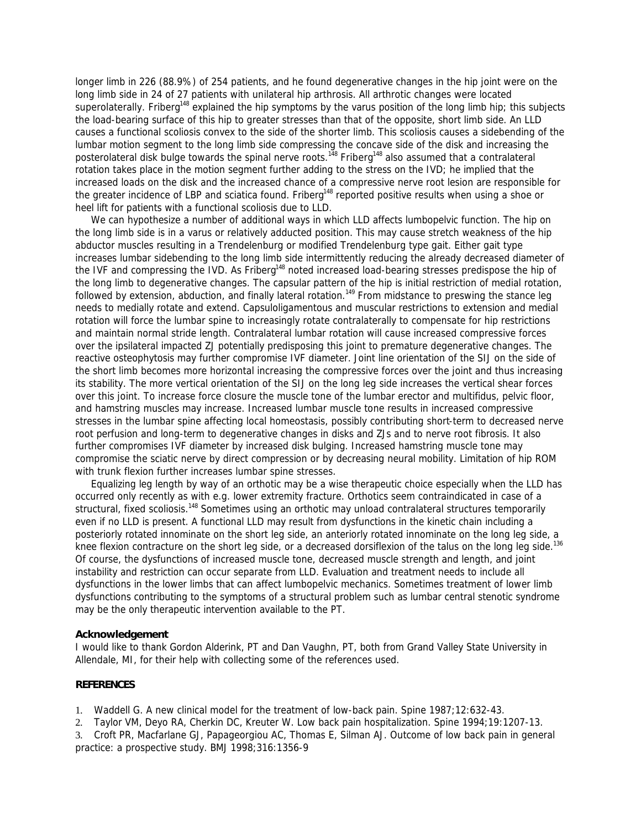longer limb in 226 (88.9%) of 254 patients, and he found degenerative changes in the hip joint were on the long limb side in 24 of 27 patients with unilateral hip arthrosis. All arthrotic changes were located superolaterally. Friberg<sup>148</sup> explained the hip symptoms by the varus position of the long limb hip; this subjects the load-bearing surface of this hip to greater stresses than that of the opposite, short limb side. An LLD causes a functional scoliosis convex to the side of the shorter limb. This scoliosis causes a sidebending of the lumbar motion segment to the long limb side compressing the concave side of the disk and increasing the posterolateral disk bulge towards the spinal nerve roots.<sup>148</sup> Friberg<sup>148</sup> also assumed that a contralateral rotation takes place in the motion segment further adding to the stress on the IVD; he implied that the increased loads on the disk and the increased chance of a compressive nerve root lesion are responsible for the greater incidence of LBP and sciatica found. Friberg<sup>148</sup> reported positive results when using a shoe or heel lift for patients with a functional scoliosis due to LLD.

 We can hypothesize a number of additional ways in which LLD affects lumbopelvic function. The hip on the long limb side is in a varus or relatively adducted position. This may cause stretch weakness of the hip abductor muscles resulting in a Trendelenburg or modified Trendelenburg type gait. Either gait type increases lumbar sidebending to the long limb side intermittently reducing the already decreased diameter of the IVF and compressing the IVD. As Friberg<sup>148</sup> noted increased load-bearing stresses predispose the hip of the long limb to degenerative changes. The capsular pattern of the hip is initial restriction of medial rotation, followed by extension, abduction, and finally lateral rotation.<sup>149</sup> From midstance to preswing the stance leg needs to medially rotate and extend. Capsuloligamentous and muscular restrictions to extension and medial rotation will force the lumbar spine to increasingly rotate contralaterally to compensate for hip restrictions and maintain normal stride length. Contralateral lumbar rotation will cause increased compressive forces over the ipsilateral impacted ZJ potentially predisposing this joint to premature degenerative changes. The reactive osteophytosis may further compromise IVF diameter. Joint line orientation of the SIJ on the side of the short limb becomes more horizontal increasing the compressive forces over the joint and thus increasing its stability. The more vertical orientation of the SIJ on the long leg side increases the vertical shear forces over this joint. To increase force closure the muscle tone of the lumbar erector and multifidus, pelvic floor, and hamstring muscles may increase. Increased lumbar muscle tone results in increased compressive stresses in the lumbar spine affecting local homeostasis, possibly contributing short-term to decreased nerve root perfusion and long-term to degenerative changes in disks and ZJs and to nerve root fibrosis. It also further compromises IVF diameter by increased disk bulging. Increased hamstring muscle tone may compromise the sciatic nerve by direct compression or by decreasing neural mobility. Limitation of hip ROM with trunk flexion further increases lumbar spine stresses.

 Equalizing leg length by way of an orthotic may be a wise therapeutic choice especially when the LLD has occurred only recently as with e.g. lower extremity fracture. Orthotics seem contraindicated in case of a structural, fixed scoliosis.<sup>148</sup> Sometimes using an orthotic may unload contralateral structures temporarily even if no LLD is present. A functional LLD may result from dysfunctions in the kinetic chain including a posteriorly rotated innominate on the short leg side, an anteriorly rotated innominate on the long leg side, a knee flexion contracture on the short leg side, or a decreased dorsiflexion of the talus on the long leg side.<sup>136</sup> Of course, the dysfunctions of increased muscle tone, decreased muscle strength and length, and joint instability and restriction can occur separate from LLD. Evaluation and treatment needs to include all dysfunctions in the lower limbs that can affect lumbopelvic mechanics. Sometimes treatment of lower limb dysfunctions contributing to the symptoms of a structural problem such as lumbar central stenotic syndrome may be the only therapeutic intervention available to the PT.

# **Acknowledgement**

I would like to thank Gordon Alderink, PT and Dan Vaughn, PT, both from Grand Valley State University in Allendale, MI, for their help with collecting some of the references used.

### **REFERENCES**

1. Waddell G. A new clinical model for the treatment of low-back pain. *Spine* 1987;12:632-43.

2. Taylor VM, Deyo RA, Cherkin DC, Kreuter W. Low back pain hospitalization. *Spine* 1994;19:1207-13.

3. Croft PR, Macfarlane GJ, Papageorgiou AC, Thomas E, Silman AJ. Outcome of low back pain in general practice: a prospective study. *BMJ* 1998;316:1356-9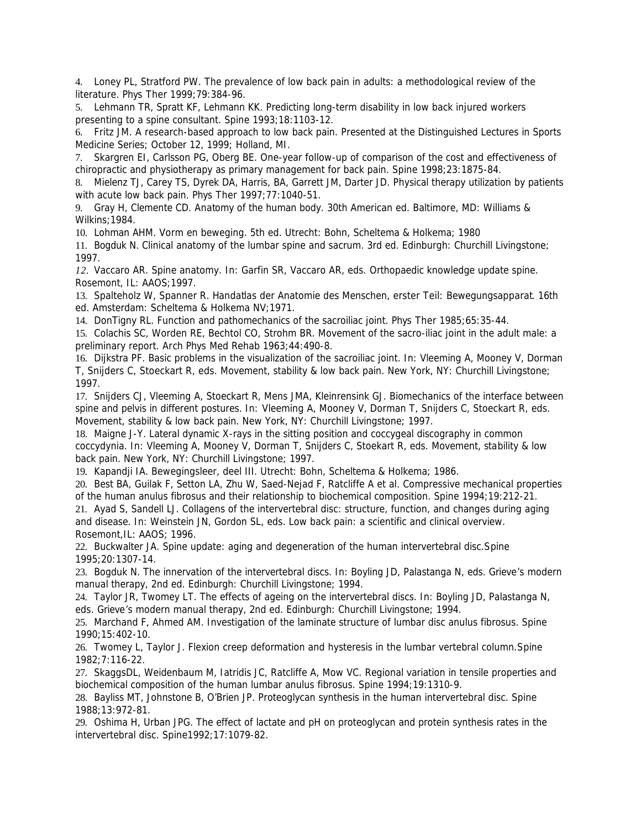4. Loney PL, Stratford PW. The prevalence of low back pain in adults: a methodological review of the literature. *Phys Ther* 1999;79:384-96.

5. Lehmann TR, Spratt KF, Lehmann KK. Predicting long-term disability in low back injured workers presenting to a spine consultant. *Spine* 1993;18:1103-12.

6. Fritz JM. A research-based approach to low back pain. Presented at the Distinguished Lectures in Sports Medicine Series; October 12, 1999; Holland, MI.

7. Skargren EI, Carlsson PG, Oberg BE. One-year follow-up of comparison of the cost and effectiveness of chiropractic and physiotherapy as primary management for back pain. *Spine* 1998;23:1875-84.

8. Mielenz TJ, Carey TS, Dyrek DA, Harris, BA, Garrett JM, Darter JD. Physical therapy utilization by patients with acute low back pain. *Phys Ther* 1997;77:1040-51.

9. Gray H, Clemente CD. *Anatomy of the human body*. 30th American ed. Baltimore, MD: Williams & Wilkins;1984.

10. Lohman AHM. *Vorm en beweging*. 5th ed. Utrecht: Bohn, Scheltema & Holkema; 1980

11. Bogduk N. *Clinical anatomy of the lumbar spine and sacrum*. 3rd ed. Edinburgh: Churchill Livingstone; 1997.

*12.* Vaccaro AR. Spine anatomy. In: Garfin SR, Vaccaro AR, eds. *Orthopaedic knowledge update spine*. Rosemont, IL: AAOS;1997.

13. Spalteholz W, Spanner R. *Handatlas der Anatomie des Menschen, erster Teil: Bewegungsapparat*. 16th ed. Amsterdam: Scheltema & Holkema NV;1971.

14. DonTigny RL. Function and pathomechanics of the sacroiliac joint. *Phys Ther* 1985;65:35-44.

15. Colachis SC, Worden RE, Bechtol CO, Strohm BR. Movement of the sacro-iliac joint in the adult male: a preliminary report. *Arch Phys Med Rehab* 1963;44:490-8.

16. Dijkstra PF. Basic problems in the visualization of the sacroiliac joint. In: Vleeming A, Mooney V, Dorman T, Snijders C, Stoeckart R, eds. *Movement, stability & low back pain*. New York, NY: Churchill Livingstone; 1997.

17. Snijders CJ, Vleeming A, Stoeckart R, Mens JMA, Kleinrensink GJ. Biomechanics of the interface between spine and pelvis in different postures. In: Vleeming A, Mooney V, Dorman T, Snijders C, Stoeckart R, eds. *Movement, stability & low back pain*. New York, NY: Churchill Livingstone; 1997.

18. Maigne J-Y. Lateral dynamic X-rays in the sitting position and coccygeal discography in common coccydynia. In: Vleeming A, Mooney V, Dorman T, Snijders C, Stoekart R, eds. *Movement, stability & low back pain*. New York, NY: Churchill Livingstone; 1997.

19. Kapandji IA. *Bewegingsleer, deel III*. Utrecht: Bohn, Scheltema & Holkema; 1986.

20. Best BA, Guilak F, Setton LA, Zhu W, Saed-Nejad F, Ratcliffe A et al. Compressive mechanical properties of the human anulus fibrosus and their relationship to biochemical composition. *Spine* 1994;19:212-21.

21. Ayad S, Sandell LJ. Collagens of the intervertebral disc: structure, function, and changes during aging and disease. In: Weinstein JN, Gordon SL, eds. *Low back pain: a scientific and clinical overview*. Rosemont,IL: AAOS; 1996.

22. Buckwalter JA. Spine update: aging and degeneration of the human intervertebral disc.*Spine* 1995;20:1307-14.

23. Bogduk N. The innervation of the intervertebral discs. In: Boyling JD, Palastanga N, eds. *Grieve's modern manual therapy*, 2nd ed. Edinburgh: Churchill Livingstone; 1994.

24. Taylor JR, Twomey LT. The effects of ageing on the intervertebral discs. In: Boyling JD, Palastanga N, eds. *Grieve's modern manual therapy*, 2nd ed. Edinburgh: Churchill Livingstone; 1994.

25. Marchand F, Ahmed AM. Investigation of the laminate structure of lumbar disc anulus fibrosus. *Spine* 1990;15:402-10.

26. Twomey L, Taylor J. Flexion creep deformation and hysteresis in the lumbar vertebral column.*Spine* 1982;7:116-22.

27. SkaggsDL, Weidenbaum M, Iatridis JC, Ratcliffe A, Mow VC. Regional variation in tensile properties and biochemical composition of the human lumbar anulus fibrosus. *Spine* 1994;19:1310-9.

28. Bayliss MT, Johnstone B, O'Brien JP. Proteoglycan synthesis in the human intervertebral disc. *Spine* 1988;13:972-81.

29. Oshima H, Urban JPG. The effect of lactate and pH on proteoglycan and protein synthesis rates in the intervertebral disc. *Spine*1992;17:1079-82.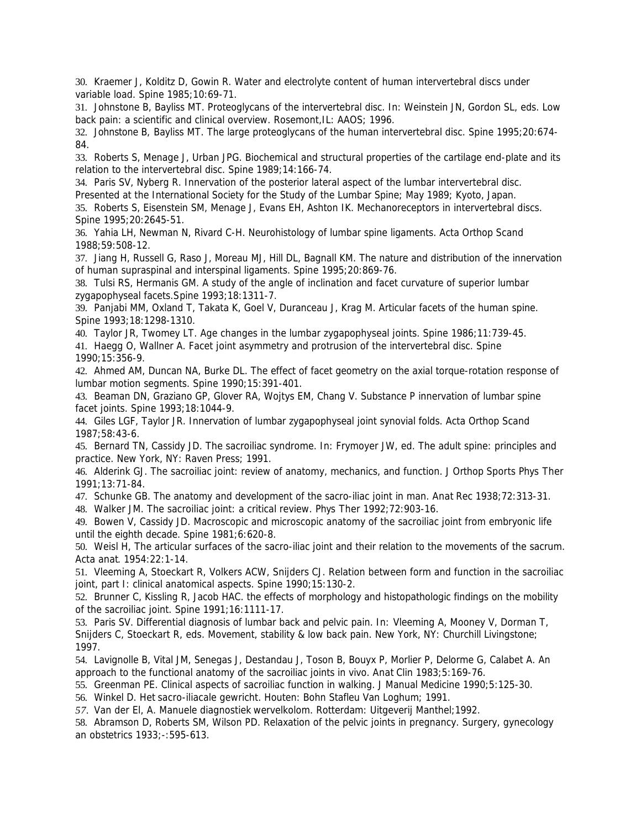30. Kraemer J, Kolditz D, Gowin R. Water and electrolyte content of human intervertebral discs under variable load. *Spine* 1985;10:69-71.

31. Johnstone B, Bayliss MT. Proteoglycans of the intervertebral disc. In: Weinstein JN, Gordon SL, eds. *Low back pain: a scientific and clinical overview*. Rosemont,IL: AAOS; 1996.

32. Johnstone B, Bayliss MT. The large proteoglycans of the human intervertebral disc. *Spine* 1995;20:674- 84.

33. Roberts S, Menage J, Urban JPG. Biochemical and structural properties of the cartilage end-plate and its relation to the intervertebral disc. *Spine* 1989;14:166-74.

34. Paris SV, Nyberg R. Innervation of the posterior lateral aspect of the lumbar intervertebral disc. Presented at the International Society for the Study of the Lumbar Spine; May 1989; Kyoto, Japan.

35. Roberts S, Eisenstein SM, Menage J, Evans EH, Ashton IK. Mechanoreceptors in intervertebral discs. *Spine* 1995;20:2645-51.

36. Yahia LH, Newman N, Rivard C-H. Neurohistology of lumbar spine ligaments. *Acta Orthop Scand* 1988;59:508-12.

37. Jiang H, Russell G, Raso J, Moreau MJ, Hill DL, Bagnall KM. The nature and distribution of the innervation of human supraspinal and interspinal ligaments. *Spine* 1995;20:869-76.

38. Tulsi RS, Hermanis GM. A study of the angle of inclination and facet curvature of superior lumbar zygapophyseal facets.*Spine* 1993;18:1311-7.

39. Panjabi MM, Oxland T, Takata K, Goel V, Duranceau J, Krag M. Articular facets of the human spine. *Spine* 1993;18:1298-1310.

40. Taylor JR, Twomey LT. Age changes in the lumbar zygapophyseal joints. *Spine* 1986;11:739-45.

41. Haegg O, Wallner A. Facet joint asymmetry and protrusion of the intervertebral disc. *Spine* 1990;15:356-9.

42. Ahmed AM, Duncan NA, Burke DL. The effect of facet geometry on the axial torque-rotation response of lumbar motion segments. *Spine* 1990;15:391-401.

43. Beaman DN, Graziano GP, Glover RA, Wojtys EM, Chang V. Substance P innervation of lumbar spine facet joints. *Spine* 1993;18:1044-9.

44. Giles LGF, Taylor JR. Innervation of lumbar zygapophyseal joint synovial folds. *Acta Orthop Scand* 1987;58:43-6.

45. Bernard TN, Cassidy JD. The sacroiliac syndrome. In: Frymoyer JW, ed. *The adult spine: principles and practice*. New York, NY: Raven Press; 1991.

46. Alderink GJ. The sacroiliac joint: review of anatomy, mechanics, and function. *J Orthop Sports Phys Ther* 1991;13:71-84.

47. Schunke GB. The anatomy and development of the sacro-iliac joint in man. *Anat Rec* 1938;72:313-31.

48. Walker JM. The sacroiliac joint: a critical review. *Phys Ther* 1992;72:903-16.

49. Bowen V, Cassidy JD. Macroscopic and microscopic anatomy of the sacroiliac joint from embryonic life until the eighth decade. *Spine* 1981;6:620-8.

50. Weisl H, The articular surfaces of the sacro-iliac joint and their relation to the movements of the sacrum. *Acta anat*. 1954:22:1-14.

51. Vleeming A, Stoeckart R, Volkers ACW, Snijders CJ. Relation between form and function in the sacroiliac joint, part I: clinical anatomical aspects. *Spine* 1990;15:130-2.

52. Brunner C, Kissling R, Jacob HAC. the effects of morphology and histopathologic findings on the mobility of the sacroiliac joint. *Spine* 1991;16:1111-17.

53. Paris SV. Differential diagnosis of lumbar back and pelvic pain. In: Vleeming A, Mooney V, Dorman T, Snijders C, Stoeckart R, eds. *Movement, stability & low back pain*. New York, NY: Churchill Livingstone; 1997.

54. Lavignolle B, Vital JM, Senegas J, Destandau J, Toson B, Bouyx P, Morlier P, Delorme G, Calabet A. An approach to the functional anatomy of the sacroiliac joints in vivo. *Anat Clin* 1983;5:169-76.

55. Greenman PE. Clinical aspects of sacroiliac function in walking. *J Manual Medicine* 1990;5:125-30.

56. Winkel D. *Het sacro-iliacale gewricht*. Houten: Bohn Stafleu Van Loghum; 1991.

*57.* Van der El, A. *Manuele diagnostiek wervelkolom*. Rotterdam: Uitgeverij Manthel;1992.

58. Abramson D, Roberts SM, Wilson PD. Relaxation of the pelvic joints in pregnancy. *Surgery, gynecology an obstetrics* 1933;-:595-613.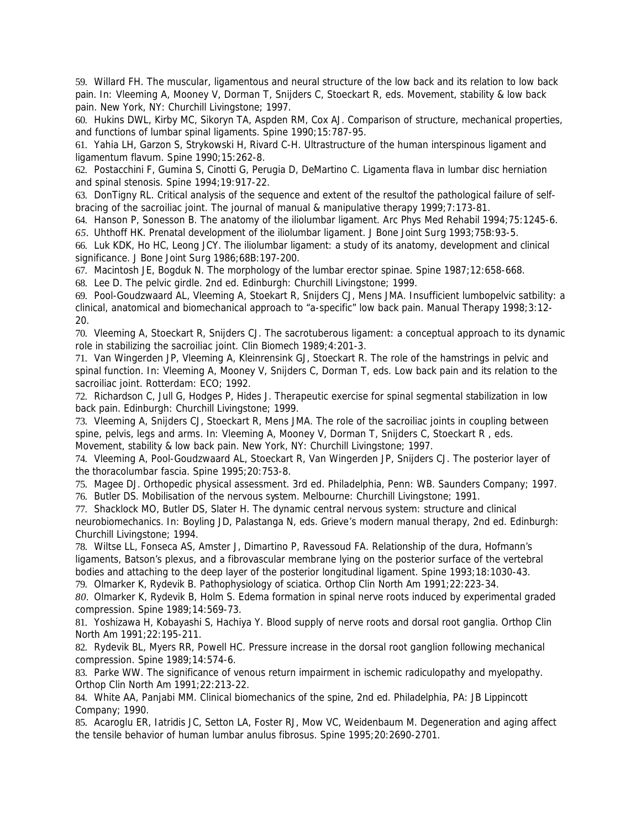59. Willard FH. The muscular, ligamentous and neural structure of the low back and its relation to low back pain. In: Vleeming A, Mooney V, Dorman T, Snijders C, Stoeckart R, eds. *Movement, stability & low back pain*. New York, NY: Churchill Livingstone; 1997.

60. Hukins DWL, Kirby MC, Sikoryn TA, Aspden RM, Cox AJ. Comparison of structure, mechanical properties, and functions of lumbar spinal ligaments. *Spine* 1990;15:787-95.

61. Yahia LH, Garzon S, Strykowski H, Rivard C-H. Ultrastructure of the human interspinous ligament and ligamentum flavum. *Spine* 1990;15:262-8.

62. Postacchini F, Gumina S, Cinotti G, Perugia D, DeMartino C. Ligamenta flava in lumbar disc herniation and spinal stenosis. *Spine* 1994;19:917-22.

63. DonTigny RL. Critical analysis of the sequence and extent of the resultof the pathological failure of selfbracing of the sacroiliac joint. *The journal of manual & manipulative therapy* 1999;7:173-81.

64. Hanson P, Sonesson B. The anatomy of the iliolumbar ligament. *Arc Phys Med Rehabil* 1994;75:1245-6.

*65.* Uhthoff HK. Prenatal development of the iliolumbar ligament. *J Bone Joint Surg* 1993;75B:93-5.

66. Luk KDK, Ho HC, Leong JCY. The iliolumbar ligament: a study of its anatomy, development and clinical significance. *J Bone Joint Surg* 1986;68B:197-200.

67. Macintosh JE, Bogduk N. The morphology of the lumbar erector spinae. *Spine* 1987;12:658-668.

68. Lee D. *The pelvic girdle*. 2nd ed. Edinburgh: Churchill Livingstone; 1999.

69. Pool-Goudzwaard AL, Vleeming A, Stoekart R, Snijders CJ, Mens JMA. Insufficient lumbopelvic satbility: a clinical, anatomical and biomechanical approach to "a-specific" low back pain. *Manual Therapy* 1998;3:12- 20.

70. Vleeming A, Stoeckart R, Snijders CJ. The sacrotuberous ligament: a conceptual approach to its dynamic role in stabilizing the sacroiliac joint. *Clin Biomech* 1989;4:201-3.

71. Van Wingerden JP, Vleeming A, Kleinrensink GJ, Stoeckart R. The role of the hamstrings in pelvic and spinal function. In: Vleeming A, Mooney V, Snijders C, Dorman T, eds. *Low back pain and its relation to the sacroiliac joint*. Rotterdam: ECO; 1992.

72. Richardson C, Jull G, Hodges P, Hides J. *Therapeutic exercise for spinal segmental stabilization in low back pain*. Edinburgh: Churchill Livingstone; 1999.

73. Vleeming A, Snijders CJ, Stoeckart R, Mens JMA. The role of the sacroiliac joints in coupling between spine, pelvis, legs and arms. In: Vleeming A, Mooney V, Dorman T, Snijders C, Stoeckart R , eds. *Movement, stability & low back pain*. New York, NY: Churchill Livingstone; 1997.

74. Vleeming A, Pool-Goudzwaard AL, Stoeckart R, Van Wingerden JP, Snijders CJ. The posterior layer of the thoracolumbar fascia. *Spine* 1995;20:753-8.

75. Magee DJ. *Orthopedic physical assessment*. 3rd ed. Philadelphia, Penn: WB. Saunders Company; 1997. 76. Butler DS. *Mobilisation of the nervous system*. Melbourne: Churchill Livingstone; 1991.

77. Shacklock MO, Butler DS, Slater H. The dynamic central nervous system: structure and clinical neurobiomechanics. In: Boyling JD, Palastanga N, eds. *Grieve's modern manual therapy*, 2nd ed. Edinburgh: Churchill Livingstone; 1994.

78. Wiltse LL, Fonseca AS, Amster J, Dimartino P, Ravessoud FA. Relationship of the dura, Hofmann's ligaments, Batson's plexus, and a fibrovascular membrane lying on the posterior surface of the vertebral bodies and attaching to the deep layer of the posterior longitudinal ligament. *Spine* 1993;18:1030-43. 79. Olmarker K, Rydevik B. Pathophysiology of sciatica. *Orthop Clin North Am* 1991;22:223-34.

*80.* Olmarker K, Rydevik B, Holm S. Edema formation in spinal nerve roots induced by experimental graded compression. *Spine* 1989;14:569-73.

81. Yoshizawa H, Kobayashi S, Hachiya Y. Blood supply of nerve roots and dorsal root ganglia. *Orthop Clin North Am* 1991;22:195-211.

82. Rydevik BL, Myers RR, Powell HC. Pressure increase in the dorsal root ganglion following mechanical compression. *Spine* 1989;14:574-6.

83. Parke WW. The significance of venous return impairment in ischemic radiculopathy and myelopathy. *Orthop Clin North Am* 1991;22:213-22.

84. White AA, Panjabi MM. *Clinical biomechanics of the spine, 2nd ed*. Philadelphia, PA: JB Lippincott Company; 1990.

85. Acaroglu ER, Iatridis JC, Setton LA, Foster RJ, Mow VC, Weidenbaum M. Degeneration and aging affect the tensile behavior of human lumbar anulus fibrosus. *Spine* 1995;20:2690-2701.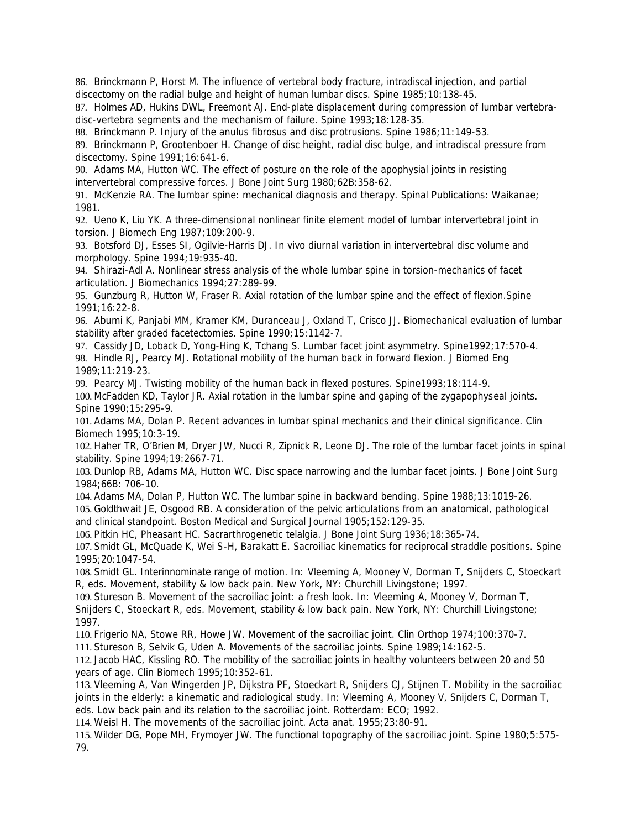86. Brinckmann P, Horst M. The influence of vertebral body fracture, intradiscal injection, and partial discectomy on the radial bulge and height of human lumbar discs. *Spine* 1985;10:138-45.

87. Holmes AD, Hukins DWL, Freemont AJ. End-plate displacement during compression of lumbar vertebradisc-vertebra segments and the mechanism of failure. *Spine* 1993;18:128-35.

88. Brinckmann P. Injury of the anulus fibrosus and disc protrusions. *Spine* 1986;11:149-53.

89. Brinckmann P, Grootenboer H. Change of disc height, radial disc bulge, and intradiscal pressure from discectomy. *Spine* 1991;16:641-6.

90. Adams MA, Hutton WC. The effect of posture on the role of the apophysial joints in resisting intervertebral compressive forces. *J Bone Joint Surg* 1980;62B:358-62.

91. McKenzie RA. *The lumbar spine: mechanical diagnosis and therapy*. Spinal Publications: Waikanae; 1981.

92. Ueno K, Liu YK. A three-dimensional nonlinear finite element model of lumbar intervertebral joint in torsion. *J Biomech Eng* 1987;109:200-9.

93. Botsford DJ, Esses SI, Ogilvie-Harris DJ. In vivo diurnal variation in intervertebral disc volume and morphology. *Spine* 1994;19:935-40.

94. Shirazi-Adl A. Nonlinear stress analysis of the whole lumbar spine in torsion-mechanics of facet articulation. *J Biomechanics* 1994;27:289-99.

95. Gunzburg R, Hutton W, Fraser R. Axial rotation of the lumbar spine and the effect of flexion.*Spine* 1991;16:22-8.

96. Abumi K, Panjabi MM, Kramer KM, Duranceau J, Oxland T, Crisco JJ. Biomechanical evaluation of lumbar stability after graded facetectomies. *Spine* 1990;15:1142-7.

97. Cassidy JD, Loback D, Yong-Hing K, Tchang S. Lumbar facet joint asymmetry. *Spine*1992;17:570-4. 98. Hindle RJ, Pearcy MJ. Rotational mobility of the human back in forward flexion. *J Biomed Eng 1989*;11:219-23.

99. Pearcy MJ. Twisting mobility of the human back in flexed postures. *Spine*1993;18:114-9.

100. McFadden KD, Taylor JR. Axial rotation in the lumbar spine and gaping of the zygapophyseal joints. *Spine* 1990;15:295-9.

101. Adams MA, Dolan P. Recent advances in lumbar spinal mechanics and their clinical significance. *Clin Biomech* 1995;10:3-19.

102. Haher TR, O'Brien M, Dryer JW, Nucci R, Zipnick R, Leone DJ. The role of the lumbar facet joints in spinal stability. *Spine* 1994;19:2667-71.

103. Dunlop RB, Adams MA, Hutton WC. Disc space narrowing and the lumbar facet joints. *J Bone Joint Surg* 1984;66B: 706-10.

104. Adams MA, Dolan P, Hutton WC. The lumbar spine in backward bending. *Spine* 1988;13:1019-26.

105. Goldthwait JE, Osgood RB. A consideration of the pelvic articulations from an anatomical, pathological and clinical standpoint. *Boston Medical and Surgical Journal* 1905;152:129-35.

106. Pitkin HC, Pheasant HC. Sacrarthrogenetic telalgia. *J Bone Joint Surg* 1936;18:365-74.

107. Smidt GL, McQuade K, Wei S-H, Barakatt E. Sacroiliac kinematics for reciprocal straddle positions. *Spine* 1995;20:1047-54.

108. Smidt GL. Interinnominate range of motion. In: Vleeming A, Mooney V, Dorman T, Snijders C, Stoeckart R, eds. *Movement, stability & low back pain*. New York, NY: Churchill Livingstone; 1997.

109. Stureson B. Movement of the sacroiliac joint: a fresh look. In: Vleeming A, Mooney V, Dorman T, Snijders C, Stoeckart R, eds. *Movement, stability & low back pain*. New York, NY: Churchill Livingstone; 1997.

110. Frigerio NA, Stowe RR, Howe JW. Movement of the sacroiliac joint. *Clin Orthop* 1974;100:370-7.

111. Stureson B, Selvik G, Uden A. Movements of the sacroiliac joints. *Spine* 1989;14:162-5.

112. Jacob HAC, Kissling RO. The mobility of the sacroiliac joints in healthy volunteers between 20 and 50 years of age. *Clin Biomech* 1995;10:352-61.

113. Vleeming A, Van Wingerden JP, Dijkstra PF, Stoeckart R, Snijders CJ, Stijnen T. Mobility in the sacroiliac joints in the elderly: a kinematic and radiological study. In: Vleeming A, Mooney V, Snijders C, Dorman T, eds. *Low back pain and its relation to the sacroiliac joint*. Rotterdam: ECO; 1992.

114. Weisl H. The movements of the sacroiliac joint. *Acta anat*. 1955;23:80-91.

115. Wilder DG, Pope MH, Frymoyer JW. The functional topography of the sacroiliac joint. *Spine* 1980;5:575- 79.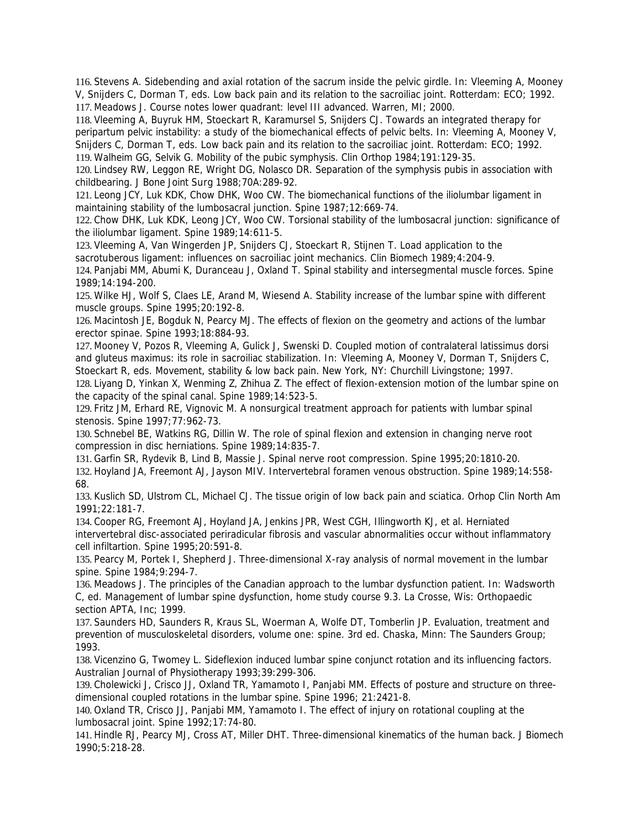116. Stevens A. Sidebending and axial rotation of the sacrum inside the pelvic girdle. In: Vleeming A, Mooney V, Snijders C, Dorman T, eds. *Low back pain and its relation to the sacroiliac joint*. Rotterdam: ECO; 1992. 117. Meadows J. *Course notes lower quadrant*: *level III advanced*. Warren, MI; 2000.

118. Vleeming A, Buyruk HM, Stoeckart R, Karamursel S, Snijders CJ. Towards an integrated therapy for peripartum pelvic instability: a study of the biomechanical effects of pelvic belts. In: Vleeming A, Mooney V, Snijders C, Dorman T, eds. *Low back pain and its relation to the sacroiliac joint*. Rotterdam: ECO; 1992. 119. Walheim GG, Selvik G. Mobility of the pubic symphysis. *Clin Orthop* 1984;191:129-35.

120. Lindsey RW, Leggon RE, Wright DG, Nolasco DR. Separation of the symphysis pubis in association with childbearing. *J Bone Joint Surg* 1988;70A:289-92.

121. Leong JCY, Luk KDK, Chow DHK, Woo CW. The biomechanical functions of the iliolumbar ligament in maintaining stability of the lumbosacral junction. *Spine* 1987;12:669-74.

122. Chow DHK, Luk KDK, Leong JCY, Woo CW. Torsional stability of the lumbosacral junction: significance of the iliolumbar ligament. *Spine* 1989;14:611-5.

123. Vleeming A, Van Wingerden JP, Snijders CJ, Stoeckart R*,* Stijnen T. Load application to the sacrotuberous ligament: influences on sacroiliac joint mechanics. *Clin Biomech* 1989;4:204-9.

124. Panjabi MM, Abumi K, Duranceau J, Oxland T. Spinal stability and intersegmental muscle forces. *Spine* 1989;14:194-200.

125. Wilke HJ, Wolf S, Claes LE, Arand M, Wiesend A. Stability increase of the lumbar spine with different muscle groups. *Spine* 1995;20:192-8.

126. Macintosh JE, Bogduk N, Pearcy MJ. The effects of flexion on the geometry and actions of the lumbar erector spinae. *Spine* 1993;18:884-93.

127. Mooney V, Pozos R, Vleeming A, Gulick J, Swenski D. Coupled motion of contralateral latissimus dorsi and gluteus maximus: its role in sacroiliac stabilization. In: Vleeming A, Mooney V, Dorman T, Snijders C, Stoeckart R, eds. *Movement, stability & low back pain*. New York, NY: Churchill Livingstone; 1997.

128. Liyang D, Yinkan X, Wenming Z, Zhihua Z. The effect of flexion-extension motion of the lumbar spine on the capacity of the spinal canal. *Spine* 1989;14:523-5.

129. Fritz JM, Erhard RE, Vignovic M. A nonsurgical treatment approach for patients with lumbar spinal stenosis. *Spine* 1997;77:962-73.

130. Schnebel BE, Watkins RG, Dillin W. The role of spinal flexion and extension in changing nerve root compression in disc herniations. *Spine* 1989;14:835-7.

131. Garfin SR, Rydevik B, Lind B, Massie J. Spinal nerve root compression. *Spine* 1995;20:1810-20.

132. Hoyland JA, Freemont AJ, Jayson MIV. Intervertebral foramen venous obstruction. *Spine* 1989;14:558- 68.

133. Kuslich SD, Ulstrom CL, Michael CJ. The tissue origin of low back pain and sciatica. *Orhop Clin North Am* 1991;22:181-7.

134. Cooper RG, Freemont AJ, Hoyland JA, Jenkins JPR, West CGH, Illingworth KJ, et al. Herniated intervertebral disc-associated periradicular fibrosis and vascular abnormalities occur without inflammatory cell infiltartion. *Spine* 1995;20:591-8.

135. Pearcy M, Portek I, Shepherd J. Three-dimensional X-ray analysis of normal movement in the lumbar spine. *Spine* 1984;9:294-7.

136. Meadows J. The principles of the Canadian approach to the lumbar dysfunction patient. In: Wadsworth C, ed. *Management of lumbar spine dysfunction, home study course 9.3.* La Crosse, Wis: Orthopaedic section APTA, Inc; 1999.

137. Saunders HD, Saunders R, Kraus SL, Woerman A, Wolfe DT, Tomberlin JP. *Evaluation, treatment and prevention of musculoskeletal disorders, volume one: spine*. 3rd ed. Chaska, Minn: The Saunders Group; 1993.

138. Vicenzino G, Twomey L. Sideflexion induced lumbar spine conjunct rotation and its influencing factors. *Australian Journal of Physiotherapy* 1993;39:299-306.

139. Cholewicki J, Crisco JJ, Oxland TR, Yamamoto I, Panjabi MM. Effects of posture and structure on threedimensional coupled rotations in the lumbar spine. *Spine* 1996; 21:2421-8.

140. Oxland TR, Crisco JJ, Panjabi MM, Yamamoto I. The effect of injury on rotational coupling at the lumbosacral joint. *Spine* 1992;17:74-80.

141. Hindle RJ, Pearcy MJ, Cross AT, Miller DHT. Three-dimensional kinematics of the human back. *J Biomech* 1990;5:218-28.